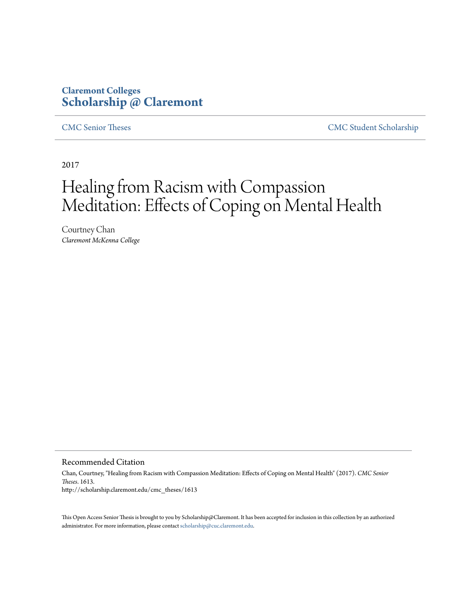## **Claremont Colleges [Scholarship @ Claremont](http://scholarship.claremont.edu)**

[CMC Senior Theses](http://scholarship.claremont.edu/cmc_theses) [CMC Student Scholarship](http://scholarship.claremont.edu/cmc_student)

2017

# Healing from Racism with Compassion Meditation: Effects of Coping on Mental Health

Courtney Chan *Claremont McKenna College*

#### Recommended Citation

Chan, Courtney, "Healing from Racism with Compassion Meditation: Effects of Coping on Mental Health" (2017). *CMC Senior Theses*. 1613. http://scholarship.claremont.edu/cmc\_theses/1613

This Open Access Senior Thesis is brought to you by Scholarship@Claremont. It has been accepted for inclusion in this collection by an authorized administrator. For more information, please contact [scholarship@cuc.claremont.edu.](mailto:scholarship@cuc.claremont.edu)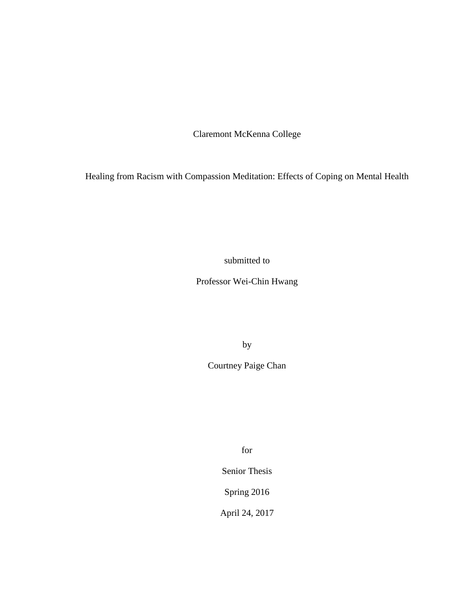Claremont McKenna College

Healing from Racism with Compassion Meditation: Effects of Coping on Mental Health

submitted to

Professor Wei-Chin Hwang

by

Courtney Paige Chan

for

Senior Thesis

Spring 2016

April 24, 2017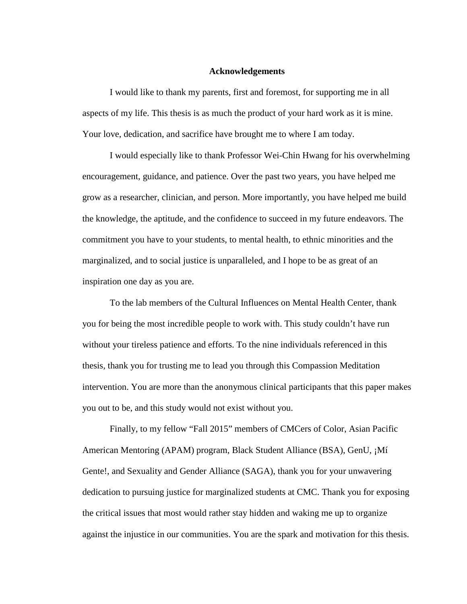#### **Acknowledgements**

I would like to thank my parents, first and foremost, for supporting me in all aspects of my life. This thesis is as much the product of your hard work as it is mine. Your love, dedication, and sacrifice have brought me to where I am today.

I would especially like to thank Professor Wei-Chin Hwang for his overwhelming encouragement, guidance, and patience. Over the past two years, you have helped me grow as a researcher, clinician, and person. More importantly, you have helped me build the knowledge, the aptitude, and the confidence to succeed in my future endeavors. The commitment you have to your students, to mental health, to ethnic minorities and the marginalized, and to social justice is unparalleled, and I hope to be as great of an inspiration one day as you are.

To the lab members of the Cultural Influences on Mental Health Center, thank you for being the most incredible people to work with. This study couldn't have run without your tireless patience and efforts. To the nine individuals referenced in this thesis, thank you for trusting me to lead you through this Compassion Meditation intervention. You are more than the anonymous clinical participants that this paper makes you out to be, and this study would not exist without you.

Finally, to my fellow "Fall 2015" members of CMCers of Color, Asian Pacific American Mentoring (APAM) program, Black Student Alliance (BSA), GenU, ¡Mí Gente!, and Sexuality and Gender Alliance (SAGA), thank you for your unwavering dedication to pursuing justice for marginalized students at CMC. Thank you for exposing the critical issues that most would rather stay hidden and waking me up to organize against the injustice in our communities. You are the spark and motivation for this thesis.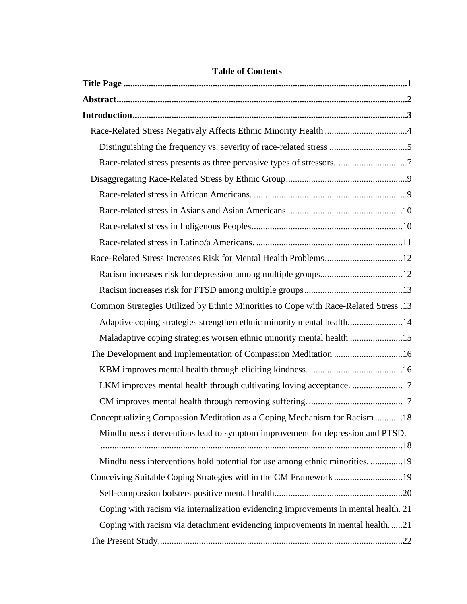| Distinguishing the frequency vs. severity of race-related stress 5                   |  |
|--------------------------------------------------------------------------------------|--|
|                                                                                      |  |
|                                                                                      |  |
|                                                                                      |  |
|                                                                                      |  |
|                                                                                      |  |
|                                                                                      |  |
|                                                                                      |  |
|                                                                                      |  |
|                                                                                      |  |
| Common Strategies Utilized by Ethnic Minorities to Cope with Race-Related Stress .13 |  |
| Adaptive coping strategies strengthen ethnic minority mental health14                |  |
| Maladaptive coping strategies worsen ethnic minority mental health 15                |  |
| The Development and Implementation of Compassion Meditation 16                       |  |
|                                                                                      |  |
| LKM improves mental health through cultivating loving acceptance17                   |  |
|                                                                                      |  |
| Conceptualizing Compassion Meditation as a Coping Mechanism for Racism 18            |  |
| Mindfulness interventions lead to symptom improvement for depression and PTSD.       |  |
|                                                                                      |  |
| Mindfulness interventions hold potential for use among ethnic minorities. 19         |  |
|                                                                                      |  |
|                                                                                      |  |
| Coping with racism via internalization evidencing improvements in mental health. 21  |  |
| Coping with racism via detachment evidencing improvements in mental health21         |  |
|                                                                                      |  |

### **Table of Contents**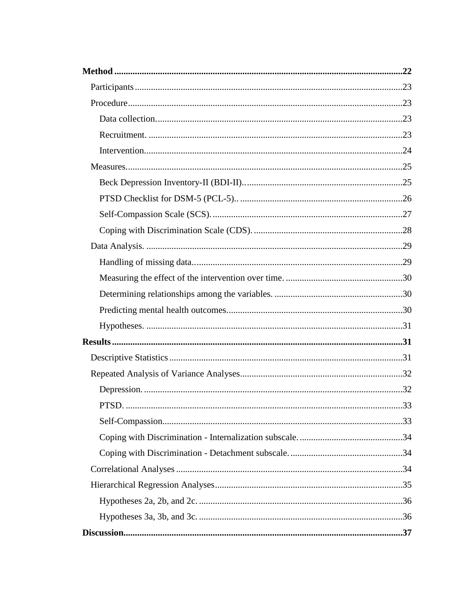| PTSD. | 33 |
|-------|----|
|       |    |
|       |    |
|       |    |
|       |    |
|       |    |
|       |    |
|       |    |
|       |    |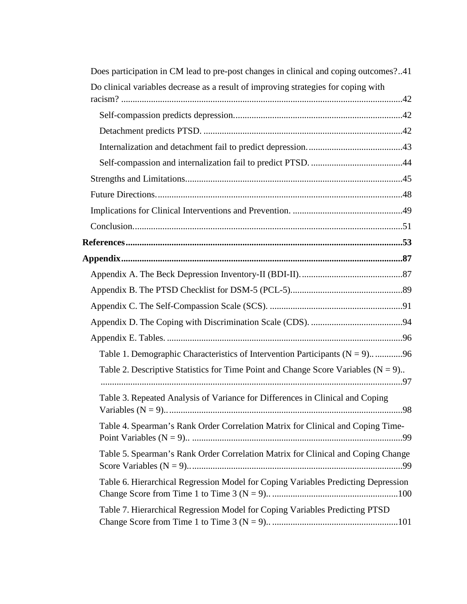| Does participation in CM lead to pre-post changes in clinical and coping outcomes?41   |
|----------------------------------------------------------------------------------------|
| Do clinical variables decrease as a result of improving strategies for coping with     |
|                                                                                        |
|                                                                                        |
|                                                                                        |
|                                                                                        |
|                                                                                        |
|                                                                                        |
|                                                                                        |
|                                                                                        |
|                                                                                        |
|                                                                                        |
|                                                                                        |
|                                                                                        |
|                                                                                        |
|                                                                                        |
|                                                                                        |
| Table 1. Demographic Characteristics of Intervention Participants ( $N = 9$ )96        |
| Table 2. Descriptive Statistics for Time Point and Change Score Variables ( $N = 9$ ). |
| Table 3. Repeated Analysis of Variance for Differences in Clinical and Coping          |
| Table 4. Spearman's Rank Order Correlation Matrix for Clinical and Coping Time-        |
| Table 5. Spearman's Rank Order Correlation Matrix for Clinical and Coping Change       |
| Table 6. Hierarchical Regression Model for Coping Variables Predicting Depression      |
| Table 7. Hierarchical Regression Model for Coping Variables Predicting PTSD            |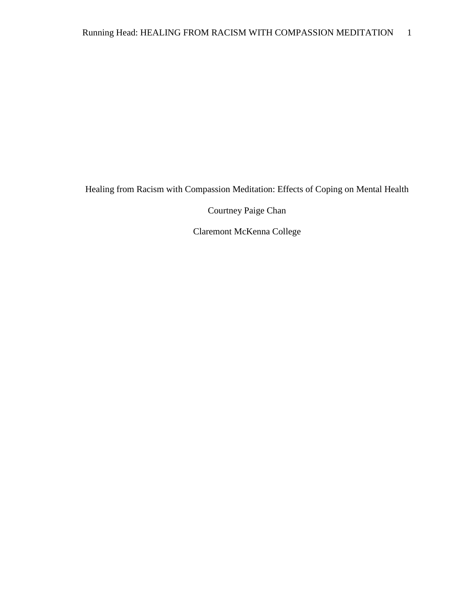Healing from Racism with Compassion Meditation: Effects of Coping on Mental Health

Courtney Paige Chan

Claremont McKenna College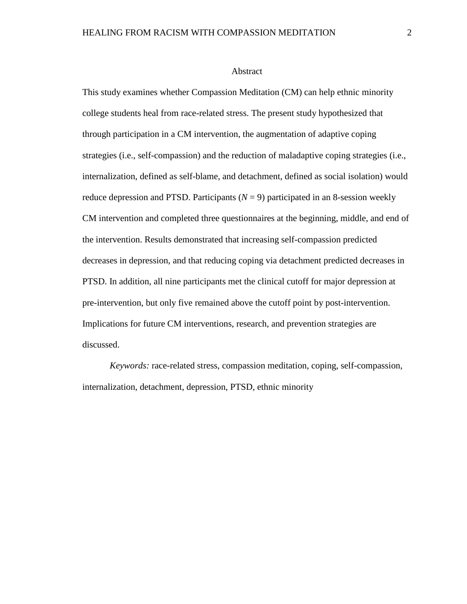#### Abstract

This study examines whether Compassion Meditation (CM) can help ethnic minority college students heal from race-related stress. The present study hypothesized that through participation in a CM intervention, the augmentation of adaptive coping strategies (i.e., self-compassion) and the reduction of maladaptive coping strategies (i.e., internalization, defined as self-blame, and detachment, defined as social isolation) would reduce depression and PTSD. Participants  $(N = 9)$  participated in an 8-session weekly CM intervention and completed three questionnaires at the beginning, middle, and end of the intervention. Results demonstrated that increasing self-compassion predicted decreases in depression, and that reducing coping via detachment predicted decreases in PTSD. In addition, all nine participants met the clinical cutoff for major depression at pre-intervention, but only five remained above the cutoff point by post-intervention. Implications for future CM interventions, research, and prevention strategies are discussed.

*Keywords:* race-related stress, compassion meditation, coping, self-compassion, internalization, detachment, depression, PTSD, ethnic minority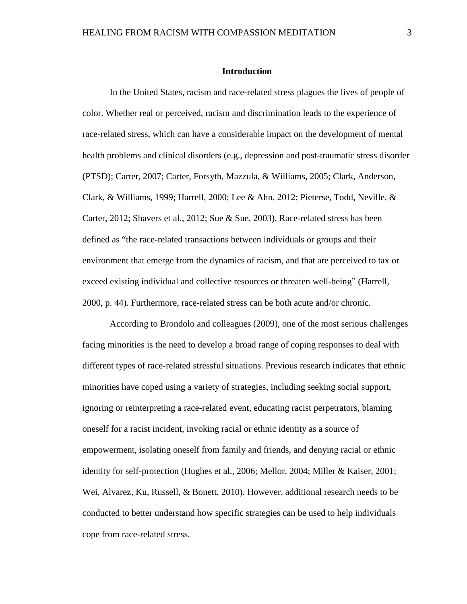#### **Introduction**

In the United States, racism and race-related stress plagues the lives of people of color. Whether real or perceived, racism and discrimination leads to the experience of race-related stress, which can have a considerable impact on the development of mental health problems and clinical disorders (e.g., depression and post-traumatic stress disorder (PTSD); Carter, 2007; Carter, Forsyth, Mazzula, & Williams, 2005; Clark, Anderson, Clark, & Williams, 1999; Harrell, 2000; Lee & Ahn, 2012; Pieterse, Todd, Neville, & Carter, 2012; Shavers et al., 2012; Sue & Sue, 2003). Race-related stress has been defined as "the race-related transactions between individuals or groups and their environment that emerge from the dynamics of racism, and that are perceived to tax or exceed existing individual and collective resources or threaten well-being" (Harrell, 2000, p. 44). Furthermore, race-related stress can be both acute and/or chronic.

According to Brondolo and colleagues (2009), one of the most serious challenges facing minorities is the need to develop a broad range of coping responses to deal with different types of race-related stressful situations. Previous research indicates that ethnic minorities have coped using a variety of strategies, including seeking social support, ignoring or reinterpreting a race-related event, educating racist perpetrators, blaming oneself for a racist incident, invoking racial or ethnic identity as a source of empowerment, isolating oneself from family and friends, and denying racial or ethnic identity for self-protection (Hughes et al., 2006; Mellor, 2004; Miller & Kaiser, 2001; Wei, Alvarez, Ku, Russell, & Bonett, 2010). However, additional research needs to be conducted to better understand how specific strategies can be used to help individuals cope from race-related stress.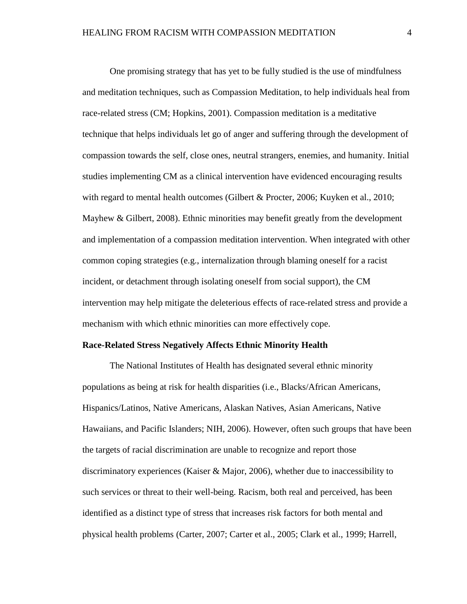One promising strategy that has yet to be fully studied is the use of mindfulness and meditation techniques, such as Compassion Meditation, to help individuals heal from race-related stress (CM; Hopkins, 2001). Compassion meditation is a meditative technique that helps individuals let go of anger and suffering through the development of compassion towards the self, close ones, neutral strangers, enemies, and humanity. Initial studies implementing CM as a clinical intervention have evidenced encouraging results with regard to mental health outcomes (Gilbert & Procter, 2006; Kuyken et al., 2010; Mayhew & Gilbert, 2008). Ethnic minorities may benefit greatly from the development and implementation of a compassion meditation intervention. When integrated with other common coping strategies (e.g., internalization through blaming oneself for a racist incident, or detachment through isolating oneself from social support), the CM intervention may help mitigate the deleterious effects of race-related stress and provide a mechanism with which ethnic minorities can more effectively cope.

#### **Race-Related Stress Negatively Affects Ethnic Minority Health**

The National Institutes of Health has designated several ethnic minority populations as being at risk for health disparities (i.e., Blacks/African Americans, Hispanics/Latinos, Native Americans, Alaskan Natives, Asian Americans, Native Hawaiians, and Pacific Islanders; NIH, 2006). However, often such groups that have been the targets of racial discrimination are unable to recognize and report those discriminatory experiences (Kaiser & Major, 2006), whether due to inaccessibility to such services or threat to their well-being. Racism, both real and perceived, has been identified as a distinct type of stress that increases risk factors for both mental and physical health problems (Carter, 2007; Carter et al., 2005; Clark et al., 1999; Harrell,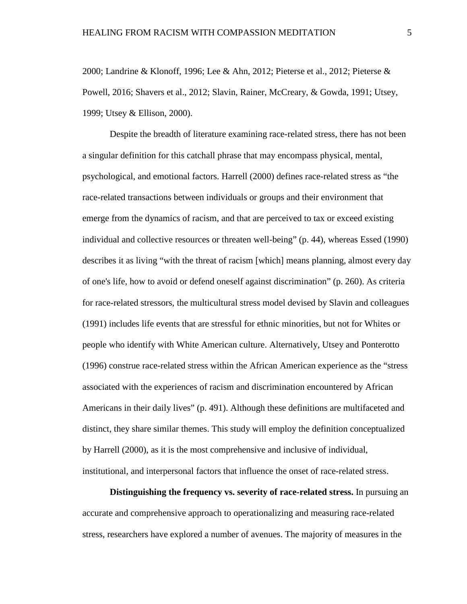2000; Landrine & Klonoff, 1996; Lee & Ahn, 2012; Pieterse et al., 2012; Pieterse & Powell, 2016; Shavers et al., 2012; Slavin, Rainer, McCreary, & Gowda, 1991; Utsey, 1999; Utsey & Ellison, 2000).

Despite the breadth of literature examining race-related stress, there has not been a singular definition for this catchall phrase that may encompass physical, mental, psychological, and emotional factors. Harrell (2000) defines race-related stress as "the race-related transactions between individuals or groups and their environment that emerge from the dynamics of racism, and that are perceived to tax or exceed existing individual and collective resources or threaten well-being" (p. 44), whereas Essed (1990) describes it as living "with the threat of racism [which] means planning, almost every day of one's life, how to avoid or defend oneself against discrimination" (p. 260). As criteria for race-related stressors, the multicultural stress model devised by Slavin and colleagues (1991) includes life events that are stressful for ethnic minorities, but not for Whites or people who identify with White American culture. Alternatively, Utsey and Ponterotto (1996) construe race-related stress within the African American experience as the "stress associated with the experiences of racism and discrimination encountered by African Americans in their daily lives" (p. 491). Although these definitions are multifaceted and distinct, they share similar themes. This study will employ the definition conceptualized by Harrell (2000), as it is the most comprehensive and inclusive of individual, institutional, and interpersonal factors that influence the onset of race-related stress.

**Distinguishing the frequency vs. severity of race-related stress.** In pursuing an accurate and comprehensive approach to operationalizing and measuring race-related stress, researchers have explored a number of avenues. The majority of measures in the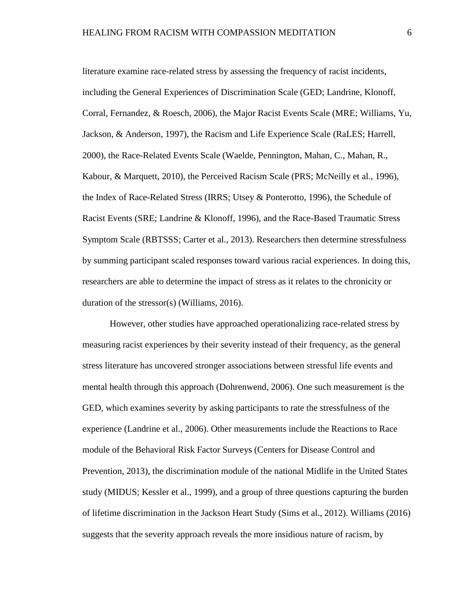literature examine race-related stress by assessing the frequency of racist incidents, including the General Experiences of Discrimination Scale (GED; Landrine, Klonoff, Corral, Fernandez, & Roesch, 2006), the Major Racist Events Scale (MRE; Williams, Yu, Jackson, & Anderson, 1997), the Racism and Life Experience Scale (RaLES; Harrell, 2000), the Race-Related Events Scale (Waelde, Pennington, Mahan, C., Mahan, R., Kabour, & Marquett, 2010), the Perceived Racism Scale (PRS; McNeilly et al., 1996), the Index of Race-Related Stress (IRRS; Utsey & Ponterotto, 1996), the Schedule of Racist Events (SRE; Landrine & Klonoff, 1996), and the Race-Based Traumatic Stress Symptom Scale (RBTSSS; Carter et al., 2013). Researchers then determine stressfulness by summing participant scaled responses toward various racial experiences. In doing this, researchers are able to determine the impact of stress as it relates to the chronicity or duration of the stressor(s) (Williams, 2016).

However, other studies have approached operationalizing race-related stress by measuring racist experiences by their severity instead of their frequency, as the general stress literature has uncovered stronger associations between stressful life events and mental health through this approach (Dohrenwend, 2006). One such measurement is the GED, which examines severity by asking participants to rate the stressfulness of the experience (Landrine et al., 2006). Other measurements include the Reactions to Race module of the Behavioral Risk Factor Surveys (Centers for Disease Control and Prevention, 2013), the discrimination module of the national Midlife in the United States study (MIDUS; Kessler et al., 1999), and a group of three questions capturing the burden of lifetime discrimination in the Jackson Heart Study (Sims et al., 2012). Williams (2016) suggests that the severity approach reveals the more insidious nature of racism, by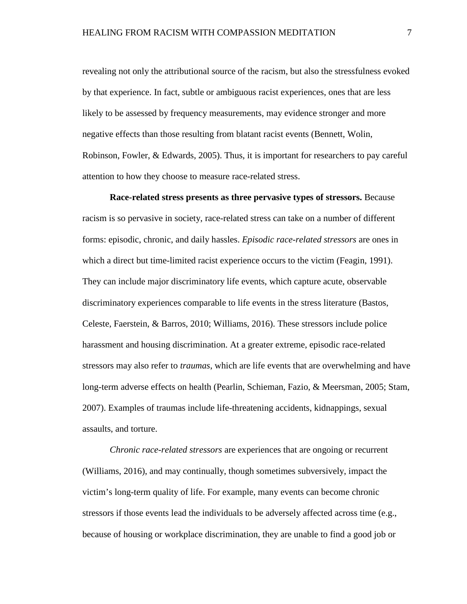revealing not only the attributional source of the racism, but also the stressfulness evoked by that experience. In fact, subtle or ambiguous racist experiences, ones that are less likely to be assessed by frequency measurements, may evidence stronger and more negative effects than those resulting from blatant racist events (Bennett, Wolin, Robinson, Fowler, & Edwards, 2005). Thus, it is important for researchers to pay careful attention to how they choose to measure race-related stress.

**Race-related stress presents as three pervasive types of stressors.** Because racism is so pervasive in society, race-related stress can take on a number of different forms: episodic, chronic, and daily hassles. *Episodic race-related stressors* are ones in which a direct but time-limited racist experience occurs to the victim (Feagin, 1991). They can include major discriminatory life events, which capture acute, observable discriminatory experiences comparable to life events in the stress literature (Bastos, Celeste, Faerstein, & Barros, 2010; Williams, 2016). These stressors include police harassment and housing discrimination. At a greater extreme, episodic race-related stressors may also refer to *traumas*, which are life events that are overwhelming and have long-term adverse effects on health (Pearlin, Schieman, Fazio, & Meersman, 2005; Stam, 2007). Examples of traumas include life-threatening accidents, kidnappings, sexual assaults, and torture.

*Chronic race-related stressors* are experiences that are ongoing or recurrent (Williams, 2016), and may continually, though sometimes subversively, impact the victim's long-term quality of life. For example, many events can become chronic stressors if those events lead the individuals to be adversely affected across time (e.g., because of housing or workplace discrimination, they are unable to find a good job or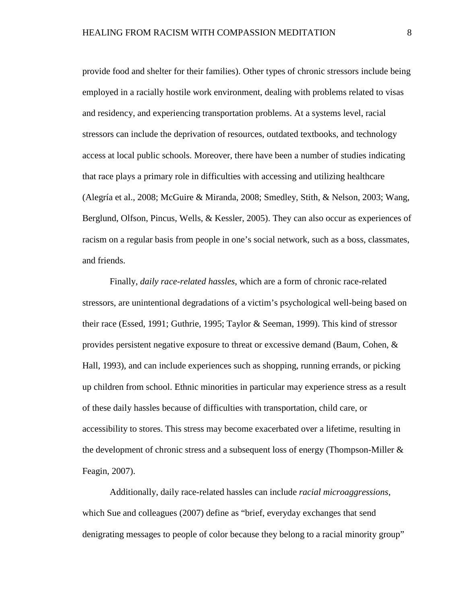provide food and shelter for their families). Other types of chronic stressors include being employed in a racially hostile work environment, dealing with problems related to visas and residency, and experiencing transportation problems. At a systems level, racial stressors can include the deprivation of resources, outdated textbooks, and technology access at local public schools. Moreover, there have been a number of studies indicating that race plays a primary role in difficulties with accessing and utilizing healthcare (Alegría et al., 2008; McGuire & Miranda, 2008; Smedley, Stith, & Nelson, 2003; Wang, Berglund, Olfson, Pincus, Wells, & Kessler, 2005). They can also occur as experiences of racism on a regular basis from people in one's social network, such as a boss, classmates, and friends.

Finally, *daily race-related hassles*, which are a form of chronic race-related stressors, are unintentional degradations of a victim's psychological well-being based on their race (Essed, 1991; Guthrie, 1995; Taylor & Seeman, 1999). This kind of stressor provides persistent negative exposure to threat or excessive demand (Baum, Cohen, & Hall, 1993), and can include experiences such as shopping, running errands, or picking up children from school. Ethnic minorities in particular may experience stress as a result of these daily hassles because of difficulties with transportation, child care, or accessibility to stores. This stress may become exacerbated over a lifetime, resulting in the development of chronic stress and a subsequent loss of energy (Thompson-Miller & Feagin, 2007).

Additionally, daily race-related hassles can include *racial microaggressions*, which Sue and colleagues (2007) define as "brief, everyday exchanges that send denigrating messages to people of color because they belong to a racial minority group"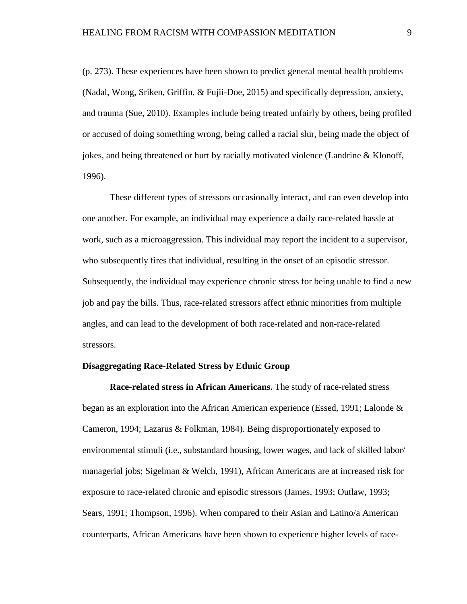(p. 273). These experiences have been shown to predict general mental health problems (Nadal, Wong, Sriken, Griffin, & Fujii-Doe, 2015) and specifically depression, anxiety, and trauma (Sue, 2010). Examples include being treated unfairly by others, being profiled or accused of doing something wrong, being called a racial slur, being made the object of jokes, and being threatened or hurt by racially motivated violence (Landrine & Klonoff, 1996).

These different types of stressors occasionally interact, and can even develop into one another. For example, an individual may experience a daily race-related hassle at work, such as a microaggression. This individual may report the incident to a supervisor, who subsequently fires that individual, resulting in the onset of an episodic stressor. Subsequently, the individual may experience chronic stress for being unable to find a new job and pay the bills. Thus, race-related stressors affect ethnic minorities from multiple angles, and can lead to the development of both race-related and non-race-related stressors.

#### **Disaggregating Race-Related Stress by Ethnic Group**

**Race-related stress in African Americans.** The study of race-related stress began as an exploration into the African American experience (Essed, 1991; Lalonde & Cameron, 1994; Lazarus & Folkman, 1984). Being disproportionately exposed to environmental stimuli (i.e., substandard housing, lower wages, and lack of skilled labor/ managerial jobs; Sigelman & Welch, 1991), African Americans are at increased risk for exposure to race-related chronic and episodic stressors (James, 1993; Outlaw, 1993; Sears, 1991; Thompson, 1996). When compared to their Asian and Latino/a American counterparts, African Americans have been shown to experience higher levels of race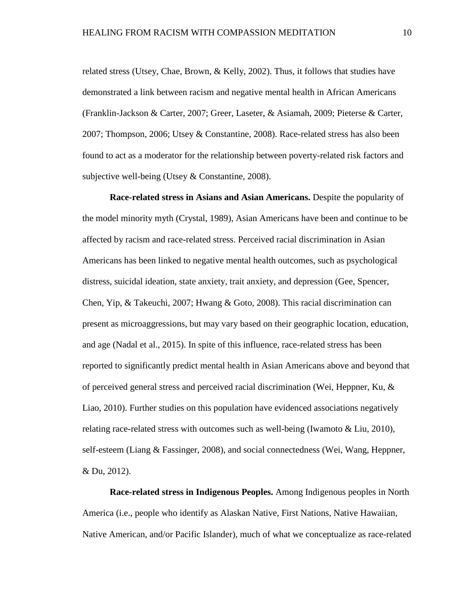related stress (Utsey, Chae, Brown, & Kelly, 2002). Thus, it follows that studies have demonstrated a link between racism and negative mental health in African Americans (Franklin-Jackson & Carter, 2007; Greer, Laseter, & Asiamah, 2009; Pieterse & Carter, 2007; Thompson, 2006; Utsey & Constantine, 2008). Race-related stress has also been found to act as a moderator for the relationship between poverty-related risk factors and subjective well-being (Utsey & Constantine, 2008).

**Race-related stress in Asians and Asian Americans.** Despite the popularity of the model minority myth (Crystal, 1989), Asian Americans have been and continue to be affected by racism and race-related stress. Perceived racial discrimination in Asian Americans has been linked to negative mental health outcomes, such as psychological distress, suicidal ideation, state anxiety, trait anxiety, and depression (Gee, Spencer, Chen, Yip, & Takeuchi, 2007; Hwang & Goto, 2008). This racial discrimination can present as microaggressions, but may vary based on their geographic location, education, and age (Nadal et al., 2015). In spite of this influence, race-related stress has been reported to significantly predict mental health in Asian Americans above and beyond that of perceived general stress and perceived racial discrimination (Wei, Heppner, Ku, & Liao, 2010). Further studies on this population have evidenced associations negatively relating race-related stress with outcomes such as well-being (Iwamoto & Liu, 2010), self-esteem (Liang & Fassinger, 2008), and social connectedness (Wei, Wang, Heppner, & Du, 2012).

**Race-related stress in Indigenous Peoples.** Among Indigenous peoples in North America (i.e., people who identify as Alaskan Native, First Nations, Native Hawaiian, Native American, and/or Pacific Islander), much of what we conceptualize as race-related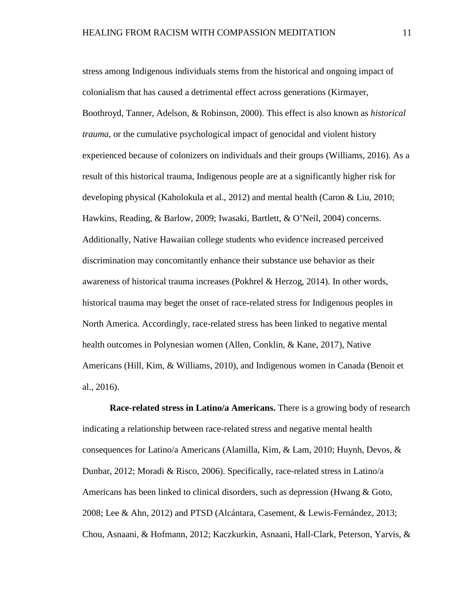stress among Indigenous individuals stems from the historical and ongoing impact of colonialism that has caused a detrimental effect across generations (Kirmayer, Boothroyd, Tanner, Adelson, & Robinson, 2000). This effect is also known as *historical trauma*, or the cumulative psychological impact of genocidal and violent history experienced because of colonizers on individuals and their groups (Williams, 2016). As a result of this historical trauma, Indigenous people are at a significantly higher risk for developing physical (Kaholokula et al., 2012) and mental health (Caron & Liu, 2010; Hawkins, Reading, & Barlow, 2009; Iwasaki, Bartlett, & O'Neil, 2004) concerns. Additionally, Native Hawaiian college students who evidence increased perceived discrimination may concomitantly enhance their substance use behavior as their awareness of historical trauma increases (Pokhrel & Herzog, 2014). In other words, historical trauma may beget the onset of race-related stress for Indigenous peoples in North America. Accordingly, race-related stress has been linked to negative mental health outcomes in Polynesian women (Allen, Conklin, & Kane, 2017), Native Americans (Hill, Kim, & Williams, 2010), and Indigenous women in Canada (Benoit et al., 2016).

**Race-related stress in Latino/a Americans.** There is a growing body of research indicating a relationship between race-related stress and negative mental health consequences for Latino/a Americans (Alamilla, Kim, & Lam, 2010; Huynh, Devos, & Dunbar, 2012; Moradi & Risco, 2006). Specifically, race-related stress in Latino/a Americans has been linked to clinical disorders, such as depression (Hwang & Goto, 2008; Lee & Ahn, 2012) and PTSD (Alcántara, Casement, & Lewis-Fernández, 2013; Chou, Asnaani, & Hofmann, 2012; Kaczkurkin, Asnaani, Hall-Clark, Peterson, Yarvis, &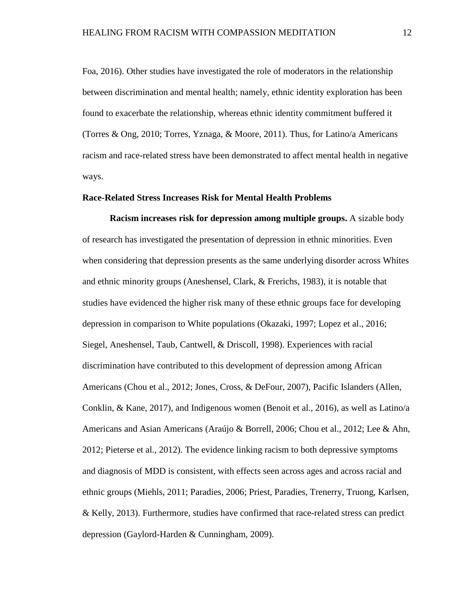Foa, 2016). Other studies have investigated the role of moderators in the relationship between discrimination and mental health; namely, ethnic identity exploration has been found to exacerbate the relationship, whereas ethnic identity commitment buffered it (Torres & Ong, 2010; Torres, Yznaga, & Moore, 2011). Thus, for Latino/a Americans racism and race-related stress have been demonstrated to affect mental health in negative ways.

#### **Race-Related Stress Increases Risk for Mental Health Problems**

**Racism increases risk for depression among multiple groups.** A sizable body of research has investigated the presentation of depression in ethnic minorities. Even when considering that depression presents as the same underlying disorder across Whites and ethnic minority groups (Aneshensel, Clark, & Frerichs, 1983), it is notable that studies have evidenced the higher risk many of these ethnic groups face for developing depression in comparison to White populations (Okazaki, 1997; Lopez et al., 2016; Siegel, Aneshensel, Taub, Cantwell, & Driscoll, 1998). Experiences with racial discrimination have contributed to this development of depression among African Americans (Chou et al., 2012; Jones, Cross, & DeFour, 2007), Pacific Islanders (Allen, Conklin, & Kane, 2017), and Indigenous women (Benoit et al., 2016), as well as Latino/a Americans and Asian Americans (Araújo & Borrell, 2006; Chou et al., 2012; Lee & Ahn, 2012; Pieterse et al., 2012). The evidence linking racism to both depressive symptoms and diagnosis of MDD is consistent, with effects seen across ages and across racial and ethnic groups (Miehls, 2011; Paradies, 2006; Priest, Paradies, Trenerry, Truong, Karlsen, & Kelly, 2013). Furthermore, studies have confirmed that race-related stress can predict depression (Gaylord-Harden & Cunningham, 2009).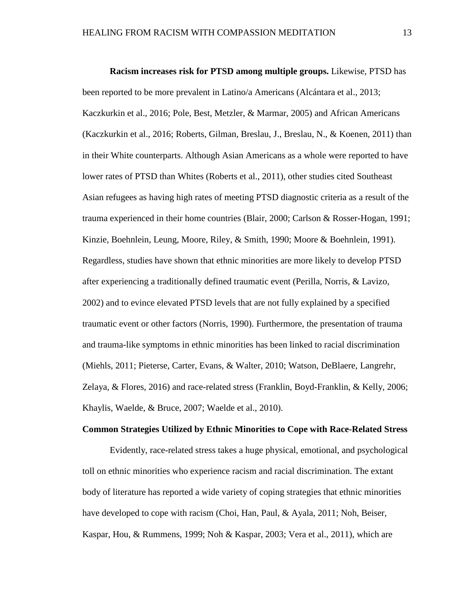**Racism increases risk for PTSD among multiple groups.** Likewise, PTSD has been reported to be more prevalent in Latino/a Americans (Alcántara et al., 2013; Kaczkurkin et al., 2016; Pole, Best, Metzler, & Marmar, 2005) and African Americans (Kaczkurkin et al., 2016; Roberts, Gilman, Breslau, J., Breslau, N., & Koenen, 2011) than in their White counterparts. Although Asian Americans as a whole were reported to have lower rates of PTSD than Whites (Roberts et al., 2011), other studies cited Southeast Asian refugees as having high rates of meeting PTSD diagnostic criteria as a result of the trauma experienced in their home countries (Blair, 2000; Carlson & Rosser-Hogan, 1991; Kinzie, Boehnlein, Leung, Moore, Riley, & Smith, 1990; Moore & Boehnlein, 1991). Regardless, studies have shown that ethnic minorities are more likely to develop PTSD after experiencing a traditionally defined traumatic event (Perilla, Norris, & Lavizo, 2002) and to evince elevated PTSD levels that are not fully explained by a specified traumatic event or other factors (Norris, 1990). Furthermore, the presentation of trauma and trauma-like symptoms in ethnic minorities has been linked to racial discrimination (Miehls, 2011; Pieterse, Carter, Evans, & Walter, 2010; Watson, DeBlaere, Langrehr, Zelaya, & Flores, 2016) and race-related stress (Franklin, Boyd-Franklin, & Kelly, 2006; Khaylis, Waelde, & Bruce, 2007; Waelde et al., 2010).

#### **Common Strategies Utilized by Ethnic Minorities to Cope with Race-Related Stress**

Evidently, race-related stress takes a huge physical, emotional, and psychological toll on ethnic minorities who experience racism and racial discrimination. The extant body of literature has reported a wide variety of coping strategies that ethnic minorities have developed to cope with racism (Choi, Han, Paul, & Ayala, 2011; Noh, Beiser, Kaspar, Hou, & Rummens, 1999; Noh & Kaspar, 2003; Vera et al., 2011), which are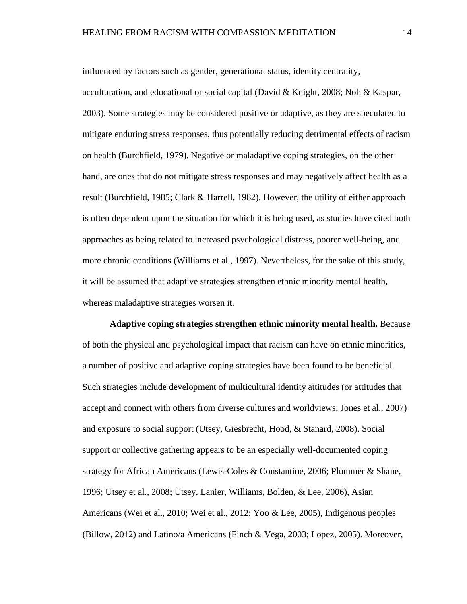influenced by factors such as gender, generational status, identity centrality, acculturation, and educational or social capital (David & Knight, 2008; Noh & Kaspar, 2003). Some strategies may be considered positive or adaptive, as they are speculated to mitigate enduring stress responses, thus potentially reducing detrimental effects of racism on health (Burchfield, 1979). Negative or maladaptive coping strategies, on the other hand, are ones that do not mitigate stress responses and may negatively affect health as a result (Burchfield, 1985; Clark & Harrell, 1982). However, the utility of either approach is often dependent upon the situation for which it is being used, as studies have cited both approaches as being related to increased psychological distress, poorer well-being, and more chronic conditions (Williams et al., 1997). Nevertheless, for the sake of this study, it will be assumed that adaptive strategies strengthen ethnic minority mental health, whereas maladaptive strategies worsen it.

**Adaptive coping strategies strengthen ethnic minority mental health.** Because of both the physical and psychological impact that racism can have on ethnic minorities, a number of positive and adaptive coping strategies have been found to be beneficial. Such strategies include development of multicultural identity attitudes (or attitudes that accept and connect with others from diverse cultures and worldviews; Jones et al., 2007) and exposure to social support (Utsey, Giesbrecht, Hood, & Stanard, 2008). Social support or collective gathering appears to be an especially well-documented coping strategy for African Americans (Lewis-Coles & Constantine, 2006; Plummer & Shane, 1996; Utsey et al., 2008; Utsey, Lanier, Williams, Bolden, & Lee, 2006), Asian Americans (Wei et al., 2010; Wei et al., 2012; Yoo & Lee, 2005), Indigenous peoples (Billow, 2012) and Latino/a Americans (Finch & Vega, 2003; Lopez, 2005). Moreover,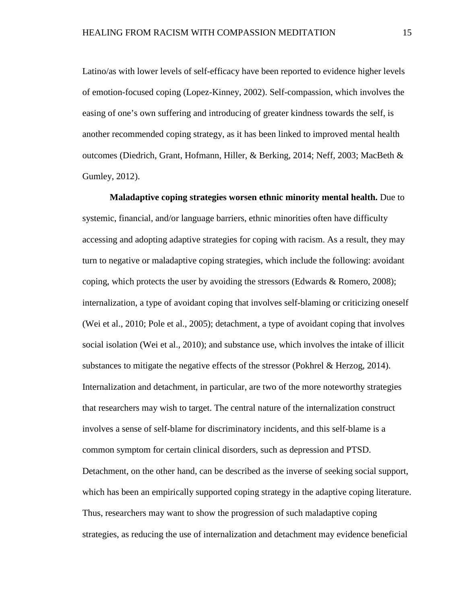Latino/as with lower levels of self-efficacy have been reported to evidence higher levels of emotion-focused coping (Lopez-Kinney, 2002). Self-compassion, which involves the easing of one's own suffering and introducing of greater kindness towards the self, is another recommended coping strategy, as it has been linked to improved mental health outcomes (Diedrich, Grant, Hofmann, Hiller, & Berking, 2014; Neff, 2003; MacBeth & Gumley, 2012).

**Maladaptive coping strategies worsen ethnic minority mental health.** Due to systemic, financial, and/or language barriers, ethnic minorities often have difficulty accessing and adopting adaptive strategies for coping with racism. As a result, they may turn to negative or maladaptive coping strategies, which include the following: avoidant coping, which protects the user by avoiding the stressors (Edwards  $\&$  Romero, 2008); internalization, a type of avoidant coping that involves self-blaming or criticizing oneself (Wei et al., 2010; Pole et al., 2005); detachment, a type of avoidant coping that involves social isolation (Wei et al., 2010); and substance use, which involves the intake of illicit substances to mitigate the negative effects of the stressor (Pokhrel & Herzog, 2014). Internalization and detachment, in particular, are two of the more noteworthy strategies that researchers may wish to target. The central nature of the internalization construct involves a sense of self-blame for discriminatory incidents, and this self-blame is a common symptom for certain clinical disorders, such as depression and PTSD. Detachment, on the other hand, can be described as the inverse of seeking social support, which has been an empirically supported coping strategy in the adaptive coping literature. Thus, researchers may want to show the progression of such maladaptive coping strategies, as reducing the use of internalization and detachment may evidence beneficial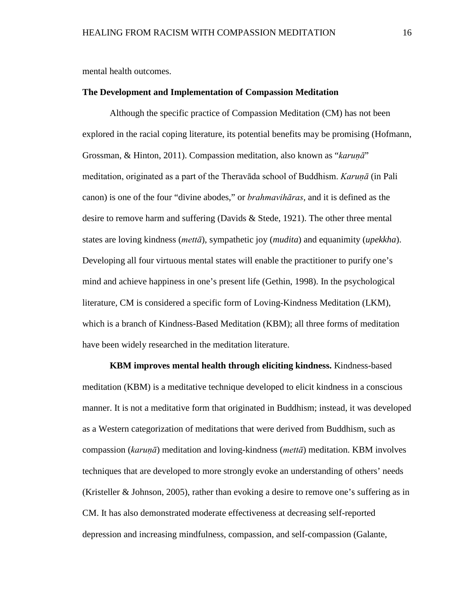mental health outcomes.

#### **The Development and Implementation of Compassion Meditation**

Although the specific practice of Compassion Meditation (CM) has not been explored in the racial coping literature, its potential benefits may be promising (Hofmann, Grossman, & Hinton, 2011). Compassion meditation, also known as "*karuṇā*" meditation, originated as a part of the Theravāda school of Buddhism. *Karuṇā* (in Pali canon) is one of the four "divine abodes," or *brahmavihāras*, and it is defined as the desire to remove harm and suffering (Davids & Stede, 1921). The other three mental states are loving kindness (*mettā*), sympathetic joy (*mudita*) and equanimity (*upekkha*). Developing all four virtuous mental states will enable the practitioner to purify one's mind and achieve happiness in one's present life (Gethin, 1998). In the psychological literature, CM is considered a specific form of Loving-Kindness Meditation (LKM), which is a branch of Kindness-Based Meditation (KBM); all three forms of meditation have been widely researched in the meditation literature.

**KBM improves mental health through eliciting kindness.** Kindness-based meditation (KBM) is a meditative technique developed to elicit kindness in a conscious manner. It is not a meditative form that originated in Buddhism; instead, it was developed as a Western categorization of meditations that were derived from Buddhism, such as compassion (*karuṇā*) meditation and loving-kindness (*mettā*) meditation. KBM involves techniques that are developed to more strongly evoke an understanding of others' needs (Kristeller & Johnson, 2005), rather than evoking a desire to remove one's suffering as in CM. It has also demonstrated moderate effectiveness at decreasing self-reported depression and increasing mindfulness, compassion, and self-compassion (Galante,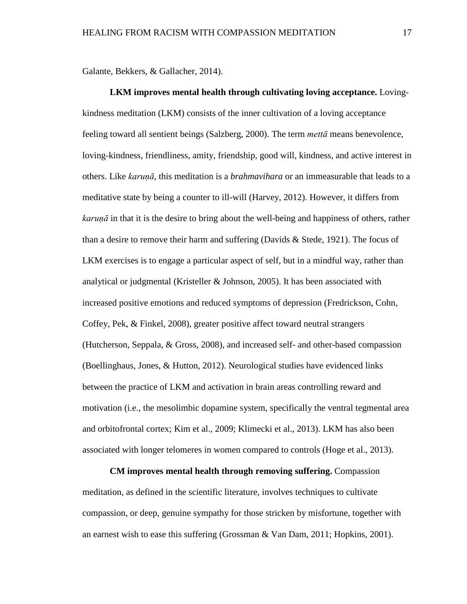Galante, Bekkers, & Gallacher, 2014).

**LKM improves mental health through cultivating loving acceptance.** Lovingkindness meditation (LKM) consists of the inner cultivation of a loving acceptance feeling toward all sentient beings (Salzberg, 2000). The term *mettā* means benevolence, loving-kindness, friendliness, amity, friendship, good will, kindness, and active interest in others. Like *karuṇā*, this meditation is a *brahmavihara* or an immeasurable that leads to a meditative state by being a counter to ill-will (Harvey, 2012). However, it differs from *karuṇā* in that it is the desire to bring about the well-being and happiness of others, rather than a desire to remove their harm and suffering (Davids  $\&$  Stede, 1921). The focus of LKM exercises is to engage a particular aspect of self, but in a mindful way, rather than analytical or judgmental (Kristeller & Johnson, 2005). It has been associated with increased positive emotions and reduced symptoms of depression (Fredrickson, Cohn, Coffey, Pek, & Finkel, 2008), greater positive affect toward neutral strangers (Hutcherson, Seppala, & Gross, 2008), and increased self- and other-based compassion (Boellinghaus, Jones, & Hutton, 2012). Neurological studies have evidenced links between the practice of LKM and activation in brain areas controlling reward and motivation (i.e., the mesolimbic dopamine system, specifically the ventral tegmental area and orbitofrontal cortex; Kim et al., 2009; Klimecki et al., 2013). LKM has also been associated with longer telomeres in women compared to controls (Hoge et al., 2013).

**CM improves mental health through removing suffering.** Compassion meditation, as defined in the scientific literature, involves techniques to cultivate compassion, or deep, genuine sympathy for those stricken by misfortune, together with an earnest wish to ease this suffering (Grossman & Van Dam, 2011; Hopkins, 2001).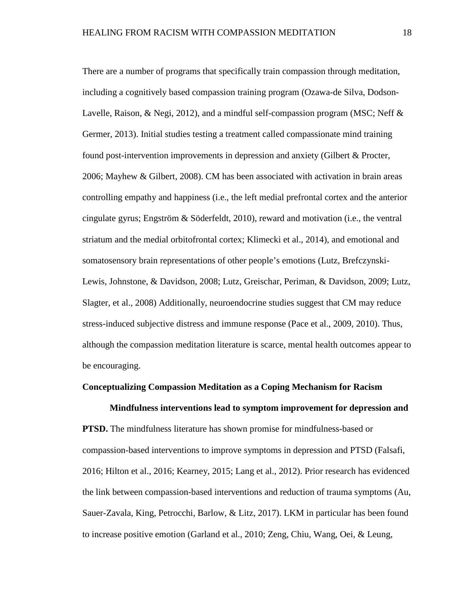There are a number of programs that specifically train compassion through meditation, including a cognitively based compassion training program (Ozawa-de Silva, Dodson-Lavelle, Raison, & Negi, 2012), and a mindful self-compassion program (MSC; Neff & Germer, 2013). Initial studies testing a treatment called compassionate mind training found post-intervention improvements in depression and anxiety (Gilbert & Procter, 2006; Mayhew & Gilbert, 2008). CM has been associated with activation in brain areas controlling empathy and happiness (i.e., the left medial prefrontal cortex and the anterior cingulate gyrus; Engström & Söderfeldt, 2010), reward and motivation (i.e., the ventral striatum and the medial orbitofrontal cortex; Klimecki et al., 2014), and emotional and somatosensory brain representations of other people's emotions (Lutz, Brefczynski-Lewis, Johnstone, & Davidson, 2008; Lutz, Greischar, Periman, & Davidson, 2009; Lutz, Slagter, et al., 2008) Additionally, neuroendocrine studies suggest that CM may reduce stress-induced subjective distress and immune response (Pace et al., 2009, 2010). Thus, although the compassion meditation literature is scarce, mental health outcomes appear to be encouraging.

#### **Conceptualizing Compassion Meditation as a Coping Mechanism for Racism**

**Mindfulness interventions lead to symptom improvement for depression and PTSD.** The mindfulness literature has shown promise for mindfulness-based or compassion-based interventions to improve symptoms in depression and PTSD (Falsafi, 2016; Hilton et al., 2016; Kearney, 2015; Lang et al., 2012). Prior research has evidenced the link between compassion-based interventions and reduction of trauma symptoms (Au, Sauer-Zavala, King, Petrocchi, Barlow, & Litz, 2017). LKM in particular has been found to increase positive emotion (Garland et al., 2010; Zeng, Chiu, Wang, Oei, & Leung,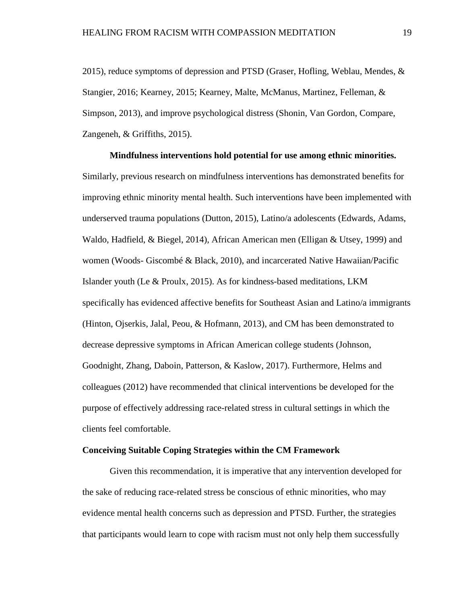2015), reduce symptoms of depression and PTSD (Graser, Hofling, Weblau, Mendes, & Stangier, 2016; Kearney, 2015; Kearney, Malte, McManus, Martinez, Felleman, & Simpson, 2013), and improve psychological distress (Shonin, Van Gordon, Compare, Zangeneh, & Griffiths, 2015).

**Mindfulness interventions hold potential for use among ethnic minorities.** Similarly, previous research on mindfulness interventions has demonstrated benefits for improving ethnic minority mental health. Such interventions have been implemented with underserved trauma populations (Dutton, 2015), Latino/a adolescents (Edwards, Adams, Waldo, Hadfield, & Biegel, 2014), African American men (Elligan & Utsey, 1999) and women (Woods- Giscombé & Black, 2010), and incarcerated Native Hawaiian/Pacific Islander youth (Le & Proulx, 2015). As for kindness-based meditations, LKM specifically has evidenced affective benefits for Southeast Asian and Latino/a immigrants (Hinton, Ojserkis, Jalal, Peou, & Hofmann, 2013), and CM has been demonstrated to decrease depressive symptoms in African American college students (Johnson, Goodnight, Zhang, Daboin, Patterson, & Kaslow, 2017). Furthermore, Helms and colleagues (2012) have recommended that clinical interventions be developed for the purpose of effectively addressing race-related stress in cultural settings in which the clients feel comfortable.

#### **Conceiving Suitable Coping Strategies within the CM Framework**

Given this recommendation, it is imperative that any intervention developed for the sake of reducing race-related stress be conscious of ethnic minorities, who may evidence mental health concerns such as depression and PTSD. Further, the strategies that participants would learn to cope with racism must not only help them successfully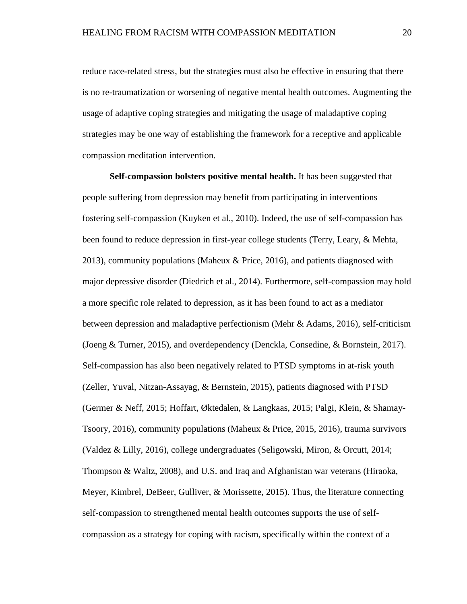reduce race-related stress, but the strategies must also be effective in ensuring that there is no re-traumatization or worsening of negative mental health outcomes. Augmenting the usage of adaptive coping strategies and mitigating the usage of maladaptive coping strategies may be one way of establishing the framework for a receptive and applicable compassion meditation intervention.

**Self-compassion bolsters positive mental health.** It has been suggested that people suffering from depression may benefit from participating in interventions fostering self-compassion (Kuyken et al., 2010). Indeed, the use of self-compassion has been found to reduce depression in first-year college students (Terry, Leary, & Mehta, 2013), community populations (Maheux & Price, 2016), and patients diagnosed with major depressive disorder (Diedrich et al., 2014). Furthermore, self-compassion may hold a more specific role related to depression, as it has been found to act as a mediator between depression and maladaptive perfectionism (Mehr & Adams, 2016), self-criticism (Joeng & Turner, 2015), and overdependency (Denckla, Consedine, & Bornstein, 2017). Self-compassion has also been negatively related to PTSD symptoms in at-risk youth (Zeller, Yuval, Nitzan-Assayag, & Bernstein, 2015), patients diagnosed with PTSD (Germer & Neff, 2015; Hoffart, Øktedalen, & Langkaas, 2015; Palgi, Klein, & Shamay-Tsoory, 2016), community populations (Maheux & Price, 2015, 2016), trauma survivors (Valdez & Lilly, 2016), college undergraduates (Seligowski, Miron, & Orcutt, 2014; Thompson & Waltz, 2008), and U.S. and Iraq and Afghanistan war veterans (Hiraoka, Meyer, Kimbrel, DeBeer, Gulliver, & Morissette, 2015). Thus, the literature connecting self-compassion to strengthened mental health outcomes supports the use of selfcompassion as a strategy for coping with racism, specifically within the context of a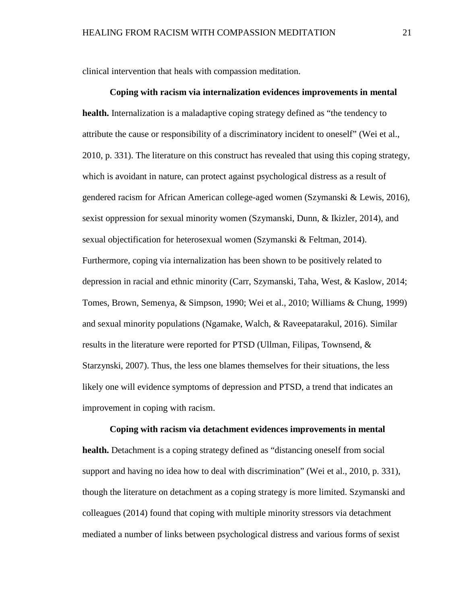clinical intervention that heals with compassion meditation.

**Coping with racism via internalization evidences improvements in mental health.** Internalization is a maladaptive coping strategy defined as "the tendency to attribute the cause or responsibility of a discriminatory incident to oneself" (Wei et al., 2010, p. 331). The literature on this construct has revealed that using this coping strategy, which is avoidant in nature, can protect against psychological distress as a result of gendered racism for African American college-aged women (Szymanski & Lewis, 2016), sexist oppression for sexual minority women (Szymanski, Dunn, & Ikizler, 2014), and sexual objectification for heterosexual women (Szymanski & Feltman, 2014). Furthermore, coping via internalization has been shown to be positively related to depression in racial and ethnic minority (Carr, Szymanski, Taha, West, & Kaslow, 2014; Tomes, Brown, Semenya, & Simpson, 1990; Wei et al., 2010; Williams & Chung, 1999) and sexual minority populations (Ngamake, Walch, & Raveepatarakul, 2016). Similar results in the literature were reported for PTSD (Ullman, Filipas, Townsend, & Starzynski, 2007). Thus, the less one blames themselves for their situations, the less likely one will evidence symptoms of depression and PTSD, a trend that indicates an improvement in coping with racism.

**Coping with racism via detachment evidences improvements in mental health.** Detachment is a coping strategy defined as "distancing oneself from social support and having no idea how to deal with discrimination" (Wei et al., 2010, p. 331), though the literature on detachment as a coping strategy is more limited. Szymanski and colleagues (2014) found that coping with multiple minority stressors via detachment mediated a number of links between psychological distress and various forms of sexist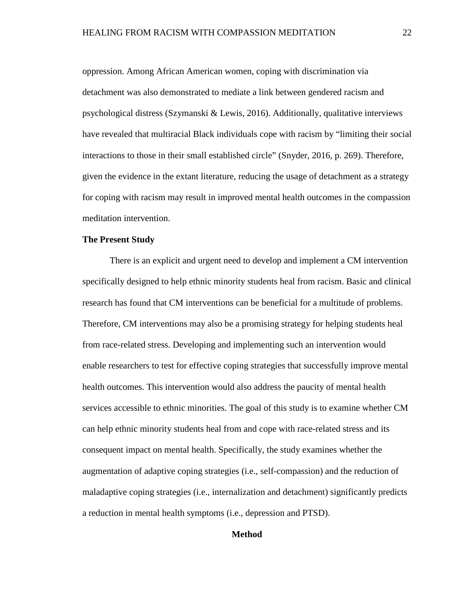oppression. Among African American women, coping with discrimination via detachment was also demonstrated to mediate a link between gendered racism and psychological distress (Szymanski & Lewis, 2016). Additionally, qualitative interviews have revealed that multiracial Black individuals cope with racism by "limiting their social interactions to those in their small established circle" (Snyder, 2016, p. 269). Therefore, given the evidence in the extant literature, reducing the usage of detachment as a strategy for coping with racism may result in improved mental health outcomes in the compassion meditation intervention.

#### **The Present Study**

There is an explicit and urgent need to develop and implement a CM intervention specifically designed to help ethnic minority students heal from racism. Basic and clinical research has found that CM interventions can be beneficial for a multitude of problems. Therefore, CM interventions may also be a promising strategy for helping students heal from race-related stress. Developing and implementing such an intervention would enable researchers to test for effective coping strategies that successfully improve mental health outcomes. This intervention would also address the paucity of mental health services accessible to ethnic minorities. The goal of this study is to examine whether CM can help ethnic minority students heal from and cope with race-related stress and its consequent impact on mental health. Specifically, the study examines whether the augmentation of adaptive coping strategies (i.e., self-compassion) and the reduction of maladaptive coping strategies (i.e., internalization and detachment) significantly predicts a reduction in mental health symptoms (i.e., depression and PTSD).

#### **Method**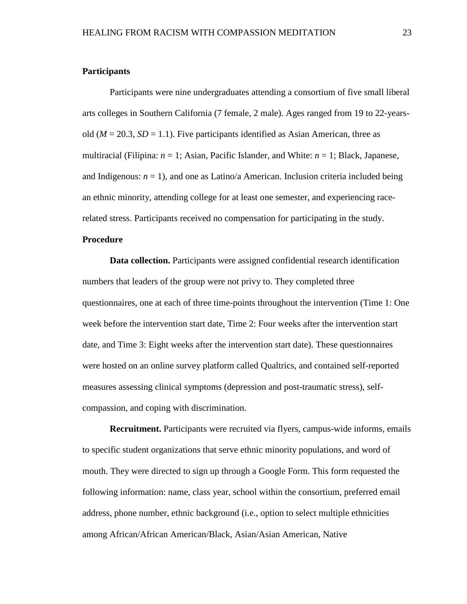#### **Participants**

Participants were nine undergraduates attending a consortium of five small liberal arts colleges in Southern California (7 female, 2 male). Ages ranged from 19 to 22-yearsold  $(M = 20.3, SD = 1.1)$ . Five participants identified as Asian American, three as multiracial (Filipina: *n* = 1; Asian, Pacific Islander, and White: *n* = 1; Black, Japanese, and Indigenous:  $n = 1$ ), and one as Latino/a American. Inclusion criteria included being an ethnic minority, attending college for at least one semester, and experiencing racerelated stress. Participants received no compensation for participating in the study.

#### **Procedure**

**Data collection.** Participants were assigned confidential research identification numbers that leaders of the group were not privy to. They completed three questionnaires, one at each of three time-points throughout the intervention (Time 1: One week before the intervention start date, Time 2: Four weeks after the intervention start date, and Time 3: Eight weeks after the intervention start date). These questionnaires were hosted on an online survey platform called Qualtrics, and contained self-reported measures assessing clinical symptoms (depression and post-traumatic stress), selfcompassion, and coping with discrimination.

**Recruitment.** Participants were recruited via flyers, campus-wide informs, emails to specific student organizations that serve ethnic minority populations, and word of mouth. They were directed to sign up through a Google Form. This form requested the following information: name, class year, school within the consortium, preferred email address, phone number, ethnic background (i.e., option to select multiple ethnicities among African/African American/Black, Asian/Asian American, Native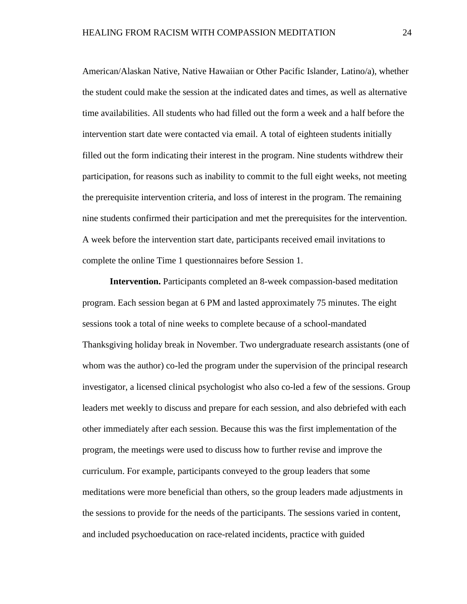American/Alaskan Native, Native Hawaiian or Other Pacific Islander, Latino/a), whether the student could make the session at the indicated dates and times, as well as alternative time availabilities. All students who had filled out the form a week and a half before the intervention start date were contacted via email. A total of eighteen students initially filled out the form indicating their interest in the program. Nine students withdrew their participation, for reasons such as inability to commit to the full eight weeks, not meeting the prerequisite intervention criteria, and loss of interest in the program. The remaining nine students confirmed their participation and met the prerequisites for the intervention. A week before the intervention start date, participants received email invitations to complete the online Time 1 questionnaires before Session 1.

**Intervention.** Participants completed an 8-week compassion-based meditation program. Each session began at 6 PM and lasted approximately 75 minutes. The eight sessions took a total of nine weeks to complete because of a school-mandated Thanksgiving holiday break in November. Two undergraduate research assistants (one of whom was the author) co-led the program under the supervision of the principal research investigator, a licensed clinical psychologist who also co-led a few of the sessions. Group leaders met weekly to discuss and prepare for each session, and also debriefed with each other immediately after each session. Because this was the first implementation of the program, the meetings were used to discuss how to further revise and improve the curriculum. For example, participants conveyed to the group leaders that some meditations were more beneficial than others, so the group leaders made adjustments in the sessions to provide for the needs of the participants. The sessions varied in content, and included psychoeducation on race-related incidents, practice with guided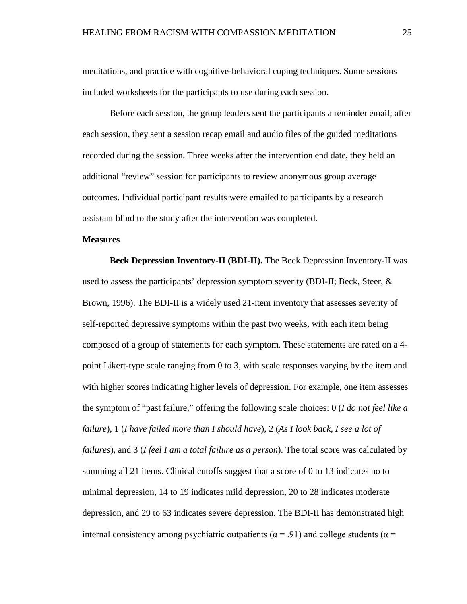meditations, and practice with cognitive-behavioral coping techniques. Some sessions included worksheets for the participants to use during each session.

Before each session, the group leaders sent the participants a reminder email; after each session, they sent a session recap email and audio files of the guided meditations recorded during the session. Three weeks after the intervention end date, they held an additional "review" session for participants to review anonymous group average outcomes. Individual participant results were emailed to participants by a research assistant blind to the study after the intervention was completed.

#### **Measures**

**Beck Depression Inventory-II (BDI-II).** The Beck Depression Inventory-II was used to assess the participants' depression symptom severity (BDI-II; Beck, Steer, & Brown, 1996). The BDI-II is a widely used 21-item inventory that assesses severity of self-reported depressive symptoms within the past two weeks, with each item being composed of a group of statements for each symptom. These statements are rated on a 4 point Likert-type scale ranging from 0 to 3, with scale responses varying by the item and with higher scores indicating higher levels of depression. For example, one item assesses the symptom of "past failure," offering the following scale choices: 0 (*I do not feel like a failure*), 1 (*I have failed more than I should have*), 2 (*As I look back, I see a lot of failures*), and 3 (*I feel I am a total failure as a person*). The total score was calculated by summing all 21 items. Clinical cutoffs suggest that a score of 0 to 13 indicates no to minimal depression, 14 to 19 indicates mild depression, 20 to 28 indicates moderate depression, and 29 to 63 indicates severe depression. The BDI-II has demonstrated high internal consistency among psychiatric outpatients ( $\alpha$  = .91) and college students ( $\alpha$  =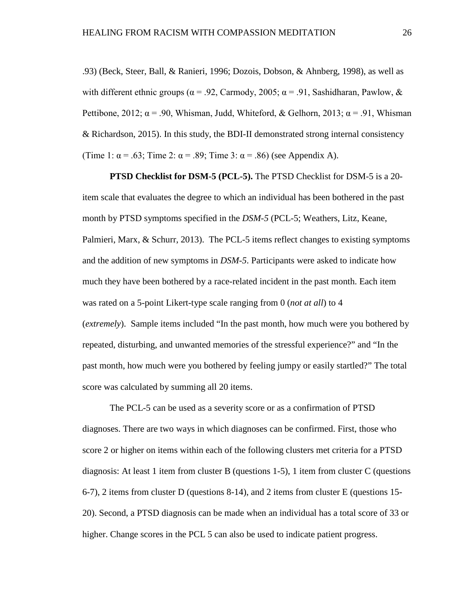.93) (Beck, Steer, Ball, & Ranieri, 1996; Dozois, Dobson, & Ahnberg, 1998), as well as with different ethnic groups ( $\alpha$  = .92, Carmody, 2005;  $\alpha$  = .91, Sashidharan, Pawlow, & Pettibone, 2012;  $\alpha$  = .90, Whisman, Judd, Whiteford, & Gelhorn, 2013;  $\alpha$  = .91, Whisman & Richardson, 2015). In this study, the BDI-II demonstrated strong internal consistency (Time 1:  $\alpha$  = .63; Time 2:  $\alpha$  = .89; Time 3:  $\alpha$  = .86) (see Appendix A).

**PTSD Checklist for DSM-5 (PCL-5).** The PTSD Checklist for DSM-5 is a 20 item scale that evaluates the degree to which an individual has been bothered in the past month by PTSD symptoms specified in the *DSM-5* (PCL-5; Weathers, Litz, Keane, Palmieri, Marx, & Schurr, 2013). The PCL-5 items reflect changes to existing symptoms and the addition of new symptoms in *DSM-5*. Participants were asked to indicate how much they have been bothered by a race-related incident in the past month. Each item was rated on a 5-point Likert-type scale ranging from 0 (*not at all*) to 4 (*extremely*). Sample items included "In the past month, how much were you bothered by repeated, disturbing, and unwanted memories of the stressful experience?" and "In the past month, how much were you bothered by feeling jumpy or easily startled?" The total score was calculated by summing all 20 items.

The PCL-5 can be used as a severity score or as a confirmation of PTSD diagnoses. There are two ways in which diagnoses can be confirmed. First, those who score 2 or higher on items within each of the following clusters met criteria for a PTSD diagnosis: At least 1 item from cluster B (questions 1-5), 1 item from cluster C (questions 6-7), 2 items from cluster D (questions 8-14), and 2 items from cluster E (questions 15- 20). Second, a PTSD diagnosis can be made when an individual has a total score of 33 or higher. Change scores in the PCL 5 can also be used to indicate patient progress.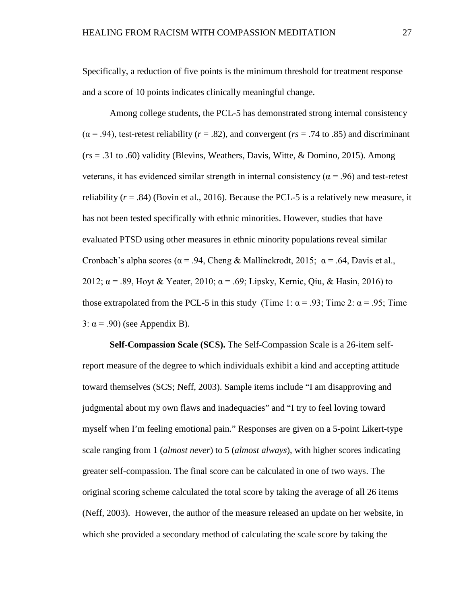Specifically, a reduction of five points is the minimum threshold for treatment response and a score of 10 points indicates clinically meaningful change.

Among college students, the PCL-5 has demonstrated strong internal consistency  $(\alpha = .94)$ , test-retest reliability ( $r = .82$ ), and convergent ( $rs = .74$  to .85) and discriminant (*rs* = .31 to .60) validity (Blevins, Weathers, Davis, Witte, & Domino, 2015). Among veterans, it has evidenced similar strength in internal consistency ( $\alpha$  = .96) and test-retest reliability  $(r = .84)$  (Bovin et al., 2016). Because the PCL-5 is a relatively new measure, it has not been tested specifically with ethnic minorities. However, studies that have evaluated PTSD using other measures in ethnic minority populations reveal similar Cronbach's alpha scores ( $\alpha$  = .94, Cheng & Mallinckrodt, 2015;  $\alpha$  = .64, Davis et al., 2012;  $\alpha$  = .89, Hoyt & Yeater, 2010;  $\alpha$  = .69; Lipsky, Kernic, Qiu, & Hasin, 2016) to those extrapolated from the PCL-5 in this study (Time 1:  $\alpha$  = .93; Time 2:  $\alpha$  = .95; Time 3:  $\alpha$  = .90) (see Appendix B).

**Self-Compassion Scale (SCS).** The Self-Compassion Scale is a 26-item selfreport measure of the degree to which individuals exhibit a kind and accepting attitude toward themselves (SCS; Neff, 2003). Sample items include "I am disapproving and judgmental about my own flaws and inadequacies" and "I try to feel loving toward myself when I'm feeling emotional pain." Responses are given on a 5-point Likert-type scale ranging from 1 (*almost never*) to 5 (*almost always*), with higher scores indicating greater self-compassion. The final score can be calculated in one of two ways. The original scoring scheme calculated the total score by taking the average of all 26 items (Neff, 2003). However, the author of the measure released an update on her website, in which she provided a secondary method of calculating the scale score by taking the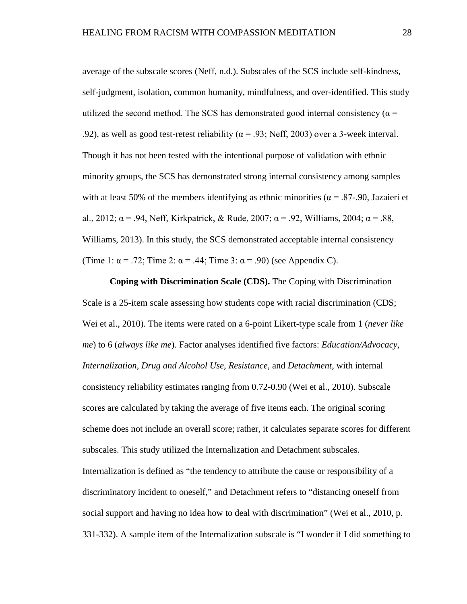average of the subscale scores (Neff, n.d.). Subscales of the SCS include self-kindness, self-judgment, isolation, common humanity, mindfulness, and over-identified. This study utilized the second method. The SCS has demonstrated good internal consistency ( $\alpha$  = .92), as well as good test-retest reliability ( $\alpha$  = .93; Neff, 2003) over a 3-week interval. Though it has not been tested with the intentional purpose of validation with ethnic minority groups, the SCS has demonstrated strong internal consistency among samples with at least 50% of the members identifying as ethnic minorities ( $\alpha$  = .87-.90, Jazaieri et al., 2012;  $\alpha$  = .94, Neff, Kirkpatrick, & Rude, 2007;  $\alpha$  = .92, Williams, 2004;  $\alpha$  = .88, Williams, 2013). In this study, the SCS demonstrated acceptable internal consistency (Time 1:  $\alpha$  = .72; Time 2:  $\alpha$  = .44; Time 3:  $\alpha$  = .90) (see Appendix C).

**Coping with Discrimination Scale (CDS).** The Coping with Discrimination Scale is a 25-item scale assessing how students cope with racial discrimination (CDS; Wei et al., 2010). The items were rated on a 6-point Likert-type scale from 1 (*never like me*) to 6 (*always like me*). Factor analyses identified five factors: *Education/Advocacy*, *Internalization*, *Drug and Alcohol Use*, *Resistance*, and *Detachment*, with internal consistency reliability estimates ranging from 0.72-0.90 (Wei et al., 2010). Subscale scores are calculated by taking the average of five items each. The original scoring scheme does not include an overall score; rather, it calculates separate scores for different subscales. This study utilized the Internalization and Detachment subscales. Internalization is defined as "the tendency to attribute the cause or responsibility of a discriminatory incident to oneself," and Detachment refers to "distancing oneself from social support and having no idea how to deal with discrimination" (Wei et al., 2010, p. 331-332). A sample item of the Internalization subscale is "I wonder if I did something to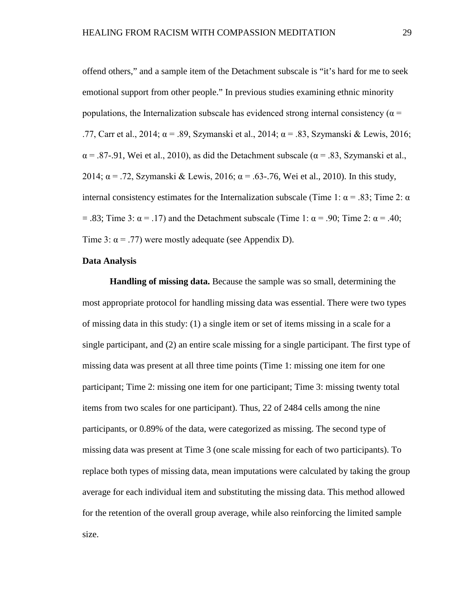offend others," and a sample item of the Detachment subscale is "it's hard for me to seek emotional support from other people." In previous studies examining ethnic minority populations, the Internalization subscale has evidenced strong internal consistency ( $\alpha$  = .77, Carr et al., 2014;  $\alpha$  = .89, Szymanski et al., 2014;  $\alpha$  = .83, Szymanski & Lewis, 2016;  $\alpha$  = .87-.91, Wei et al., 2010), as did the Detachment subscale ( $\alpha$  = .83, Szymanski et al., 2014;  $\alpha$  = .72, Szymanski & Lewis, 2016;  $\alpha$  = .63-.76, Wei et al., 2010). In this study, internal consistency estimates for the Internalization subscale (Time 1:  $\alpha$  = .83; Time 2:  $\alpha$ = .83; Time 3:  $\alpha$  = .17) and the Detachment subscale (Time 1:  $\alpha$  = .90; Time 2:  $\alpha$  = .40; Time 3:  $\alpha$  = .77) were mostly adequate (see Appendix D).

#### **Data Analysis**

**Handling of missing data.** Because the sample was so small, determining the most appropriate protocol for handling missing data was essential. There were two types of missing data in this study: (1) a single item or set of items missing in a scale for a single participant, and (2) an entire scale missing for a single participant. The first type of missing data was present at all three time points (Time 1: missing one item for one participant; Time 2: missing one item for one participant; Time 3: missing twenty total items from two scales for one participant). Thus, 22 of 2484 cells among the nine participants, or 0.89% of the data, were categorized as missing. The second type of missing data was present at Time 3 (one scale missing for each of two participants). To replace both types of missing data, mean imputations were calculated by taking the group average for each individual item and substituting the missing data. This method allowed for the retention of the overall group average, while also reinforcing the limited sample size.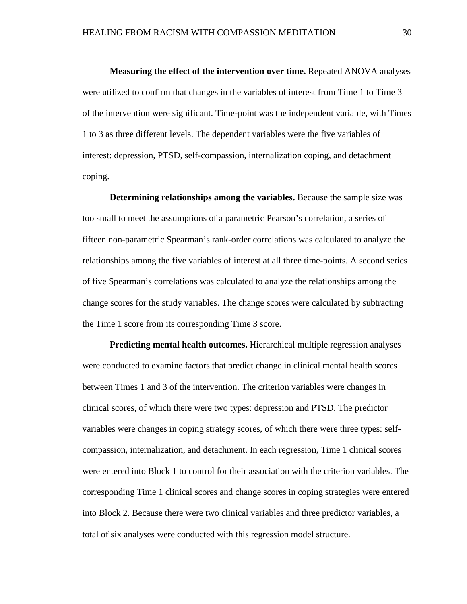**Measuring the effect of the intervention over time.** Repeated ANOVA analyses were utilized to confirm that changes in the variables of interest from Time 1 to Time 3 of the intervention were significant. Time-point was the independent variable, with Times 1 to 3 as three different levels. The dependent variables were the five variables of interest: depression, PTSD, self-compassion, internalization coping, and detachment coping.

**Determining relationships among the variables.** Because the sample size was too small to meet the assumptions of a parametric Pearson's correlation, a series of fifteen non-parametric Spearman's rank-order correlations was calculated to analyze the relationships among the five variables of interest at all three time-points. A second series of five Spearman's correlations was calculated to analyze the relationships among the change scores for the study variables. The change scores were calculated by subtracting the Time 1 score from its corresponding Time 3 score.

**Predicting mental health outcomes.** Hierarchical multiple regression analyses were conducted to examine factors that predict change in clinical mental health scores between Times 1 and 3 of the intervention. The criterion variables were changes in clinical scores, of which there were two types: depression and PTSD. The predictor variables were changes in coping strategy scores, of which there were three types: selfcompassion, internalization, and detachment. In each regression, Time 1 clinical scores were entered into Block 1 to control for their association with the criterion variables. The corresponding Time 1 clinical scores and change scores in coping strategies were entered into Block 2. Because there were two clinical variables and three predictor variables, a total of six analyses were conducted with this regression model structure.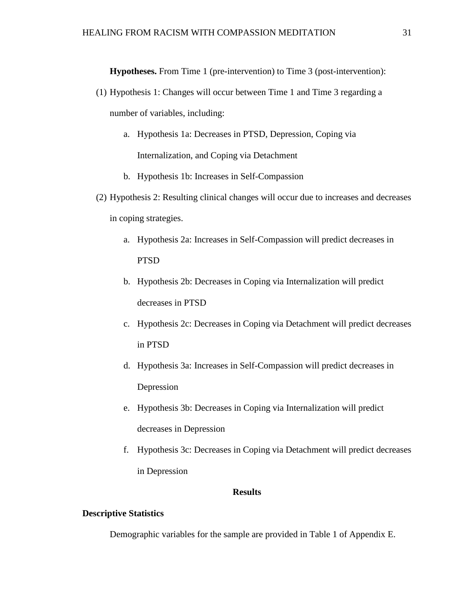**Hypotheses.** From Time 1 (pre-intervention) to Time 3 (post-intervention):

- (1) Hypothesis 1: Changes will occur between Time 1 and Time 3 regarding a number of variables, including:
	- a. Hypothesis 1a: Decreases in PTSD, Depression, Coping via Internalization, and Coping via Detachment
	- b. Hypothesis 1b: Increases in Self-Compassion
- (2) Hypothesis 2: Resulting clinical changes will occur due to increases and decreases in coping strategies.
	- a. Hypothesis 2a: Increases in Self-Compassion will predict decreases in PTSD
	- b. Hypothesis 2b: Decreases in Coping via Internalization will predict decreases in PTSD
	- c. Hypothesis 2c: Decreases in Coping via Detachment will predict decreases in PTSD
	- d. Hypothesis 3a: Increases in Self-Compassion will predict decreases in Depression
	- e. Hypothesis 3b: Decreases in Coping via Internalization will predict decreases in Depression
	- f. Hypothesis 3c: Decreases in Coping via Detachment will predict decreases in Depression

## **Results**

## **Descriptive Statistics**

Demographic variables for the sample are provided in Table 1 of Appendix E.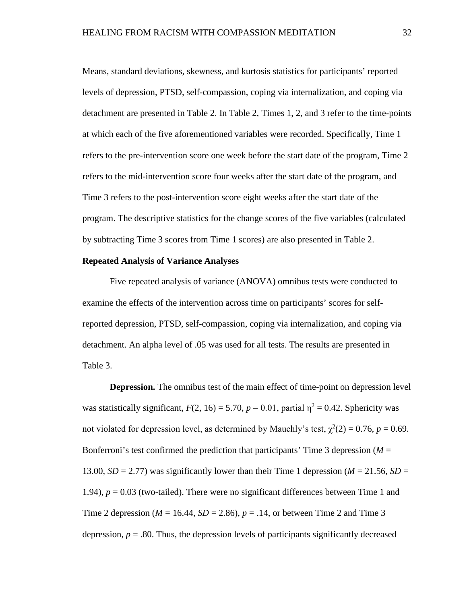Means, standard deviations, skewness, and kurtosis statistics for participants' reported levels of depression, PTSD, self-compassion, coping via internalization, and coping via detachment are presented in Table 2. In Table 2, Times 1, 2, and 3 refer to the time-points at which each of the five aforementioned variables were recorded. Specifically, Time 1 refers to the pre-intervention score one week before the start date of the program, Time 2 refers to the mid-intervention score four weeks after the start date of the program, and Time 3 refers to the post-intervention score eight weeks after the start date of the program. The descriptive statistics for the change scores of the five variables (calculated by subtracting Time 3 scores from Time 1 scores) are also presented in Table 2.

## **Repeated Analysis of Variance Analyses**

Five repeated analysis of variance (ANOVA) omnibus tests were conducted to examine the effects of the intervention across time on participants' scores for selfreported depression, PTSD, self-compassion, coping via internalization, and coping via detachment. An alpha level of .05 was used for all tests. The results are presented in Table 3.

**Depression.** The omnibus test of the main effect of time-point on depression level was statistically significant,  $F(2, 16) = 5.70$ ,  $p = 0.01$ , partial  $\eta^2 = 0.42$ . Sphericity was not violated for depression level, as determined by Mauchly's test,  $\chi^2(2) = 0.76$ ,  $p = 0.69$ . Bonferroni's test confirmed the prediction that participants' Time 3 depression  $(M =$ 13.00,  $SD = 2.77$ ) was significantly lower than their Time 1 depression ( $M = 21.56$ ,  $SD =$ 1.94),  $p = 0.03$  (two-tailed). There were no significant differences between Time 1 and Time 2 depression ( $M = 16.44$ ,  $SD = 2.86$ ),  $p = .14$ , or between Time 2 and Time 3 depression,  $p = 0.80$ . Thus, the depression levels of participants significantly decreased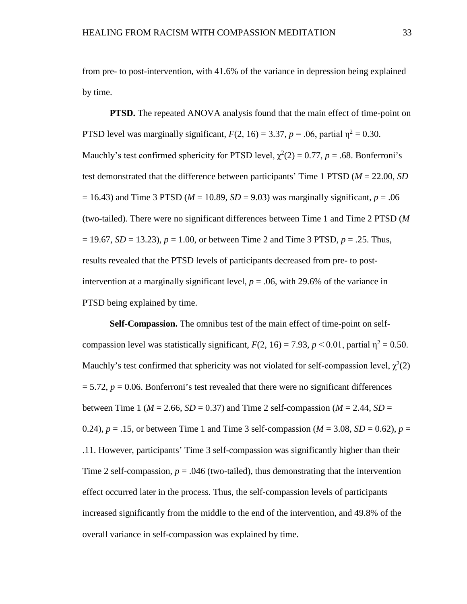from pre- to post-intervention, with 41.6% of the variance in depression being explained by time.

**PTSD.** The repeated ANOVA analysis found that the main effect of time-point on PTSD level was marginally significant,  $F(2, 16) = 3.37$ ,  $p = .06$ , partial  $\eta^2 = 0.30$ . Mauchly's test confirmed sphericity for PTSD level,  $\chi^2(2) = 0.77$ ,  $p = .68$ . Bonferroni's test demonstrated that the difference between participants' Time 1 PTSD (*M* = 22.00, *SD*  $= 16.43$ ) and Time 3 PTSD ( $M = 10.89$ ,  $SD = 9.03$ ) was marginally significant,  $p = .06$ (two-tailed). There were no significant differences between Time 1 and Time 2 PTSD (*M* = 19.67, *SD* = 13.23), *p* = 1.00, or between Time 2 and Time 3 PTSD, *p* = .25. Thus, results revealed that the PTSD levels of participants decreased from pre- to postintervention at a marginally significant level,  $p = .06$ , with 29.6% of the variance in PTSD being explained by time.

**Self-Compassion.** The omnibus test of the main effect of time-point on selfcompassion level was statistically significant,  $F(2, 16) = 7.93$ ,  $p < 0.01$ , partial  $\eta^2 = 0.50$ . Mauchly's test confirmed that sphericity was not violated for self-compassion level,  $\chi^2(2)$  $= 5.72$ ,  $p = 0.06$ . Bonferroni's test revealed that there were no significant differences between Time 1 ( $M = 2.66$ ,  $SD = 0.37$ ) and Time 2 self-compassion ( $M = 2.44$ ,  $SD =$ 0.24),  $p = .15$ , or between Time 1 and Time 3 self-compassion ( $M = 3.08$ ,  $SD = 0.62$ ),  $p =$ .11. However, participants' Time 3 self-compassion was significantly higher than their Time 2 self-compassion,  $p = .046$  (two-tailed), thus demonstrating that the intervention effect occurred later in the process. Thus, the self-compassion levels of participants increased significantly from the middle to the end of the intervention, and 49.8% of the overall variance in self-compassion was explained by time.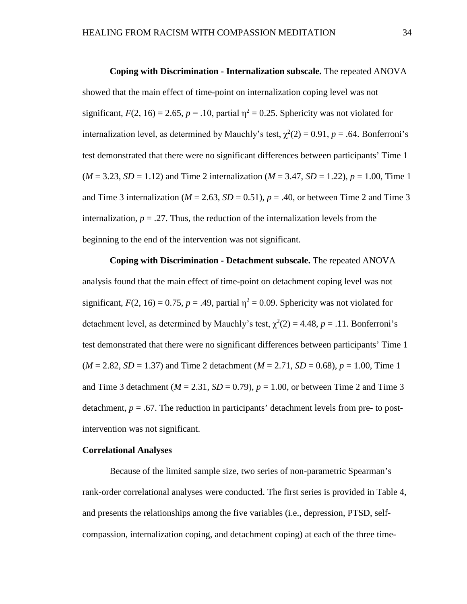**Coping with Discrimination - Internalization subscale.** The repeated ANOVA showed that the main effect of time-point on internalization coping level was not significant,  $F(2, 16) = 2.65$ ,  $p = .10$ , partial  $\eta^2 = 0.25$ . Sphericity was not violated for internalization level, as determined by Mauchly's test,  $\chi^2(2) = 0.91$ ,  $p = .64$ . Bonferroni's test demonstrated that there were no significant differences between participants' Time 1  $(M = 3.23, SD = 1.12)$  and Time 2 internalization  $(M = 3.47, SD = 1.22)$ ,  $p = 1.00$ , Time 1 and Time 3 internalization ( $M = 2.63$ ,  $SD = 0.51$ ),  $p = .40$ , or between Time 2 and Time 3 internalization,  $p = 0.27$ . Thus, the reduction of the internalization levels from the beginning to the end of the intervention was not significant.

**Coping with Discrimination - Detachment subscale.** The repeated ANOVA analysis found that the main effect of time-point on detachment coping level was not significant,  $F(2, 16) = 0.75$ ,  $p = .49$ , partial  $\eta^2 = 0.09$ . Sphericity was not violated for detachment level, as determined by Mauchly's test,  $\chi^2(2) = 4.48$ ,  $p = .11$ . Bonferroni's test demonstrated that there were no significant differences between participants' Time 1  $(M = 2.82, SD = 1.37)$  and Time 2 detachment  $(M = 2.71, SD = 0.68)$ ,  $p = 1.00$ , Time 1 and Time 3 detachment ( $M = 2.31$ ,  $SD = 0.79$ ),  $p = 1.00$ , or between Time 2 and Time 3 detachment,  $p = 0.67$ . The reduction in participants' detachment levels from pre- to postintervention was not significant.

# **Correlational Analyses**

Because of the limited sample size, two series of non-parametric Spearman's rank-order correlational analyses were conducted. The first series is provided in Table 4, and presents the relationships among the five variables (i.e., depression, PTSD, selfcompassion, internalization coping, and detachment coping) at each of the three time-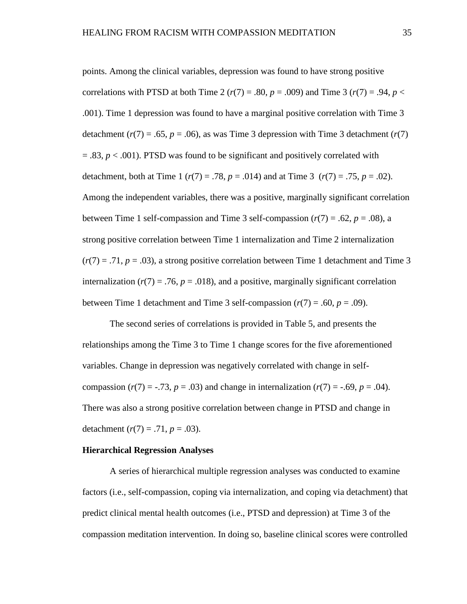points. Among the clinical variables, depression was found to have strong positive correlations with PTSD at both Time 2 ( $r(7) = .80$ ,  $p = .009$ ) and Time 3 ( $r(7) = .94$ ,  $p <$ .001). Time 1 depression was found to have a marginal positive correlation with Time 3 detachment ( $r(7) = .65$ ,  $p = .06$ ), as was Time 3 depression with Time 3 detachment ( $r(7)$ )  $= 0.83$ ,  $p < 0.001$ ). PTSD was found to be significant and positively correlated with detachment, both at Time 1 ( $r(7) = .78$ ,  $p = .014$ ) and at Time 3 ( $r(7) = .75$ ,  $p = .02$ ). Among the independent variables, there was a positive, marginally significant correlation between Time 1 self-compassion and Time 3 self-compassion  $(r(7) = .62, p = .08)$ , a strong positive correlation between Time 1 internalization and Time 2 internalization  $(r(7) = .71, p = .03)$ , a strong positive correlation between Time 1 detachment and Time 3 internalization ( $r(7) = .76$ ,  $p = .018$ ), and a positive, marginally significant correlation between Time 1 detachment and Time 3 self-compassion  $(r(7) = .60, p = .09)$ .

The second series of correlations is provided in Table 5, and presents the relationships among the Time 3 to Time 1 change scores for the five aforementioned variables. Change in depression was negatively correlated with change in selfcompassion ( $r(7) = -.73$ ,  $p = .03$ ) and change in internalization ( $r(7) = -.69$ ,  $p = .04$ ). There was also a strong positive correlation between change in PTSD and change in detachment  $(r(7) = .71, p = .03)$ .

## **Hierarchical Regression Analyses**

A series of hierarchical multiple regression analyses was conducted to examine factors (i.e., self-compassion, coping via internalization, and coping via detachment) that predict clinical mental health outcomes (i.e., PTSD and depression) at Time 3 of the compassion meditation intervention. In doing so, baseline clinical scores were controlled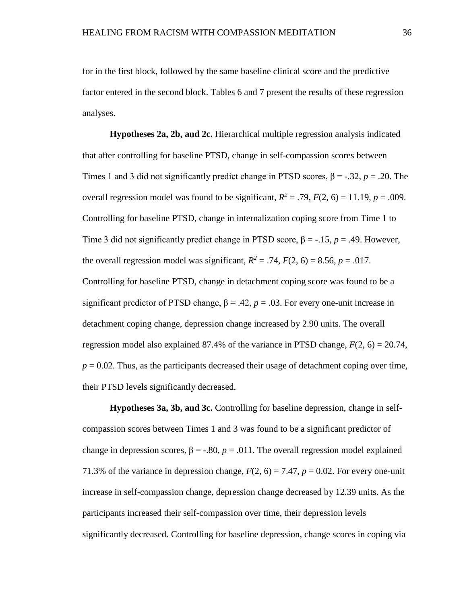for in the first block, followed by the same baseline clinical score and the predictive factor entered in the second block. Tables 6 and 7 present the results of these regression analyses.

**Hypotheses 2a, 2b, and 2c.** Hierarchical multiple regression analysis indicated that after controlling for baseline PTSD, change in self-compassion scores between Times 1 and 3 did not significantly predict change in PTSD scores, β = -.32, *p* = .20. The overall regression model was found to be significant,  $R^2 = .79$ ,  $F(2, 6) = 11.19$ ,  $p = .009$ . Controlling for baseline PTSD, change in internalization coping score from Time 1 to Time 3 did not significantly predict change in PTSD score, β = -.15, *p* = .49. However, the overall regression model was significant,  $R^2 = .74$ ,  $F(2, 6) = 8.56$ ,  $p = .017$ . Controlling for baseline PTSD, change in detachment coping score was found to be a significant predictor of PTSD change,  $\beta = .42$ ,  $p = .03$ . For every one-unit increase in detachment coping change, depression change increased by 2.90 units. The overall regression model also explained 87.4% of the variance in PTSD change,  $F(2, 6) = 20.74$ ,  $p = 0.02$ . Thus, as the participants decreased their usage of detachment coping over time, their PTSD levels significantly decreased.

**Hypotheses 3a, 3b, and 3c.** Controlling for baseline depression, change in selfcompassion scores between Times 1 and 3 was found to be a significant predictor of change in depression scores,  $\beta = -0.80$ ,  $p = 0.011$ . The overall regression model explained 71.3% of the variance in depression change,  $F(2, 6) = 7.47$ ,  $p = 0.02$ . For every one-unit increase in self-compassion change, depression change decreased by 12.39 units. As the participants increased their self-compassion over time, their depression levels significantly decreased. Controlling for baseline depression, change scores in coping via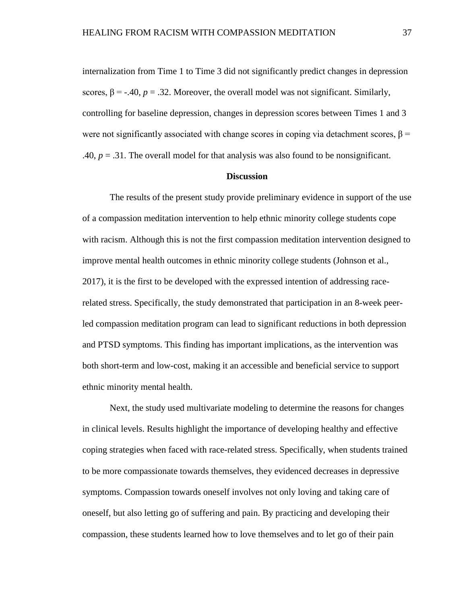internalization from Time 1 to Time 3 did not significantly predict changes in depression scores,  $\beta$  = -.40, *p* = .32. Moreover, the overall model was not significant. Similarly, controlling for baseline depression, changes in depression scores between Times 1 and 3 were not significantly associated with change scores in coping via detachment scores,  $\beta$  = .40,  $p = 0.31$ . The overall model for that analysis was also found to be nonsignificant.

# **Discussion**

The results of the present study provide preliminary evidence in support of the use of a compassion meditation intervention to help ethnic minority college students cope with racism. Although this is not the first compassion meditation intervention designed to improve mental health outcomes in ethnic minority college students (Johnson et al., 2017), it is the first to be developed with the expressed intention of addressing racerelated stress. Specifically, the study demonstrated that participation in an 8-week peerled compassion meditation program can lead to significant reductions in both depression and PTSD symptoms. This finding has important implications, as the intervention was both short-term and low-cost, making it an accessible and beneficial service to support ethnic minority mental health.

Next, the study used multivariate modeling to determine the reasons for changes in clinical levels. Results highlight the importance of developing healthy and effective coping strategies when faced with race-related stress. Specifically, when students trained to be more compassionate towards themselves, they evidenced decreases in depressive symptoms. Compassion towards oneself involves not only loving and taking care of oneself, but also letting go of suffering and pain. By practicing and developing their compassion, these students learned how to love themselves and to let go of their pain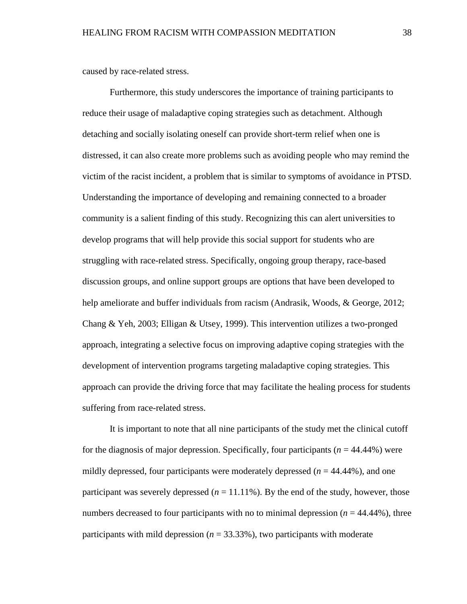caused by race-related stress.

Furthermore, this study underscores the importance of training participants to reduce their usage of maladaptive coping strategies such as detachment. Although detaching and socially isolating oneself can provide short-term relief when one is distressed, it can also create more problems such as avoiding people who may remind the victim of the racist incident, a problem that is similar to symptoms of avoidance in PTSD. Understanding the importance of developing and remaining connected to a broader community is a salient finding of this study. Recognizing this can alert universities to develop programs that will help provide this social support for students who are struggling with race-related stress. Specifically, ongoing group therapy, race-based discussion groups, and online support groups are options that have been developed to help ameliorate and buffer individuals from racism (Andrasik, Woods, & George, 2012; Chang & Yeh, 2003; Elligan & Utsey, 1999). This intervention utilizes a two-pronged approach, integrating a selective focus on improving adaptive coping strategies with the development of intervention programs targeting maladaptive coping strategies. This approach can provide the driving force that may facilitate the healing process for students suffering from race-related stress.

It is important to note that all nine participants of the study met the clinical cutoff for the diagnosis of major depression. Specifically, four participants (*n* = 44.44%) were mildly depressed, four participants were moderately depressed  $(n = 44.44\%)$ , and one participant was severely depressed  $(n = 11.11\%)$ . By the end of the study, however, those numbers decreased to four participants with no to minimal depression  $(n = 44.44\%)$ , three participants with mild depression ( $n = 33.33\%$ ), two participants with moderate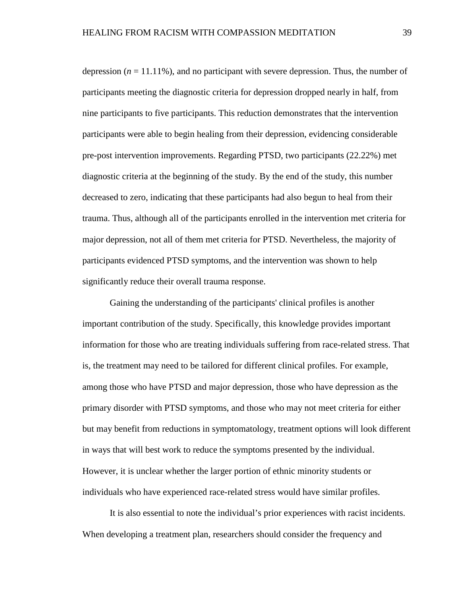depression  $(n = 11.11\%)$ , and no participant with severe depression. Thus, the number of participants meeting the diagnostic criteria for depression dropped nearly in half, from nine participants to five participants. This reduction demonstrates that the intervention participants were able to begin healing from their depression, evidencing considerable pre-post intervention improvements. Regarding PTSD, two participants (22.22%) met diagnostic criteria at the beginning of the study. By the end of the study, this number decreased to zero, indicating that these participants had also begun to heal from their trauma. Thus, although all of the participants enrolled in the intervention met criteria for major depression, not all of them met criteria for PTSD. Nevertheless, the majority of participants evidenced PTSD symptoms, and the intervention was shown to help significantly reduce their overall trauma response.

Gaining the understanding of the participants' clinical profiles is another important contribution of the study. Specifically, this knowledge provides important information for those who are treating individuals suffering from race-related stress. That is, the treatment may need to be tailored for different clinical profiles. For example, among those who have PTSD and major depression, those who have depression as the primary disorder with PTSD symptoms, and those who may not meet criteria for either but may benefit from reductions in symptomatology, treatment options will look different in ways that will best work to reduce the symptoms presented by the individual. However, it is unclear whether the larger portion of ethnic minority students or individuals who have experienced race-related stress would have similar profiles.

It is also essential to note the individual's prior experiences with racist incidents. When developing a treatment plan, researchers should consider the frequency and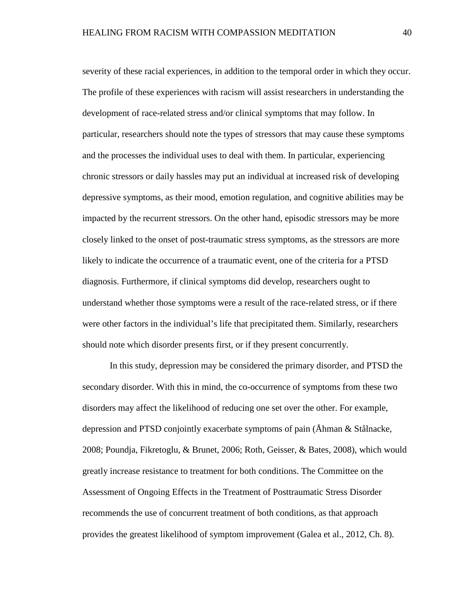severity of these racial experiences, in addition to the temporal order in which they occur. The profile of these experiences with racism will assist researchers in understanding the development of race-related stress and/or clinical symptoms that may follow. In particular, researchers should note the types of stressors that may cause these symptoms and the processes the individual uses to deal with them. In particular, experiencing chronic stressors or daily hassles may put an individual at increased risk of developing depressive symptoms, as their mood, emotion regulation, and cognitive abilities may be impacted by the recurrent stressors. On the other hand, episodic stressors may be more closely linked to the onset of post-traumatic stress symptoms, as the stressors are more likely to indicate the occurrence of a traumatic event, one of the criteria for a PTSD diagnosis. Furthermore, if clinical symptoms did develop, researchers ought to understand whether those symptoms were a result of the race-related stress, or if there were other factors in the individual's life that precipitated them. Similarly, researchers should note which disorder presents first, or if they present concurrently.

In this study, depression may be considered the primary disorder, and PTSD the secondary disorder. With this in mind, the co-occurrence of symptoms from these two disorders may affect the likelihood of reducing one set over the other. For example, depression and PTSD conjointly exacerbate symptoms of pain (Åhman & Stålnacke, 2008; Poundja, Fikretoglu, & Brunet, 2006; Roth, Geisser, & Bates, 2008), which would greatly increase resistance to treatment for both conditions. The Committee on the Assessment of Ongoing Effects in the Treatment of Posttraumatic Stress Disorder recommends the use of concurrent treatment of both conditions, as that approach provides the greatest likelihood of symptom improvement (Galea et al., 2012, Ch. 8).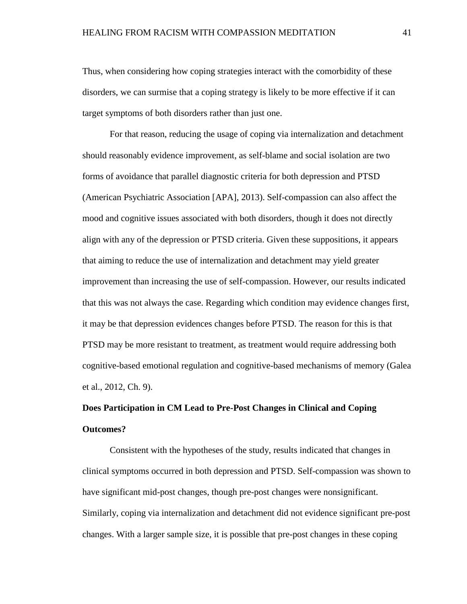Thus, when considering how coping strategies interact with the comorbidity of these disorders, we can surmise that a coping strategy is likely to be more effective if it can target symptoms of both disorders rather than just one.

For that reason, reducing the usage of coping via internalization and detachment should reasonably evidence improvement, as self-blame and social isolation are two forms of avoidance that parallel diagnostic criteria for both depression and PTSD (American Psychiatric Association [APA], 2013). Self-compassion can also affect the mood and cognitive issues associated with both disorders, though it does not directly align with any of the depression or PTSD criteria. Given these suppositions, it appears that aiming to reduce the use of internalization and detachment may yield greater improvement than increasing the use of self-compassion. However, our results indicated that this was not always the case. Regarding which condition may evidence changes first, it may be that depression evidences changes before PTSD. The reason for this is that PTSD may be more resistant to treatment, as treatment would require addressing both cognitive-based emotional regulation and cognitive-based mechanisms of memory (Galea et al., 2012, Ch. 9).

# **Does Participation in CM Lead to Pre-Post Changes in Clinical and Coping Outcomes?**

Consistent with the hypotheses of the study, results indicated that changes in clinical symptoms occurred in both depression and PTSD. Self-compassion was shown to have significant mid-post changes, though pre-post changes were nonsignificant. Similarly, coping via internalization and detachment did not evidence significant pre-post changes. With a larger sample size, it is possible that pre-post changes in these coping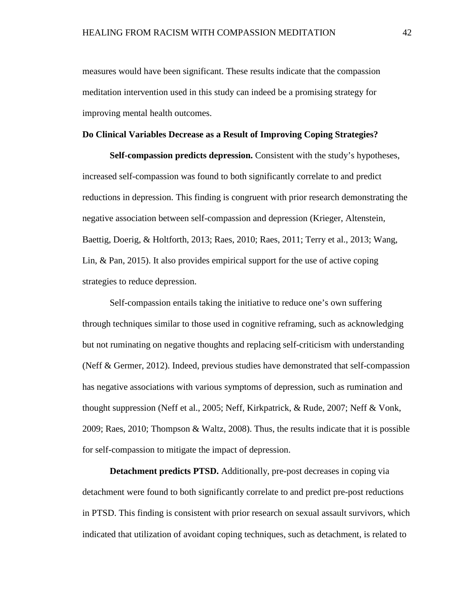measures would have been significant. These results indicate that the compassion meditation intervention used in this study can indeed be a promising strategy for improving mental health outcomes.

#### **Do Clinical Variables Decrease as a Result of Improving Coping Strategies?**

**Self-compassion predicts depression.** Consistent with the study's hypotheses, increased self-compassion was found to both significantly correlate to and predict reductions in depression. This finding is congruent with prior research demonstrating the negative association between self-compassion and depression (Krieger, Altenstein, Baettig, Doerig, & Holtforth, 2013; Raes, 2010; Raes, 2011; Terry et al., 2013; Wang, Lin, & Pan, 2015). It also provides empirical support for the use of active coping strategies to reduce depression.

Self-compassion entails taking the initiative to reduce one's own suffering through techniques similar to those used in cognitive reframing, such as acknowledging but not ruminating on negative thoughts and replacing self-criticism with understanding (Neff & Germer, 2012). Indeed, previous studies have demonstrated that self-compassion has negative associations with various symptoms of depression, such as rumination and thought suppression (Neff et al., 2005; Neff, Kirkpatrick, & Rude, 2007; Neff & Vonk, 2009; Raes, 2010; Thompson & Waltz, 2008). Thus, the results indicate that it is possible for self-compassion to mitigate the impact of depression.

**Detachment predicts PTSD.** Additionally, pre-post decreases in coping via detachment were found to both significantly correlate to and predict pre-post reductions in PTSD. This finding is consistent with prior research on sexual assault survivors, which indicated that utilization of avoidant coping techniques, such as detachment, is related to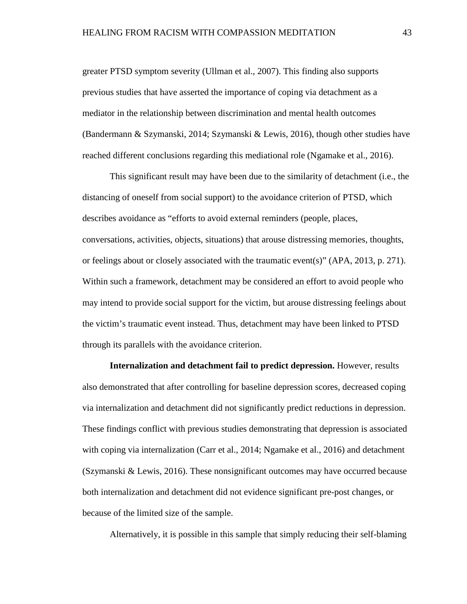greater PTSD symptom severity (Ullman et al., 2007). This finding also supports previous studies that have asserted the importance of coping via detachment as a mediator in the relationship between discrimination and mental health outcomes (Bandermann & Szymanski, 2014; Szymanski & Lewis, 2016), though other studies have reached different conclusions regarding this mediational role (Ngamake et al., 2016).

This significant result may have been due to the similarity of detachment (i.e., the distancing of oneself from social support) to the avoidance criterion of PTSD, which describes avoidance as "efforts to avoid external reminders (people, places, conversations, activities, objects, situations) that arouse distressing memories, thoughts, or feelings about or closely associated with the traumatic event(s)" (APA, 2013, p. 271). Within such a framework, detachment may be considered an effort to avoid people who may intend to provide social support for the victim, but arouse distressing feelings about the victim's traumatic event instead. Thus, detachment may have been linked to PTSD through its parallels with the avoidance criterion.

**Internalization and detachment fail to predict depression.** However, results also demonstrated that after controlling for baseline depression scores, decreased coping via internalization and detachment did not significantly predict reductions in depression. These findings conflict with previous studies demonstrating that depression is associated with coping via internalization (Carr et al., 2014; Ngamake et al., 2016) and detachment (Szymanski & Lewis, 2016). These nonsignificant outcomes may have occurred because both internalization and detachment did not evidence significant pre-post changes, or because of the limited size of the sample.

Alternatively, it is possible in this sample that simply reducing their self-blaming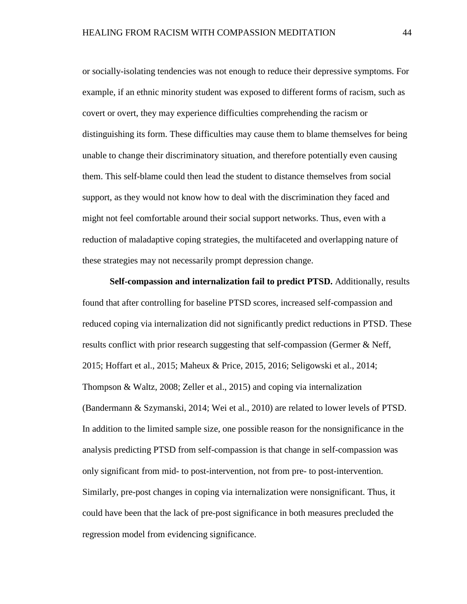or socially-isolating tendencies was not enough to reduce their depressive symptoms. For example, if an ethnic minority student was exposed to different forms of racism, such as covert or overt, they may experience difficulties comprehending the racism or distinguishing its form. These difficulties may cause them to blame themselves for being unable to change their discriminatory situation, and therefore potentially even causing them. This self-blame could then lead the student to distance themselves from social support, as they would not know how to deal with the discrimination they faced and might not feel comfortable around their social support networks. Thus, even with a reduction of maladaptive coping strategies, the multifaceted and overlapping nature of these strategies may not necessarily prompt depression change.

**Self-compassion and internalization fail to predict PTSD.** Additionally, results found that after controlling for baseline PTSD scores, increased self-compassion and reduced coping via internalization did not significantly predict reductions in PTSD. These results conflict with prior research suggesting that self-compassion (Germer & Neff, 2015; Hoffart et al., 2015; Maheux & Price, 2015, 2016; Seligowski et al., 2014; Thompson & Waltz, 2008; Zeller et al., 2015) and coping via internalization (Bandermann & Szymanski, 2014; Wei et al., 2010) are related to lower levels of PTSD. In addition to the limited sample size, one possible reason for the nonsignificance in the analysis predicting PTSD from self-compassion is that change in self-compassion was only significant from mid- to post-intervention, not from pre- to post-intervention. Similarly, pre-post changes in coping via internalization were nonsignificant. Thus, it could have been that the lack of pre-post significance in both measures precluded the regression model from evidencing significance.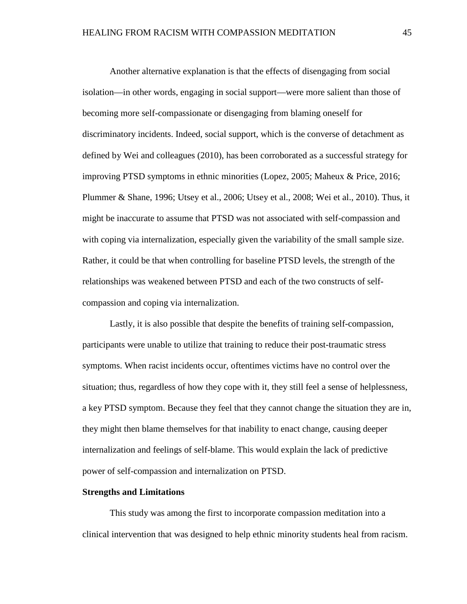Another alternative explanation is that the effects of disengaging from social isolation—in other words, engaging in social support—were more salient than those of becoming more self-compassionate or disengaging from blaming oneself for discriminatory incidents. Indeed, social support, which is the converse of detachment as defined by Wei and colleagues (2010), has been corroborated as a successful strategy for improving PTSD symptoms in ethnic minorities (Lopez, 2005; Maheux & Price, 2016; Plummer & Shane, 1996; Utsey et al., 2006; Utsey et al., 2008; Wei et al., 2010). Thus, it might be inaccurate to assume that PTSD was not associated with self-compassion and with coping via internalization, especially given the variability of the small sample size. Rather, it could be that when controlling for baseline PTSD levels, the strength of the relationships was weakened between PTSD and each of the two constructs of selfcompassion and coping via internalization.

Lastly, it is also possible that despite the benefits of training self-compassion, participants were unable to utilize that training to reduce their post-traumatic stress symptoms. When racist incidents occur, oftentimes victims have no control over the situation; thus, regardless of how they cope with it, they still feel a sense of helplessness, a key PTSD symptom. Because they feel that they cannot change the situation they are in, they might then blame themselves for that inability to enact change, causing deeper internalization and feelings of self-blame. This would explain the lack of predictive power of self-compassion and internalization on PTSD.

#### **Strengths and Limitations**

This study was among the first to incorporate compassion meditation into a clinical intervention that was designed to help ethnic minority students heal from racism.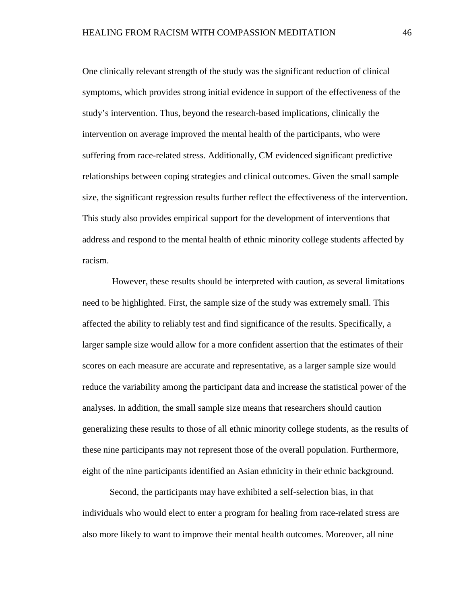One clinically relevant strength of the study was the significant reduction of clinical symptoms, which provides strong initial evidence in support of the effectiveness of the study's intervention. Thus, beyond the research-based implications, clinically the intervention on average improved the mental health of the participants, who were suffering from race-related stress. Additionally, CM evidenced significant predictive relationships between coping strategies and clinical outcomes. Given the small sample size, the significant regression results further reflect the effectiveness of the intervention. This study also provides empirical support for the development of interventions that address and respond to the mental health of ethnic minority college students affected by racism.

However, these results should be interpreted with caution, as several limitations need to be highlighted. First, the sample size of the study was extremely small. This affected the ability to reliably test and find significance of the results. Specifically, a larger sample size would allow for a more confident assertion that the estimates of their scores on each measure are accurate and representative, as a larger sample size would reduce the variability among the participant data and increase the statistical power of the analyses. In addition, the small sample size means that researchers should caution generalizing these results to those of all ethnic minority college students, as the results of these nine participants may not represent those of the overall population. Furthermore, eight of the nine participants identified an Asian ethnicity in their ethnic background.

Second, the participants may have exhibited a self-selection bias, in that individuals who would elect to enter a program for healing from race-related stress are also more likely to want to improve their mental health outcomes. Moreover, all nine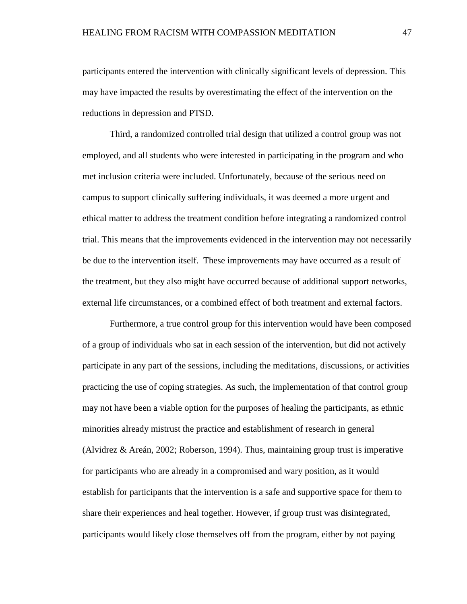participants entered the intervention with clinically significant levels of depression. This may have impacted the results by overestimating the effect of the intervention on the reductions in depression and PTSD.

Third, a randomized controlled trial design that utilized a control group was not employed, and all students who were interested in participating in the program and who met inclusion criteria were included. Unfortunately, because of the serious need on campus to support clinically suffering individuals, it was deemed a more urgent and ethical matter to address the treatment condition before integrating a randomized control trial. This means that the improvements evidenced in the intervention may not necessarily be due to the intervention itself. These improvements may have occurred as a result of the treatment, but they also might have occurred because of additional support networks, external life circumstances, or a combined effect of both treatment and external factors.

Furthermore, a true control group for this intervention would have been composed of a group of individuals who sat in each session of the intervention, but did not actively participate in any part of the sessions, including the meditations, discussions, or activities practicing the use of coping strategies. As such, the implementation of that control group may not have been a viable option for the purposes of healing the participants, as ethnic minorities already mistrust the practice and establishment of research in general (Alvidrez & Areán, 2002; Roberson, 1994). Thus, maintaining group trust is imperative for participants who are already in a compromised and wary position, as it would establish for participants that the intervention is a safe and supportive space for them to share their experiences and heal together. However, if group trust was disintegrated, participants would likely close themselves off from the program, either by not paying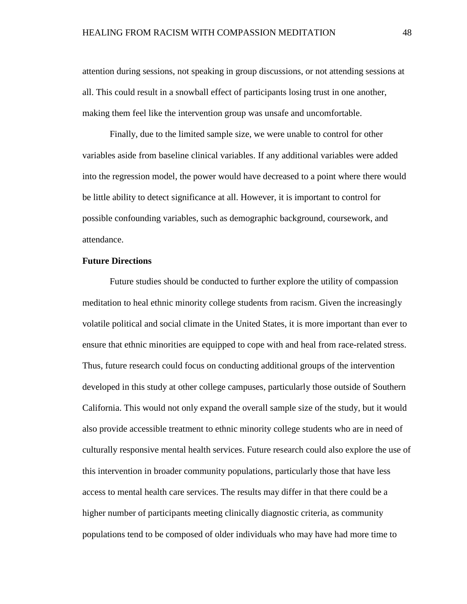attention during sessions, not speaking in group discussions, or not attending sessions at all. This could result in a snowball effect of participants losing trust in one another, making them feel like the intervention group was unsafe and uncomfortable.

Finally, due to the limited sample size, we were unable to control for other variables aside from baseline clinical variables. If any additional variables were added into the regression model, the power would have decreased to a point where there would be little ability to detect significance at all. However, it is important to control for possible confounding variables, such as demographic background, coursework, and attendance.

# **Future Directions**

Future studies should be conducted to further explore the utility of compassion meditation to heal ethnic minority college students from racism. Given the increasingly volatile political and social climate in the United States, it is more important than ever to ensure that ethnic minorities are equipped to cope with and heal from race-related stress. Thus, future research could focus on conducting additional groups of the intervention developed in this study at other college campuses, particularly those outside of Southern California. This would not only expand the overall sample size of the study, but it would also provide accessible treatment to ethnic minority college students who are in need of culturally responsive mental health services. Future research could also explore the use of this intervention in broader community populations, particularly those that have less access to mental health care services. The results may differ in that there could be a higher number of participants meeting clinically diagnostic criteria, as community populations tend to be composed of older individuals who may have had more time to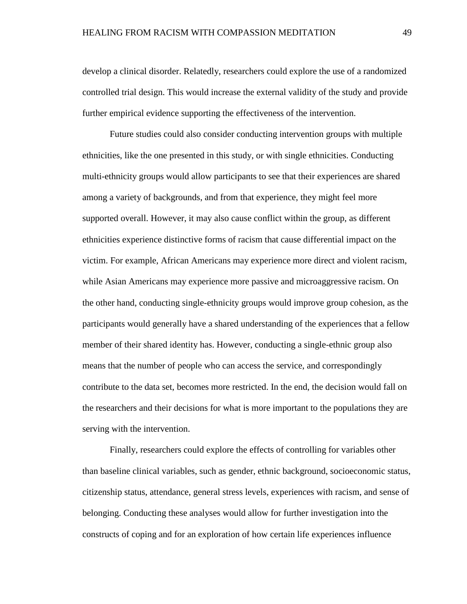develop a clinical disorder. Relatedly, researchers could explore the use of a randomized controlled trial design. This would increase the external validity of the study and provide further empirical evidence supporting the effectiveness of the intervention.

Future studies could also consider conducting intervention groups with multiple ethnicities, like the one presented in this study, or with single ethnicities. Conducting multi-ethnicity groups would allow participants to see that their experiences are shared among a variety of backgrounds, and from that experience, they might feel more supported overall. However, it may also cause conflict within the group, as different ethnicities experience distinctive forms of racism that cause differential impact on the victim. For example, African Americans may experience more direct and violent racism, while Asian Americans may experience more passive and microaggressive racism. On the other hand, conducting single-ethnicity groups would improve group cohesion, as the participants would generally have a shared understanding of the experiences that a fellow member of their shared identity has. However, conducting a single-ethnic group also means that the number of people who can access the service, and correspondingly contribute to the data set, becomes more restricted. In the end, the decision would fall on the researchers and their decisions for what is more important to the populations they are serving with the intervention.

Finally, researchers could explore the effects of controlling for variables other than baseline clinical variables, such as gender, ethnic background, socioeconomic status, citizenship status, attendance, general stress levels, experiences with racism, and sense of belonging. Conducting these analyses would allow for further investigation into the constructs of coping and for an exploration of how certain life experiences influence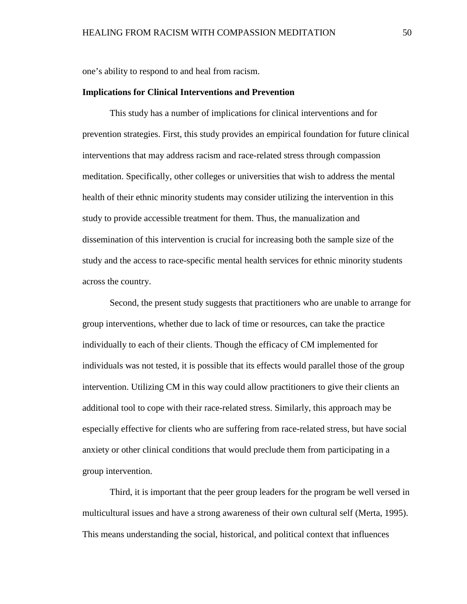one's ability to respond to and heal from racism.

#### **Implications for Clinical Interventions and Prevention**

This study has a number of implications for clinical interventions and for prevention strategies. First, this study provides an empirical foundation for future clinical interventions that may address racism and race-related stress through compassion meditation. Specifically, other colleges or universities that wish to address the mental health of their ethnic minority students may consider utilizing the intervention in this study to provide accessible treatment for them. Thus, the manualization and dissemination of this intervention is crucial for increasing both the sample size of the study and the access to race-specific mental health services for ethnic minority students across the country.

Second, the present study suggests that practitioners who are unable to arrange for group interventions, whether due to lack of time or resources, can take the practice individually to each of their clients. Though the efficacy of CM implemented for individuals was not tested, it is possible that its effects would parallel those of the group intervention. Utilizing CM in this way could allow practitioners to give their clients an additional tool to cope with their race-related stress. Similarly, this approach may be especially effective for clients who are suffering from race-related stress, but have social anxiety or other clinical conditions that would preclude them from participating in a group intervention.

Third, it is important that the peer group leaders for the program be well versed in multicultural issues and have a strong awareness of their own cultural self (Merta, 1995). This means understanding the social, historical, and political context that influences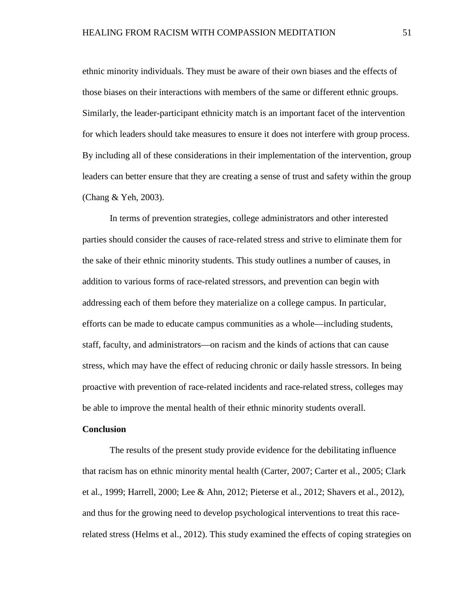ethnic minority individuals. They must be aware of their own biases and the effects of those biases on their interactions with members of the same or different ethnic groups. Similarly, the leader-participant ethnicity match is an important facet of the intervention for which leaders should take measures to ensure it does not interfere with group process. By including all of these considerations in their implementation of the intervention, group leaders can better ensure that they are creating a sense of trust and safety within the group (Chang & Yeh, 2003).

In terms of prevention strategies, college administrators and other interested parties should consider the causes of race-related stress and strive to eliminate them for the sake of their ethnic minority students. This study outlines a number of causes, in addition to various forms of race-related stressors, and prevention can begin with addressing each of them before they materialize on a college campus. In particular, efforts can be made to educate campus communities as a whole—including students, staff, faculty, and administrators—on racism and the kinds of actions that can cause stress, which may have the effect of reducing chronic or daily hassle stressors. In being proactive with prevention of race-related incidents and race-related stress, colleges may be able to improve the mental health of their ethnic minority students overall.

#### **Conclusion**

The results of the present study provide evidence for the debilitating influence that racism has on ethnic minority mental health (Carter, 2007; Carter et al., 2005; Clark et al., 1999; Harrell, 2000; Lee & Ahn, 2012; Pieterse et al., 2012; Shavers et al., 2012), and thus for the growing need to develop psychological interventions to treat this racerelated stress (Helms et al., 2012). This study examined the effects of coping strategies on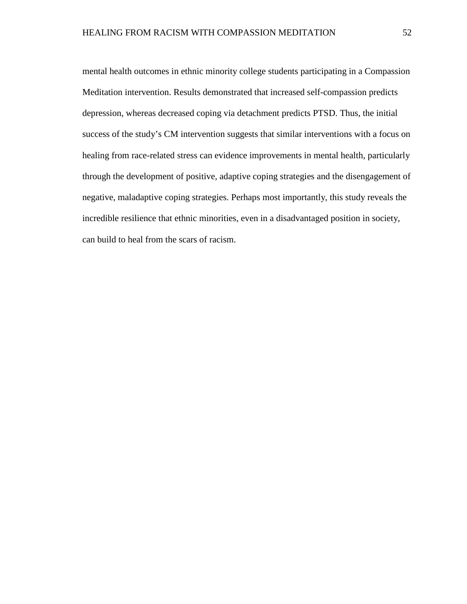mental health outcomes in ethnic minority college students participating in a Compassion Meditation intervention. Results demonstrated that increased self-compassion predicts depression, whereas decreased coping via detachment predicts PTSD. Thus, the initial success of the study's CM intervention suggests that similar interventions with a focus on healing from race-related stress can evidence improvements in mental health, particularly through the development of positive, adaptive coping strategies and the disengagement of negative, maladaptive coping strategies. Perhaps most importantly, this study reveals the incredible resilience that ethnic minorities, even in a disadvantaged position in society, can build to heal from the scars of racism.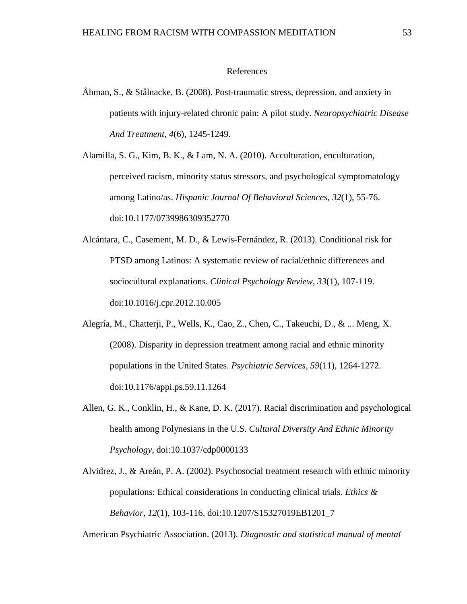## References

Åhman, S., & Stålnacke, B. (2008). Post-traumatic stress, depression, and anxiety in patients with injury-related chronic pain: A pilot study. *Neuropsychiatric Disease And Treatment*, *4*(6), 1245-1249.

Alamilla, S. G., Kim, B. K., & Lam, N. A. (2010). Acculturation, enculturation, perceived racism, minority status stressors, and psychological symptomatology among Latino/as. *Hispanic Journal Of Behavioral Sciences, 32*(1), 55-76. doi:10.1177/0739986309352770

Alcántara, C., Casement, M. D., & Lewis-Fernández, R. (2013). Conditional risk for PTSD among Latinos: A systematic review of racial/ethnic differences and sociocultural explanations. *Clinical Psychology Review, 33*(1), 107-119. doi:10.1016/j.cpr.2012.10.005

- Alegría, M., Chatterji, P., Wells, K., Cao, Z., Chen, C., Takeuchi, D., & ... Meng, X. (2008). Disparity in depression treatment among racial and ethnic minority populations in the United States. *Psychiatric Services, 59*(11), 1264-1272. doi:10.1176/appi.ps.59.11.1264
- Allen, G. K., Conklin, H., & Kane, D. K. (2017). Racial discrimination and psychological health among Polynesians in the U.S. *Cultural Diversity And Ethnic Minority Psychology*, doi:10.1037/cdp0000133

Alvidrez, J., & Areán, P. A. (2002). Psychosocial treatment research with ethnic minority populations: Ethical considerations in conducting clinical trials. *Ethics & Behavior, 12*(1), 103-116. doi:10.1207/S15327019EB1201\_7

American Psychiatric Association. (2013). *Diagnostic and statistical manual of mental*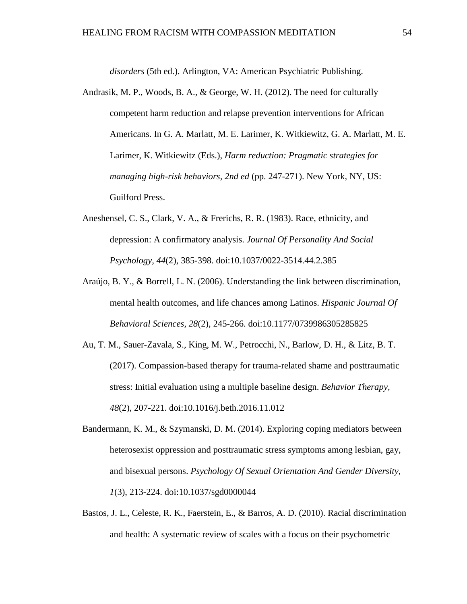*disorders* (5th ed.). Arlington, VA: American Psychiatric Publishing.

- Andrasik, M. P., Woods, B. A., & George, W. H. (2012). The need for culturally competent harm reduction and relapse prevention interventions for African Americans. In G. A. Marlatt, M. E. Larimer, K. Witkiewitz, G. A. Marlatt, M. E. Larimer, K. Witkiewitz (Eds.), *Harm reduction: Pragmatic strategies for managing high-risk behaviors, 2nd ed* (pp. 247-271). New York, NY, US: Guilford Press.
- Aneshensel, C. S., Clark, V. A., & Frerichs, R. R. (1983). Race, ethnicity, and depression: A confirmatory analysis. *Journal Of Personality And Social Psychology, 44*(2), 385-398. doi:10.1037/0022-3514.44.2.385
- Araújo, B. Y., & Borrell, L. N. (2006). Understanding the link between discrimination, mental health outcomes, and life chances among Latinos. *Hispanic Journal Of Behavioral Sciences, 28*(2), 245-266. doi:10.1177/0739986305285825
- Au, T. M., Sauer-Zavala, S., King, M. W., Petrocchi, N., Barlow, D. H., & Litz, B. T. (2017). Compassion-based therapy for trauma-related shame and posttraumatic stress: Initial evaluation using a multiple baseline design. *Behavior Therapy, 48*(2), 207-221. doi:10.1016/j.beth.2016.11.012
- Bandermann, K. M., & Szymanski, D. M. (2014). Exploring coping mediators between heterosexist oppression and posttraumatic stress symptoms among lesbian, gay, and bisexual persons. *Psychology Of Sexual Orientation And Gender Diversity, 1*(3), 213-224. doi:10.1037/sgd0000044
- Bastos, J. L., Celeste, R. K., Faerstein, E., & Barros, A. D. (2010). Racial discrimination and health: A systematic review of scales with a focus on their psychometric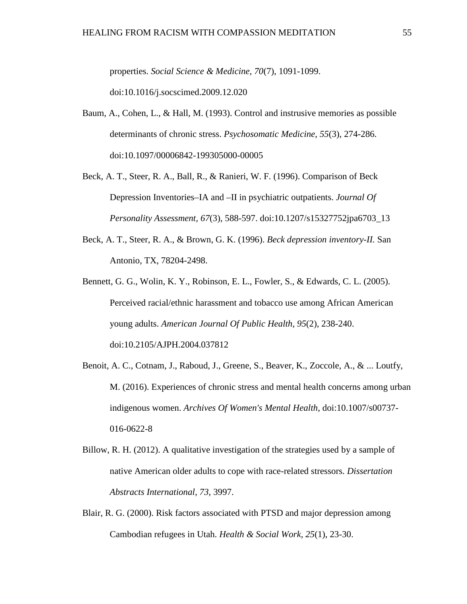properties. *Social Science & Medicine, 70*(7), 1091-1099. doi:10.1016/j.socscimed.2009.12.020

- Baum, A., Cohen, L., & Hall, M. (1993). Control and instrusive memories as possible determinants of chronic stress. *Psychosomatic Medicine, 55*(3), 274-286. doi:10.1097/00006842-199305000-00005
- Beck, A. T., Steer, R. A., Ball, R., & Ranieri, W. F. (1996). Comparison of Beck Depression Inventories–IA and –II in psychiatric outpatients. *Journal Of Personality Assessment, 67*(3), 588-597. doi:10.1207/s15327752jpa6703\_13
- Beck, A. T., Steer, R. A., & Brown, G. K. (1996). *Beck depression inventory-II.* San Antonio, TX, 78204-2498.
- Bennett, G. G., Wolin, K. Y., Robinson, E. L., Fowler, S., & Edwards, C. L. (2005). Perceived racial/ethnic harassment and tobacco use among African American young adults. *American Journal Of Public Health, 95*(2), 238-240. doi:10.2105/AJPH.2004.037812
- Benoit, A. C., Cotnam, J., Raboud, J., Greene, S., Beaver, K., Zoccole, A., & ... Loutfy, M. (2016). Experiences of chronic stress and mental health concerns among urban indigenous women. *Archives Of Women's Mental Health*, doi:10.1007/s00737- 016-0622-8
- Billow, R. H. (2012). A qualitative investigation of the strategies used by a sample of native American older adults to cope with race-related stressors. *Dissertation Abstracts International, 73*, 3997.
- Blair, R. G. (2000). Risk factors associated with PTSD and major depression among Cambodian refugees in Utah. *Health & Social Work, 25*(1), 23-30.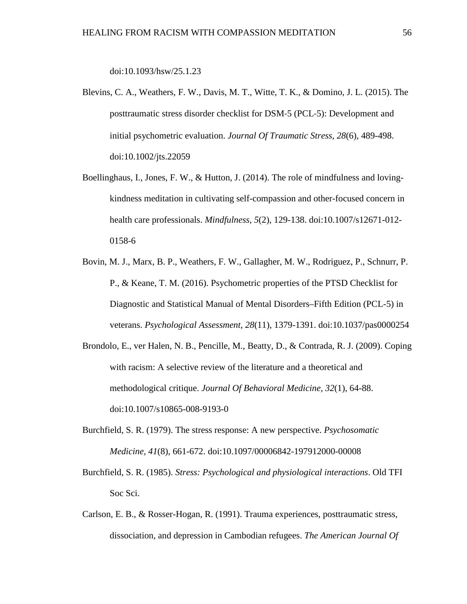doi:10.1093/hsw/25.1.23

- Blevins, C. A., Weathers, F. W., Davis, M. T., Witte, T. K., & Domino, J. L. (2015). The posttraumatic stress disorder checklist for DSM‐5 (PCL‐5): Development and initial psychometric evaluation. *Journal Of Traumatic Stress, 28*(6), 489-498. doi:10.1002/jts.22059
- Boellinghaus, I., Jones, F. W., & Hutton, J. (2014). The role of mindfulness and lovingkindness meditation in cultivating self-compassion and other-focused concern in health care professionals. *Mindfulness, 5*(2), 129-138. doi:10.1007/s12671-012- 0158-6
- Bovin, M. J., Marx, B. P., Weathers, F. W., Gallagher, M. W., Rodriguez, P., Schnurr, P. P., & Keane, T. M. (2016). Psychometric properties of the PTSD Checklist for Diagnostic and Statistical Manual of Mental Disorders–Fifth Edition (PCL-5) in veterans. *Psychological Assessment, 28*(11), 1379-1391. doi:10.1037/pas0000254
- Brondolo, E., ver Halen, N. B., Pencille, M., Beatty, D., & Contrada, R. J. (2009). Coping with racism: A selective review of the literature and a theoretical and methodological critique. *Journal Of Behavioral Medicine, 32*(1), 64-88. doi:10.1007/s10865-008-9193-0
- Burchfield, S. R. (1979). The stress response: A new perspective. *Psychosomatic Medicine, 41*(8), 661-672. doi:10.1097/00006842-197912000-00008
- Burchfield, S. R. (1985). *Stress: Psychological and physiological interactions*. Old TFI Soc Sci.
- Carlson, E. B., & Rosser-Hogan, R. (1991). Trauma experiences, posttraumatic stress, dissociation, and depression in Cambodian refugees. *The American Journal Of*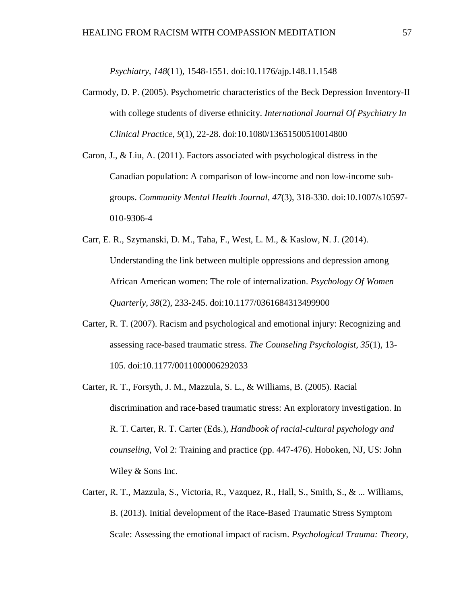*Psychiatry, 148*(11), 1548-1551. doi:10.1176/ajp.148.11.1548

- Carmody, D. P. (2005). Psychometric characteristics of the Beck Depression Inventory-II with college students of diverse ethnicity. *International Journal Of Psychiatry In Clinical Practice, 9*(1), 22-28. doi:10.1080/13651500510014800
- Caron, J., & Liu, A. (2011). Factors associated with psychological distress in the Canadian population: A comparison of low-income and non low-income subgroups. *Community Mental Health Journal, 47*(3), 318-330. doi:10.1007/s10597- 010-9306-4
- Carr, E. R., Szymanski, D. M., Taha, F., West, L. M., & Kaslow, N. J. (2014). Understanding the link between multiple oppressions and depression among African American women: The role of internalization. *Psychology Of Women Quarterly, 38*(2), 233-245. doi:10.1177/0361684313499900
- Carter, R. T. (2007). Racism and psychological and emotional injury: Recognizing and assessing race-based traumatic stress. *The Counseling Psychologist, 35*(1), 13- 105. doi:10.1177/0011000006292033
- Carter, R. T., Forsyth, J. M., Mazzula, S. L., & Williams, B. (2005). Racial discrimination and race-based traumatic stress: An exploratory investigation. In R. T. Carter, R. T. Carter (Eds.), *Handbook of racial-cultural psychology and counseling*, Vol 2: Training and practice (pp. 447-476). Hoboken, NJ, US: John Wiley & Sons Inc.
- Carter, R. T., Mazzula, S., Victoria, R., Vazquez, R., Hall, S., Smith, S., & ... Williams, B. (2013). Initial development of the Race-Based Traumatic Stress Symptom Scale: Assessing the emotional impact of racism. *Psychological Trauma: Theory,*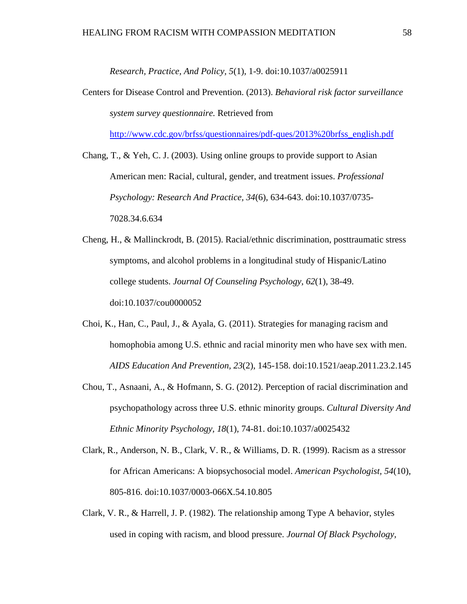*Research, Practice, And Policy, 5*(1), 1-9. doi:10.1037/a0025911

Centers for Disease Control and Prevention. (2013). *Behavioral risk factor surveillance system survey questionnaire.* Retrieved from

[http://www.cdc.gov/brfss/questionnaires/pdf-ques/2013%20brfss\\_english.pdf](http://www.cdc.gov/brfss/questionnaires/pdf-ques/2013%20brfss_english.pdf)

Chang, T., & Yeh, C. J. (2003). Using online groups to provide support to Asian American men: Racial, cultural, gender, and treatment issues. *Professional Psychology: Research And Practice, 34*(6), 634-643. doi:10.1037/0735- 7028.34.6.634

- Cheng, H., & Mallinckrodt, B. (2015). Racial/ethnic discrimination, posttraumatic stress symptoms, and alcohol problems in a longitudinal study of Hispanic/Latino college students. *Journal Of Counseling Psychology, 62*(1), 38-49. doi:10.1037/cou0000052
- Choi, K., Han, C., Paul, J., & Ayala, G. (2011). Strategies for managing racism and homophobia among U.S. ethnic and racial minority men who have sex with men. *AIDS Education And Prevention, 23*(2), 145-158. doi:10.1521/aeap.2011.23.2.145
- Chou, T., Asnaani, A., & Hofmann, S. G. (2012). Perception of racial discrimination and psychopathology across three U.S. ethnic minority groups. *Cultural Diversity And Ethnic Minority Psychology, 18*(1), 74-81. doi:10.1037/a0025432
- Clark, R., Anderson, N. B., Clark, V. R., & Williams, D. R. (1999). Racism as a stressor for African Americans: A biopsychosocial model. *American Psychologist, 54*(10), 805-816. doi:10.1037/0003-066X.54.10.805
- Clark, V. R., & Harrell, J. P. (1982). The relationship among Type A behavior, styles used in coping with racism, and blood pressure. *Journal Of Black Psychology,*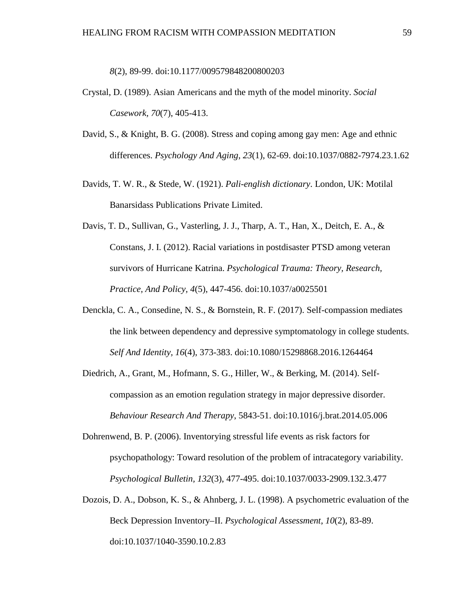# *8*(2), 89-99. doi:10.1177/009579848200800203

- Crystal, D. (1989). Asian Americans and the myth of the model minority. *Social Casework, 70*(7), 405-413.
- David, S., & Knight, B. G. (2008). Stress and coping among gay men: Age and ethnic differences. *Psychology And Aging*, *23*(1), 62-69. doi:10.1037/0882-7974.23.1.62
- Davids, T. W. R., & Stede, W. (1921). *Pali-english dictionary*. London, UK: Motilal Banarsidass Publications Private Limited.
- Davis, T. D., Sullivan, G., Vasterling, J. J., Tharp, A. T., Han, X., Deitch, E. A., & Constans, J. I. (2012). Racial variations in postdisaster PTSD among veteran survivors of Hurricane Katrina. *Psychological Trauma: Theory, Research, Practice, And Policy, 4*(5), 447-456. doi:10.1037/a0025501
- Denckla, C. A., Consedine, N. S., & Bornstein, R. F. (2017). Self-compassion mediates the link between dependency and depressive symptomatology in college students. *Self And Identity, 16*(4), 373-383. doi:10.1080/15298868.2016.1264464
- Diedrich, A., Grant, M., Hofmann, S. G., Hiller, W., & Berking, M. (2014). Selfcompassion as an emotion regulation strategy in major depressive disorder. *Behaviour Research And Therapy*, 5843-51. doi:10.1016/j.brat.2014.05.006
- Dohrenwend, B. P. (2006). Inventorying stressful life events as risk factors for psychopathology: Toward resolution of the problem of intracategory variability. *Psychological Bulletin, 132*(3), 477-495. doi:10.1037/0033-2909.132.3.477
- Dozois, D. A., Dobson, K. S., & Ahnberg, J. L. (1998). A psychometric evaluation of the Beck Depression Inventory–II. *Psychological Assessment*, *10*(2), 83-89. doi:10.1037/1040-3590.10.2.83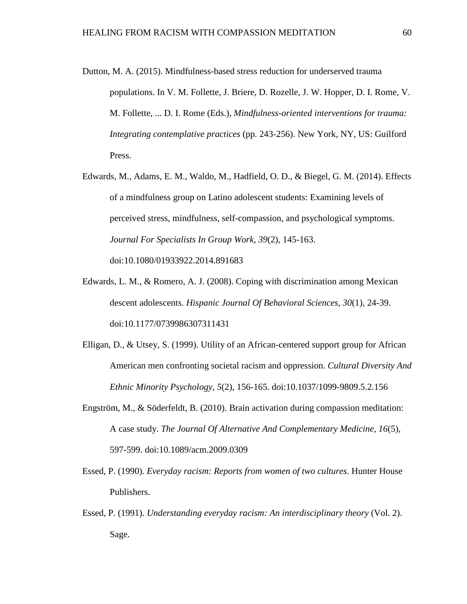- Dutton, M. A. (2015). Mindfulness-based stress reduction for underserved trauma populations. In V. M. Follette, J. Briere, D. Rozelle, J. W. Hopper, D. I. Rome, V. M. Follette, ... D. I. Rome (Eds.), *Mindfulness-oriented interventions for trauma: Integrating contemplative practices* (pp. 243-256). New York, NY, US: Guilford Press.
- Edwards, M., Adams, E. M., Waldo, M., Hadfield, O. D., & Biegel, G. M. (2014). Effects of a mindfulness group on Latino adolescent students: Examining levels of perceived stress, mindfulness, self-compassion, and psychological symptoms. *Journal For Specialists In Group Work, 39*(2), 145-163. doi:10.1080/01933922.2014.891683
- Edwards, L. M., & Romero, A. J. (2008). Coping with discrimination among Mexican descent adolescents. *Hispanic Journal Of Behavioral Sciences, 30*(1), 24-39. doi:10.1177/0739986307311431
- Elligan, D., & Utsey, S. (1999). Utility of an African-centered support group for African American men confronting societal racism and oppression. *Cultural Diversity And Ethnic Minority Psychology, 5*(2), 156-165. doi:10.1037/1099-9809.5.2.156
- Engström, M., & Söderfeldt, B. (2010). Brain activation during compassion meditation: A case study. *The Journal Of Alternative And Complementary Medicine, 16*(5), 597-599. doi:10.1089/acm.2009.0309
- Essed, P. (1990). *Everyday racism: Reports from women of two cultures*. Hunter House Publishers.
- Essed, P. (1991). *Understanding everyday racism: An interdisciplinary theory* (Vol. 2). Sage.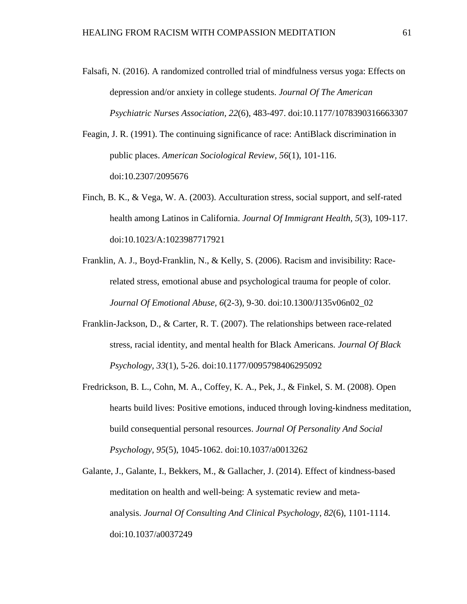- Falsafi, N. (2016). A randomized controlled trial of mindfulness versus yoga: Effects on depression and/or anxiety in college students. *Journal Of The American Psychiatric Nurses Association, 22*(6), 483-497. doi:10.1177/1078390316663307
- Feagin, J. R. (1991). The continuing significance of race: AntiBlack discrimination in public places. *American Sociological Review, 56*(1), 101-116. doi:10.2307/2095676
- Finch, B. K., & Vega, W. A. (2003). Acculturation stress, social support, and self-rated health among Latinos in California. *Journal Of Immigrant Health, 5*(3), 109-117. doi:10.1023/A:1023987717921
- Franklin, A. J., Boyd-Franklin, N., & Kelly, S. (2006). Racism and invisibility: Racerelated stress, emotional abuse and psychological trauma for people of color. *Journal Of Emotional Abuse, 6*(2-3), 9-30. doi:10.1300/J135v06n02\_02
- Franklin-Jackson, D., & Carter, R. T. (2007). The relationships between race-related stress, racial identity, and mental health for Black Americans. *Journal Of Black Psychology, 33*(1), 5-26. doi:10.1177/0095798406295092
- Fredrickson, B. L., Cohn, M. A., Coffey, K. A., Pek, J., & Finkel, S. M. (2008). Open hearts build lives: Positive emotions, induced through loving-kindness meditation, build consequential personal resources. *Journal Of Personality And Social Psychology, 95*(5), 1045-1062. doi:10.1037/a0013262
- Galante, J., Galante, I., Bekkers, M., & Gallacher, J. (2014). Effect of kindness-based meditation on health and well-being: A systematic review and metaanalysis. *Journal Of Consulting And Clinical Psychology*, *82*(6), 1101-1114. doi:10.1037/a0037249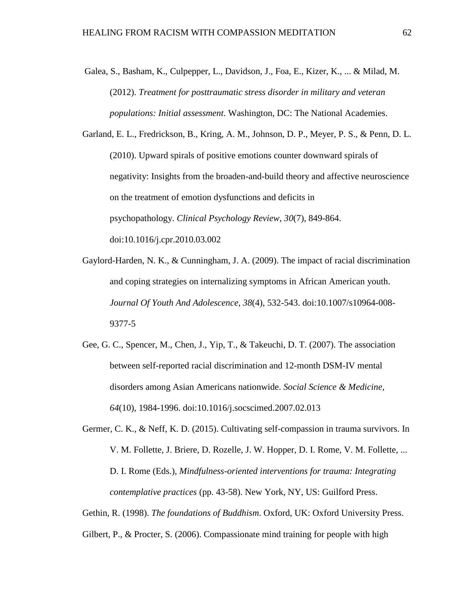- Galea, S., Basham, K., Culpepper, L., Davidson, J., Foa, E., Kizer, K., ... & Milad, M. (2012). *Treatment for posttraumatic stress disorder in military and veteran populations: Initial assessment*. Washington, DC: The National Academies.
- Garland, E. L., Fredrickson, B., Kring, A. M., Johnson, D. P., Meyer, P. S., & Penn, D. L. (2010). Upward spirals of positive emotions counter downward spirals of negativity: Insights from the broaden-and-build theory and affective neuroscience on the treatment of emotion dysfunctions and deficits in psychopathology. *Clinical Psychology Review*, *30*(7), 849-864. doi:10.1016/j.cpr.2010.03.002
- Gaylord-Harden, N. K., & Cunningham, J. A. (2009). The impact of racial discrimination and coping strategies on internalizing symptoms in African American youth. *Journal Of Youth And Adolescence, 38*(4), 532-543. doi:10.1007/s10964-008- 9377-5
- Gee, G. C., Spencer, M., Chen, J., Yip, T., & Takeuchi, D. T. (2007). The association between self-reported racial discrimination and 12-month DSM-IV mental disorders among Asian Americans nationwide. *Social Science & Medicine, 64*(10), 1984-1996. doi:10.1016/j.socscimed.2007.02.013
- Germer, C. K., & Neff, K. D. (2015). Cultivating self-compassion in trauma survivors. In V. M. Follette, J. Briere, D. Rozelle, J. W. Hopper, D. I. Rome, V. M. Follette, ... D. I. Rome (Eds.), *Mindfulness-oriented interventions for trauma: Integrating contemplative practices* (pp. 43-58). New York, NY, US: Guilford Press.
- Gethin, R. (1998). *The foundations of Buddhism*. Oxford, UK: Oxford University Press.

# Gilbert, P., & Procter, S. (2006). Compassionate mind training for people with high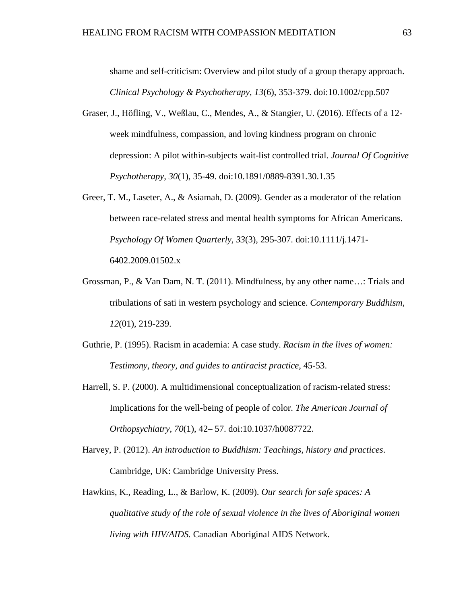shame and self-criticism: Overview and pilot study of a group therapy approach. *Clinical Psychology & Psychotherapy, 13*(6), 353-379. doi:10.1002/cpp.507

- Graser, J., Höfling, V., Weßlau, C., Mendes, A., & Stangier, U. (2016). Effects of a 12 week mindfulness, compassion, and loving kindness program on chronic depression: A pilot within-subjects wait-list controlled trial. *Journal Of Cognitive Psychotherapy, 30*(1), 35-49. doi:10.1891/0889-8391.30.1.35
- Greer, T. M., Laseter, A., & Asiamah, D. (2009). Gender as a moderator of the relation between race-related stress and mental health symptoms for African Americans. *Psychology Of Women Quarterly, 33*(3), 295-307. doi:10.1111/j.1471- 6402.2009.01502.x
- Grossman, P., & Van Dam, N. T. (2011). Mindfulness, by any other name…: Trials and tribulations of sati in western psychology and science. *Contemporary Buddhism, 12*(01), 219-239.
- Guthrie, P. (1995). Racism in academia: A case study. *Racism in the lives of women: Testimony, theory, and guides to antiracist practice*, 45-53.
- Harrell, S. P. (2000). A multidimensional conceptualization of racism-related stress: Implications for the well-being of people of color. *The American Journal of Orthopsychiatry, 70*(1), 42– 57. doi:10.1037/h0087722.
- Harvey, P. (2012). *An introduction to Buddhism: Teachings, history and practices*. Cambridge, UK: Cambridge University Press.
- Hawkins, K., Reading, L., & Barlow, K. (2009). *Our search for safe spaces: A qualitative study of the role of sexual violence in the lives of Aboriginal women living with HIV/AIDS.* Canadian Aboriginal AIDS Network.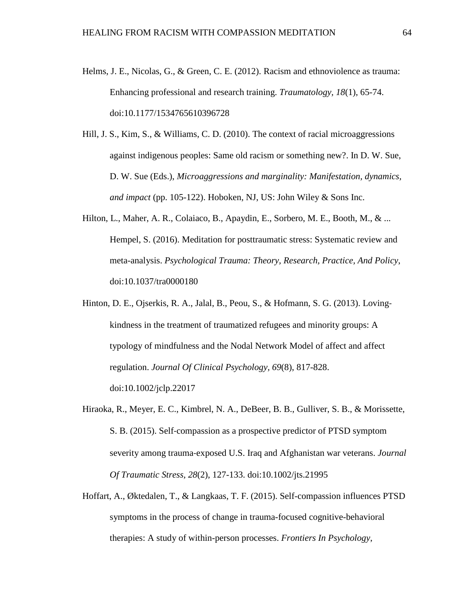- Helms, J. E., Nicolas, G., & Green, C. E. (2012). Racism and ethnoviolence as trauma: Enhancing professional and research training. *Traumatology, 18*(1), 65-74. doi:10.1177/1534765610396728
- Hill, J. S., Kim, S., & Williams, C. D. (2010). The context of racial microaggressions against indigenous peoples: Same old racism or something new?. In D. W. Sue, D. W. Sue (Eds.), *Microaggressions and marginality: Manifestation, dynamics, and impact* (pp. 105-122). Hoboken, NJ, US: John Wiley & Sons Inc.
- Hilton, L., Maher, A. R., Colaiaco, B., Apaydin, E., Sorbero, M. E., Booth, M., & ... Hempel, S. (2016). Meditation for posttraumatic stress: Systematic review and meta-analysis. *Psychological Trauma: Theory, Research, Practice, And Policy*, doi:10.1037/tra0000180
- Hinton, D. E., Ojserkis, R. A., Jalal, B., Peou, S., & Hofmann, S. G. (2013). Loving‐ kindness in the treatment of traumatized refugees and minority groups: A typology of mindfulness and the Nodal Network Model of affect and affect regulation. *Journal Of Clinical Psychology, 69*(8), 817-828. doi:10.1002/jclp.22017
- Hiraoka, R., Meyer, E. C., Kimbrel, N. A., DeBeer, B. B., Gulliver, S. B., & Morissette, S. B. (2015). Self‐compassion as a prospective predictor of PTSD symptom severity among trauma‐exposed U.S. Iraq and Afghanistan war veterans. *Journal Of Traumatic Stress, 28*(2), 127-133. doi:10.1002/jts.21995
- Hoffart, A., Øktedalen, T., & Langkaas, T. F. (2015). Self-compassion influences PTSD symptoms in the process of change in trauma-focused cognitive-behavioral therapies: A study of within-person processes. *Frontiers In Psychology*,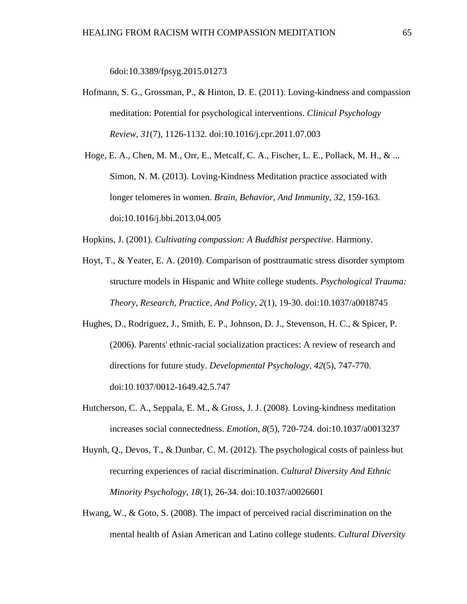6doi:10.3389/fpsyg.2015.01273

- Hofmann, S. G., Grossman, P., & Hinton, D. E. (2011). Loving-kindness and compassion meditation: Potential for psychological interventions. *Clinical Psychology Review*, *31*(7), 1126-1132. doi:10.1016/j.cpr.2011.07.003
- Hoge, E. A., Chen, M. M., Orr, E., Metcalf, C. A., Fischer, L. E., Pollack, M. H., & ... Simon, N. M. (2013). Loving-Kindness Meditation practice associated with longer telomeres in women. *Brain, Behavior, And Immunity*, *32*, 159-163. doi:10.1016/j.bbi.2013.04.005

Hopkins, J. (2001). *Cultivating compassion: A Buddhist perspective*. Harmony.

- Hoyt, T., & Yeater, E. A. (2010). Comparison of posttraumatic stress disorder symptom structure models in Hispanic and White college students. *Psychological Trauma: Theory, Research, Practice, And Policy, 2*(1), 19-30. doi:10.1037/a0018745
- Hughes, D., Rodriguez, J., Smith, E. P., Johnson, D. J., Stevenson, H. C., & Spicer, P. (2006). Parents' ethnic-racial socialization practices: A review of research and directions for future study. *Developmental Psychology, 42*(5), 747-770. doi:10.1037/0012-1649.42.5.747
- Hutcherson, C. A., Seppala, E. M., & Gross, J. J. (2008). Loving-kindness meditation increases social connectedness. *Emotion, 8*(5), 720-724. doi:10.1037/a0013237
- Huynh, Q., Devos, T., & Dunbar, C. M. (2012). The psychological costs of painless but recurring experiences of racial discrimination. *Cultural Diversity And Ethnic Minority Psychology, 18*(1), 26-34. doi:10.1037/a0026601
- Hwang, W., & Goto, S. (2008). The impact of perceived racial discrimination on the mental health of Asian American and Latino college students. *Cultural Diversity*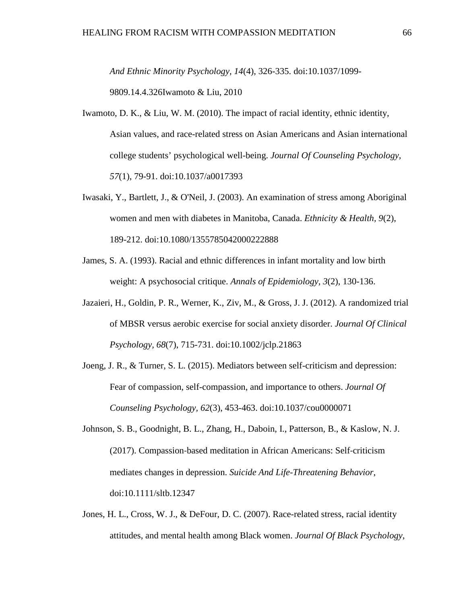*And Ethnic Minority Psychology, 14*(4), 326-335. doi:10.1037/1099-

9809.14.4.326Iwamoto & Liu, 2010

- Iwamoto, D. K., & Liu, W. M. (2010). The impact of racial identity, ethnic identity, Asian values, and race-related stress on Asian Americans and Asian international college students' psychological well-being. *Journal Of Counseling Psychology, 57*(1), 79-91. doi:10.1037/a0017393
- Iwasaki, Y., Bartlett, J., & O'Neil, J. (2003). An examination of stress among Aboriginal women and men with diabetes in Manitoba, Canada. *Ethnicity & Health, 9*(2), 189-212. doi:10.1080/1355785042000222888
- James, S. A. (1993). Racial and ethnic differences in infant mortality and low birth weight: A psychosocial critique. *Annals of Epidemiology, 3*(2), 130-136.
- Jazaieri, H., Goldin, P. R., Werner, K., Ziv, M., & Gross, J. J. (2012). A randomized trial of MBSR versus aerobic exercise for social anxiety disorder. *Journal Of Clinical Psychology, 68*(7), 715-731. doi:10.1002/jclp.21863
- Joeng, J. R., & Turner, S. L. (2015). Mediators between self-criticism and depression: Fear of compassion, self-compassion, and importance to others. *Journal Of Counseling Psychology, 62*(3), 453-463. doi:10.1037/cou0000071
- Johnson, S. B., Goodnight, B. L., Zhang, H., Daboin, I., Patterson, B., & Kaslow, N. J. (2017). Compassion‐based meditation in African Americans: Self‐criticism mediates changes in depression. *Suicide And Life-Threatening Behavior*, doi:10.1111/sltb.12347
- Jones, H. L., Cross, W. J., & DeFour, D. C. (2007). Race-related stress, racial identity attitudes, and mental health among Black women. *Journal Of Black Psychology,*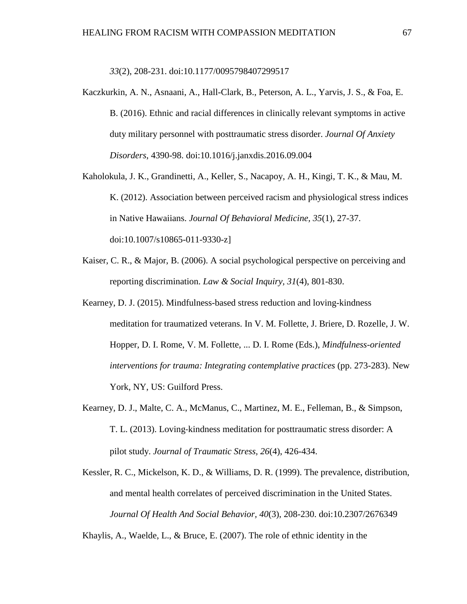*33*(2), 208-231. doi:10.1177/0095798407299517

- Kaczkurkin, A. N., Asnaani, A., Hall-Clark, B., Peterson, A. L., Yarvis, J. S., & Foa, E. B. (2016). Ethnic and racial differences in clinically relevant symptoms in active duty military personnel with posttraumatic stress disorder. *Journal Of Anxiety Disorders*, 4390-98. doi:10.1016/j.janxdis.2016.09.004
- Kaholokula, J. K., Grandinetti, A., Keller, S., Nacapoy, A. H., Kingi, T. K., & Mau, M. K. (2012). Association between perceived racism and physiological stress indices in Native Hawaiians. *Journal Of Behavioral Medicine, 35*(1), 27-37. doi:10.1007/s10865-011-9330-z]
- Kaiser, C. R., & Major, B. (2006). A social psychological perspective on perceiving and reporting discrimination. *Law & Social Inquiry, 31*(4), 801-830.
- Kearney, D. J. (2015). Mindfulness-based stress reduction and loving-kindness meditation for traumatized veterans. In V. M. Follette, J. Briere, D. Rozelle, J. W. Hopper, D. I. Rome, V. M. Follette, ... D. I. Rome (Eds.), *Mindfulness-oriented interventions for trauma: Integrating contemplative practices* (pp. 273-283). New York, NY, US: Guilford Press.
- Kearney, D. J., Malte, C. A., McManus, C., Martinez, M. E., Felleman, B., & Simpson, T. L. (2013). Loving‐kindness meditation for posttraumatic stress disorder: A pilot study. *Journal of Traumatic Stress, 26*(4), 426-434.

Kessler, R. C., Mickelson, K. D., & Williams, D. R. (1999). The prevalence, distribution, and mental health correlates of perceived discrimination in the United States. *Journal Of Health And Social Behavior, 40*(3), 208-230. doi:10.2307/2676349

Khaylis, A., Waelde, L., & Bruce, E. (2007). The role of ethnic identity in the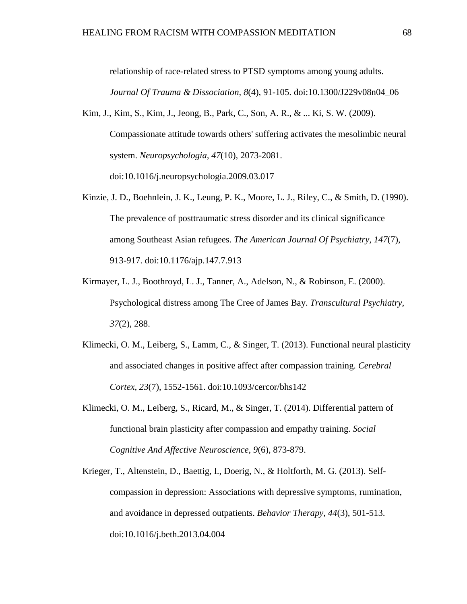relationship of race-related stress to PTSD symptoms among young adults. *Journal Of Trauma & Dissociation, 8*(4), 91-105. doi:10.1300/J229v08n04\_06

- Kim, J., Kim, S., Kim, J., Jeong, B., Park, C., Son, A. R., & ... Ki, S. W. (2009). Compassionate attitude towards others' suffering activates the mesolimbic neural system. *Neuropsychologia, 47*(10), 2073-2081. doi:10.1016/j.neuropsychologia.2009.03.017
- Kinzie, J. D., Boehnlein, J. K., Leung, P. K., Moore, L. J., Riley, C., & Smith, D. (1990). The prevalence of posttraumatic stress disorder and its clinical significance among Southeast Asian refugees. *The American Journal Of Psychiatry, 147*(7), 913-917. doi:10.1176/ajp.147.7.913
- Kirmayer, L. J., Boothroyd, L. J., Tanner, A., Adelson, N., & Robinson, E. (2000). Psychological distress among The Cree of James Bay. *Transcultural Psychiatry, 37*(2), 288.
- Klimecki, O. M., Leiberg, S., Lamm, C., & Singer, T. (2013). Functional neural plasticity and associated changes in positive affect after compassion training. *Cerebral Cortex, 23*(7), 1552-1561. doi:10.1093/cercor/bhs142
- Klimecki, O. M., Leiberg, S., Ricard, M., & Singer, T. (2014). Differential pattern of functional brain plasticity after compassion and empathy training. *Social Cognitive And Affective Neuroscience, 9*(6), 873-879.
- Krieger, T., Altenstein, D., Baettig, I., Doerig, N., & Holtforth, M. G. (2013). Selfcompassion in depression: Associations with depressive symptoms, rumination, and avoidance in depressed outpatients. *Behavior Therapy, 44*(3), 501-513. doi:10.1016/j.beth.2013.04.004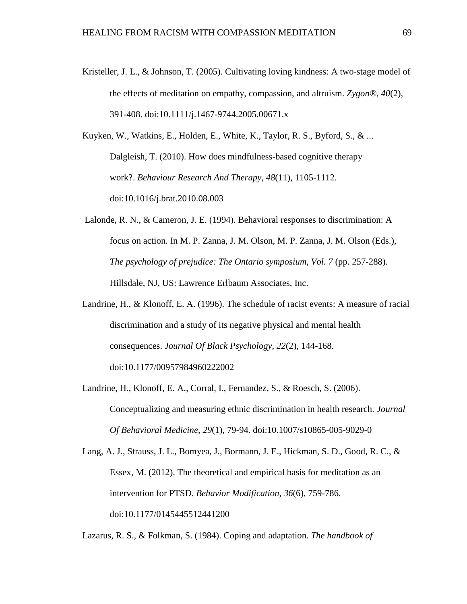Kristeller, J. L., & Johnson, T. (2005). Cultivating loving kindness: A two-stage model of the effects of meditation on empathy, compassion, and altruism. *Zygon®, 40*(2), 391-408. doi:10.1111/j.1467-9744.2005.00671.x

Kuyken, W., Watkins, E., Holden, E., White, K., Taylor, R. S., Byford, S., & ... Dalgleish, T. (2010). How does mindfulness-based cognitive therapy work?. *Behaviour Research And Therapy*, *48*(11), 1105-1112. doi:10.1016/j.brat.2010.08.003

- Lalonde, R. N., & Cameron, J. E. (1994). Behavioral responses to discrimination: A focus on action. In M. P. Zanna, J. M. Olson, M. P. Zanna, J. M. Olson (Eds.), *The psychology of prejudice: The Ontario symposium, Vol. 7* (pp. 257-288). Hillsdale, NJ, US: Lawrence Erlbaum Associates, Inc.
- Landrine, H., & Klonoff, E. A. (1996). The schedule of racist events: A measure of racial discrimination and a study of its negative physical and mental health consequences. *Journal Of Black Psychology, 22*(2), 144-168. doi:10.1177/00957984960222002
- Landrine, H., Klonoff, E. A., Corral, I., Fernandez, S., & Roesch, S. (2006). Conceptualizing and measuring ethnic discrimination in health research. *Journal Of Behavioral Medicine, 29*(1), 79-94. doi:10.1007/s10865-005-9029-0

Lang, A. J., Strauss, J. L., Bomyea, J., Bormann, J. E., Hickman, S. D., Good, R. C., & Essex, M. (2012). The theoretical and empirical basis for meditation as an intervention for PTSD. *Behavior Modification, 36*(6), 759-786. doi:10.1177/0145445512441200

Lazarus, R. S., & Folkman, S. (1984). Coping and adaptation. *The handbook of*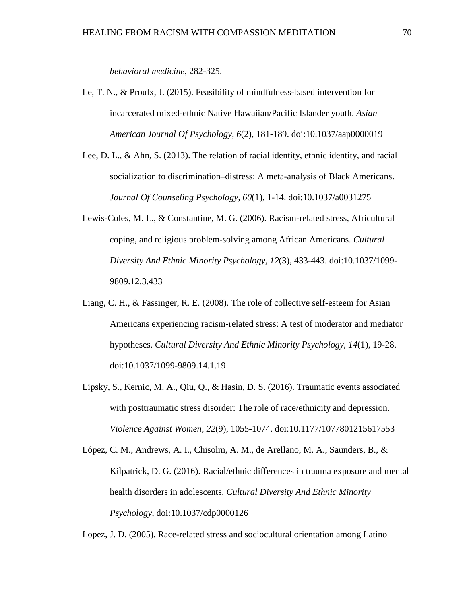*behavioral medicine*, 282-325.

- Le, T. N., & Proulx, J. (2015). Feasibility of mindfulness-based intervention for incarcerated mixed-ethnic Native Hawaiian/Pacific Islander youth. *Asian American Journal Of Psychology, 6*(2), 181-189. doi:10.1037/aap0000019
- Lee, D. L., & Ahn, S. (2013). The relation of racial identity, ethnic identity, and racial socialization to discrimination–distress: A meta-analysis of Black Americans. *Journal Of Counseling Psychology, 60*(1), 1-14. doi:10.1037/a0031275
- Lewis-Coles, M. L., & Constantine, M. G. (2006). Racism-related stress, Africultural coping, and religious problem-solving among African Americans. *Cultural Diversity And Ethnic Minority Psychology, 12*(3), 433-443. doi:10.1037/1099- 9809.12.3.433
- Liang, C. H., & Fassinger, R. E. (2008). The role of collective self-esteem for Asian Americans experiencing racism-related stress: A test of moderator and mediator hypotheses. *Cultural Diversity And Ethnic Minority Psychology*, *14*(1), 19-28. doi:10.1037/1099-9809.14.1.19
- Lipsky, S., Kernic, M. A., Qiu, Q., & Hasin, D. S. (2016). Traumatic events associated with posttraumatic stress disorder: The role of race/ethnicity and depression. *Violence Against Women, 22*(9), 1055-1074. doi:10.1177/1077801215617553
- López, C. M., Andrews, A. I., Chisolm, A. M., de Arellano, M. A., Saunders, B., & Kilpatrick, D. G. (2016). Racial/ethnic differences in trauma exposure and mental health disorders in adolescents. *Cultural Diversity And Ethnic Minority Psychology*, doi:10.1037/cdp0000126

Lopez, J. D. (2005). Race-related stress and sociocultural orientation among Latino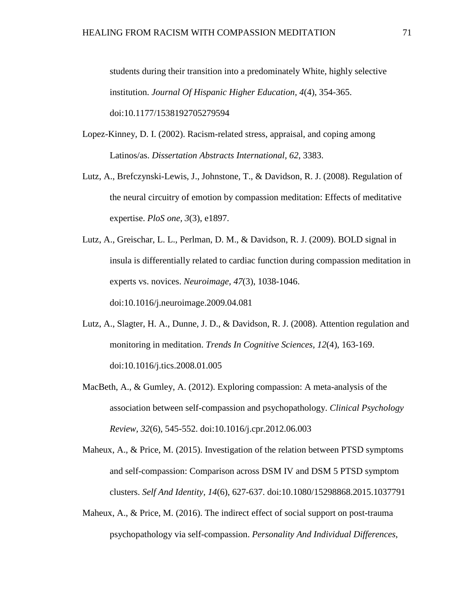students during their transition into a predominately White, highly selective institution. *Journal Of Hispanic Higher Education, 4*(4), 354-365. doi:10.1177/1538192705279594

- Lopez-Kinney, D. I. (2002). Racism-related stress, appraisal, and coping among Latinos/as. *Dissertation Abstracts International, 62*, 3383.
- Lutz, A., Brefczynski-Lewis, J., Johnstone, T., & Davidson, R. J. (2008). Regulation of the neural circuitry of emotion by compassion meditation: Effects of meditative expertise. *PloS one, 3*(3), e1897.

Lutz, A., Greischar, L. L., Perlman, D. M., & Davidson, R. J. (2009). BOLD signal in insula is differentially related to cardiac function during compassion meditation in experts vs. novices. *Neuroimage, 47*(3), 1038-1046. doi:10.1016/j.neuroimage.2009.04.081

- Lutz, A., Slagter, H. A., Dunne, J. D., & Davidson, R. J. (2008). Attention regulation and monitoring in meditation. *Trends In Cognitive Sciences, 12*(4), 163-169. doi:10.1016/j.tics.2008.01.005
- MacBeth, A., & Gumley, A. (2012). Exploring compassion: A meta-analysis of the association between self-compassion and psychopathology. *Clinical Psychology Review, 32*(6), 545-552. doi:10.1016/j.cpr.2012.06.003
- Maheux, A., & Price, M. (2015). Investigation of the relation between PTSD symptoms and self-compassion: Comparison across DSM IV and DSM 5 PTSD symptom clusters. *Self And Identity, 14*(6), 627-637. doi:10.1080/15298868.2015.1037791
- Maheux, A., & Price, M. (2016). The indirect effect of social support on post-trauma psychopathology via self-compassion. *Personality And Individual Differences*,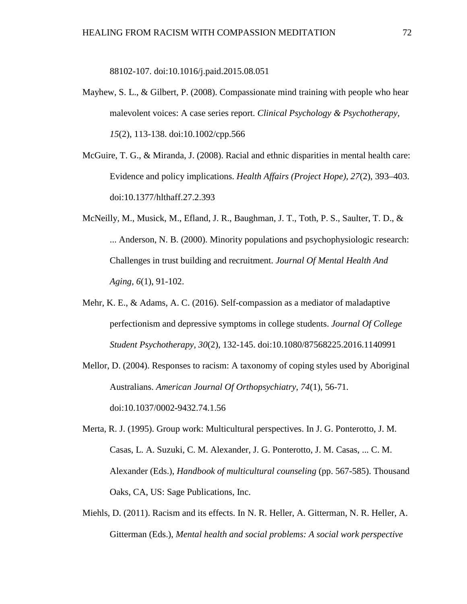88102-107. doi:10.1016/j.paid.2015.08.051

- Mayhew, S. L., & Gilbert, P. (2008). Compassionate mind training with people who hear malevolent voices: A case series report. *Clinical Psychology & Psychotherapy, 15*(2), 113-138. doi:10.1002/cpp.566
- McGuire, T. G., & Miranda, J. (2008). Racial and ethnic disparities in mental health care: Evidence and policy implications. *Health Affairs (Project Hope), 27*(2), 393–403. doi:10.1377/hlthaff.27.2.393
- McNeilly, M., Musick, M., Efland, J. R., Baughman, J. T., Toth, P. S., Saulter, T. D., & ... Anderson, N. B. (2000). Minority populations and psychophysiologic research: Challenges in trust building and recruitment. *Journal Of Mental Health And Aging, 6*(1), 91-102.
- Mehr, K. E., & Adams, A. C. (2016). Self-compassion as a mediator of maladaptive perfectionism and depressive symptoms in college students. *Journal Of College Student Psychotherapy, 30*(2), 132-145. doi:10.1080/87568225.2016.1140991
- Mellor, D. (2004). Responses to racism: A taxonomy of coping styles used by Aboriginal Australians. *American Journal Of Orthopsychiatry, 74*(1), 56-71. doi:10.1037/0002-9432.74.1.56
- Merta, R. J. (1995). Group work: Multicultural perspectives. In J. G. Ponterotto, J. M. Casas, L. A. Suzuki, C. M. Alexander, J. G. Ponterotto, J. M. Casas, ... C. M. Alexander (Eds.), *Handbook of multicultural counseling* (pp. 567-585). Thousand Oaks, CA, US: Sage Publications, Inc.
- Miehls, D. (2011). Racism and its effects. In N. R. Heller, A. Gitterman, N. R. Heller, A. Gitterman (Eds.), *Mental health and social problems: A social work perspective*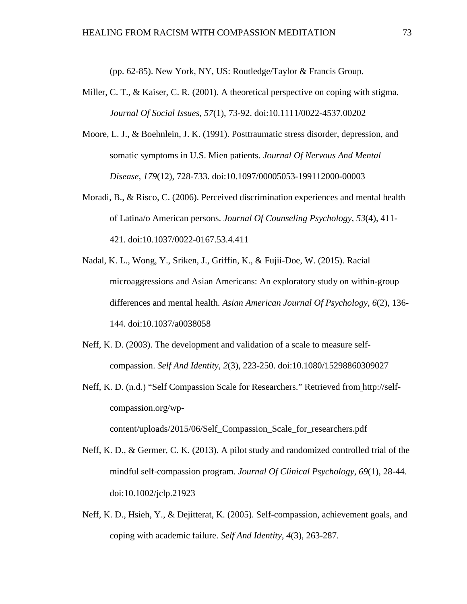(pp. 62-85). New York, NY, US: Routledge/Taylor & Francis Group.

- Miller, C. T., & Kaiser, C. R. (2001). A theoretical perspective on coping with stigma. *Journal Of Social Issues, 57*(1), 73-92. doi:10.1111/0022-4537.00202
- Moore, L. J., & Boehnlein, J. K. (1991). Posttraumatic stress disorder, depression, and somatic symptoms in U.S. Mien patients. *Journal Of Nervous And Mental Disease, 179*(12), 728-733. doi:10.1097/00005053-199112000-00003
- Moradi, B., & Risco, C. (2006). Perceived discrimination experiences and mental health of Latina/o American persons. *Journal Of Counseling Psychology, 53*(4), 411- 421. doi:10.1037/0022-0167.53.4.411
- Nadal, K. L., Wong, Y., Sriken, J., Griffin, K., & Fujii-Doe, W. (2015). Racial microaggressions and Asian Americans: An exploratory study on within-group differences and mental health. *Asian American Journal Of Psychology, 6*(2), 136- 144. doi:10.1037/a0038058
- Neff, K. D. (2003). The development and validation of a scale to measure selfcompassion. *Self And Identity, 2*(3), 223-250. doi:10.1080/15298860309027
- Neff, K. D. (n.d.) "Self Compassion Scale for Researchers." Retrieved from http://selfcompassion.org/wp-

```
content/uploads/2015/06/Self_Compassion_Scale_for_researchers.pdf
```
- Neff, K. D., & Germer, C. K. (2013). A pilot study and randomized controlled trial of the mindful self‐compassion program. *Journal Of Clinical Psychology, 69*(1), 28-44. doi:10.1002/jclp.21923
- Neff, K. D., Hsieh, Y., & Dejitterat, K. (2005). Self-compassion, achievement goals, and coping with academic failure. *Self And Identity, 4*(3), 263-287.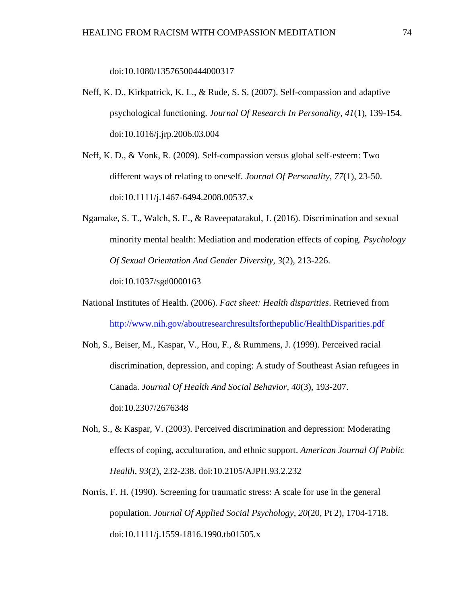doi:10.1080/13576500444000317

- Neff, K. D., Kirkpatrick, K. L., & Rude, S. S. (2007). Self-compassion and adaptive psychological functioning. *Journal Of Research In Personality, 41*(1), 139-154. doi:10.1016/j.jrp.2006.03.004
- Neff, K. D., & Vonk, R. (2009). Self-compassion versus global self-esteem: Two different ways of relating to oneself. *Journal Of Personality, 77*(1), 23-50. doi:10.1111/j.1467-6494.2008.00537.x
- Ngamake, S. T., Walch, S. E., & Raveepatarakul, J. (2016). Discrimination and sexual minority mental health: Mediation and moderation effects of coping. *Psychology Of Sexual Orientation And Gender Diversity, 3*(2), 213-226. doi:10.1037/sgd0000163
- National Institutes of Health. (2006). *Fact sheet: Health disparities*. Retrieved from <http://www.nih.gov/aboutresearchresultsforthepublic/HealthDisparities.pdf>
- Noh, S., Beiser, M., Kaspar, V., Hou, F., & Rummens, J. (1999). Perceived racial discrimination, depression, and coping: A study of Southeast Asian refugees in Canada. *Journal Of Health And Social Behavior, 40*(3), 193-207. doi:10.2307/2676348
- Noh, S., & Kaspar, V. (2003). Perceived discrimination and depression: Moderating effects of coping, acculturation, and ethnic support. *American Journal Of Public Health, 93*(2), 232-238. doi:10.2105/AJPH.93.2.232
- Norris, F. H. (1990). Screening for traumatic stress: A scale for use in the general population. *Journal Of Applied Social Psychology*, *20*(20, Pt 2), 1704-1718. doi:10.1111/j.1559-1816.1990.tb01505.x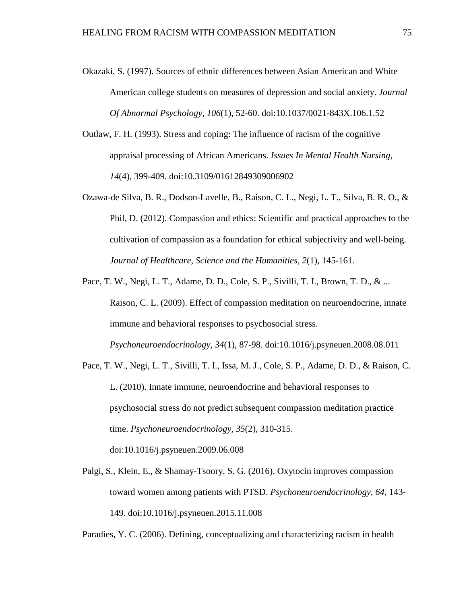- Okazaki, S. (1997). Sources of ethnic differences between Asian American and White American college students on measures of depression and social anxiety. *Journal Of Abnormal Psychology, 106*(1), 52-60. doi:10.1037/0021-843X.106.1.52
- Outlaw, F. H. (1993). Stress and coping: The influence of racism of the cognitive appraisal processing of African Americans. *Issues In Mental Health Nursing, 14*(4), 399-409. doi:10.3109/01612849309006902
- Ozawa-de Silva, B. R., Dodson-Lavelle, B., Raison, C. L., Negi, L. T., Silva, B. R. O., & Phil, D. (2012). Compassion and ethics: Scientific and practical approaches to the cultivation of compassion as a foundation for ethical subjectivity and well-being. *Journal of Healthcare, Science and the Humanities, 2*(1), 145-161.
- Pace, T. W., Negi, L. T., Adame, D. D., Cole, S. P., Sivilli, T. I., Brown, T. D., & ... Raison, C. L. (2009). Effect of compassion meditation on neuroendocrine, innate immune and behavioral responses to psychosocial stress.

*Psychoneuroendocrinology, 34*(1), 87-98. doi:10.1016/j.psyneuen.2008.08.011

Pace, T. W., Negi, L. T., Sivilli, T. I., Issa, M. J., Cole, S. P., Adame, D. D., & Raison, C. L. (2010). Innate immune, neuroendocrine and behavioral responses to psychosocial stress do not predict subsequent compassion meditation practice time. *Psychoneuroendocrinology, 35*(2), 310-315.

doi:10.1016/j.psyneuen.2009.06.008

Palgi, S., Klein, E., & Shamay-Tsoory, S. G. (2016). Oxytocin improves compassion toward women among patients with PTSD. *Psychoneuroendocrinology, 64*, 143- 149. doi:10.1016/j.psyneuen.2015.11.008

Paradies, Y. C. (2006). Defining, conceptualizing and characterizing racism in health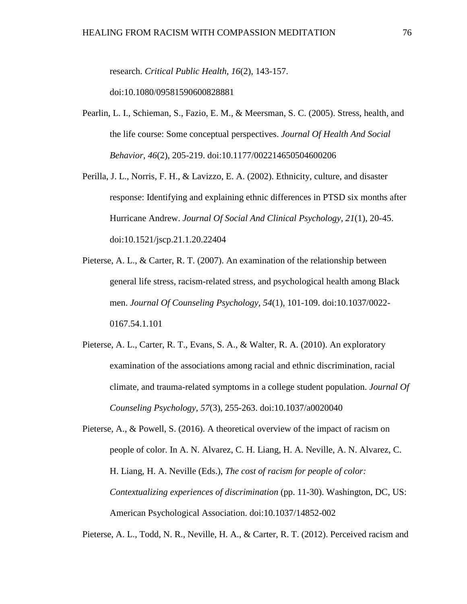research. *Critical Public Health, 16*(2), 143-157.

doi:10.1080/09581590600828881

- Pearlin, L. I., Schieman, S., Fazio, E. M., & Meersman, S. C. (2005). Stress, health, and the life course: Some conceptual perspectives. *Journal Of Health And Social Behavior, 46*(2), 205-219. doi:10.1177/002214650504600206
- Perilla, J. L., Norris, F. H., & Lavizzo, E. A. (2002). Ethnicity, culture, and disaster response: Identifying and explaining ethnic differences in PTSD six months after Hurricane Andrew. *Journal Of Social And Clinical Psychology, 21*(1), 20-45. doi:10.1521/jscp.21.1.20.22404
- Pieterse, A. L., & Carter, R. T. (2007). An examination of the relationship between general life stress, racism-related stress, and psychological health among Black men. *Journal Of Counseling Psychology, 54*(1), 101-109. doi:10.1037/0022- 0167.54.1.101
- Pieterse, A. L., Carter, R. T., Evans, S. A., & Walter, R. A. (2010). An exploratory examination of the associations among racial and ethnic discrimination, racial climate, and trauma-related symptoms in a college student population. *Journal Of Counseling Psychology, 57*(3), 255-263. doi:10.1037/a0020040
- Pieterse, A., & Powell, S. (2016). A theoretical overview of the impact of racism on people of color. In A. N. Alvarez, C. H. Liang, H. A. Neville, A. N. Alvarez, C. H. Liang, H. A. Neville (Eds.), *The cost of racism for people of color: Contextualizing experiences of discrimination* (pp. 11-30). Washington, DC, US: American Psychological Association. doi:10.1037/14852-002

Pieterse, A. L., Todd, N. R., Neville, H. A., & Carter, R. T. (2012). Perceived racism and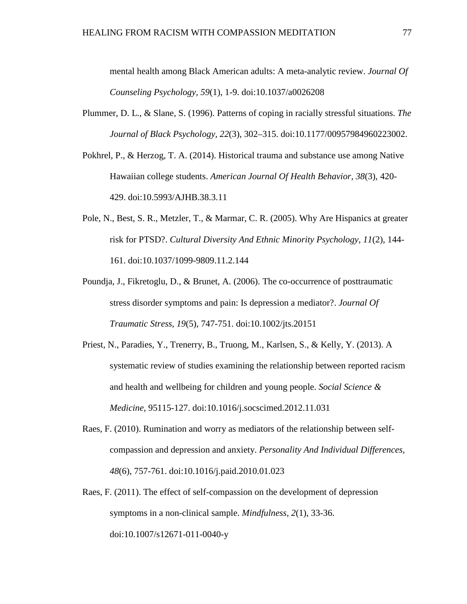mental health among Black American adults: A meta-analytic review. *Journal Of Counseling Psychology, 59*(1), 1-9. doi:10.1037/a0026208

- Plummer, D. L., & Slane, S. (1996). Patterns of coping in racially stressful situations. *The Journal of Black Psychology, 22*(3), 302–315. doi:10.1177/00957984960223002.
- Pokhrel, P., & Herzog, T. A. (2014). Historical trauma and substance use among Native Hawaiian college students. *American Journal Of Health Behavior, 38*(3), 420- 429. doi:10.5993/AJHB.38.3.11
- Pole, N., Best, S. R., Metzler, T., & Marmar, C. R. (2005). Why Are Hispanics at greater risk for PTSD?. *Cultural Diversity And Ethnic Minority Psychology, 11*(2), 144- 161. doi:10.1037/1099-9809.11.2.144
- Poundja, J., Fikretoglu, D., & Brunet, A. (2006). The co-occurrence of posttraumatic stress disorder symptoms and pain: Is depression a mediator?. *Journal Of Traumatic Stress*, *19*(5), 747-751. doi:10.1002/jts.20151
- Priest, N., Paradies, Y., Trenerry, B., Truong, M., Karlsen, S., & Kelly, Y. (2013). A systematic review of studies examining the relationship between reported racism and health and wellbeing for children and young people. *Social Science & Medicine*, 95115-127. doi:10.1016/j.socscimed.2012.11.031
- Raes, F. (2010). Rumination and worry as mediators of the relationship between selfcompassion and depression and anxiety. *Personality And Individual Differences, 48*(6), 757-761. doi:10.1016/j.paid.2010.01.023
- Raes, F. (2011). The effect of self-compassion on the development of depression symptoms in a non-clinical sample. *Mindfulness, 2*(1), 33-36. doi:10.1007/s12671-011-0040-y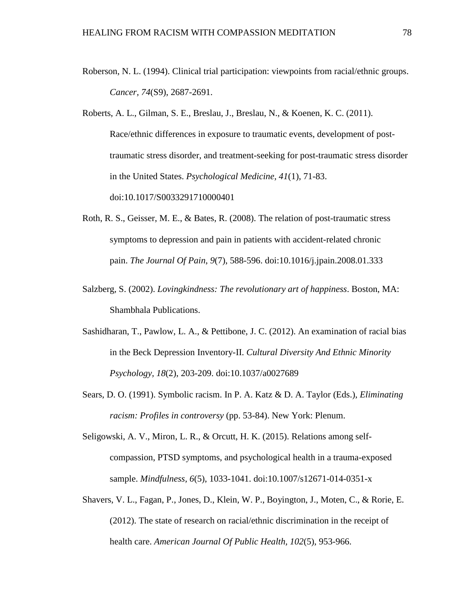Roberson, N. L. (1994). Clinical trial participation: viewpoints from racial/ethnic groups. *Cancer, 74*(S9), 2687-2691.

Roberts, A. L., Gilman, S. E., Breslau, J., Breslau, N., & Koenen, K. C. (2011). Race/ethnic differences in exposure to traumatic events, development of posttraumatic stress disorder, and treatment-seeking for post-traumatic stress disorder in the United States. *Psychological Medicine, 41*(1), 71-83. doi:10.1017/S0033291710000401

- Roth, R. S., Geisser, M. E., & Bates, R. (2008). The relation of post-traumatic stress symptoms to depression and pain in patients with accident-related chronic pain. *The Journal Of Pain*, *9*(7), 588-596. doi:10.1016/j.jpain.2008.01.333
- Salzberg, S. (2002). *Lovingkindness: The revolutionary art of happiness*. Boston, MA: Shambhala Publications.
- Sashidharan, T., Pawlow, L. A., & Pettibone, J. C. (2012). An examination of racial bias in the Beck Depression Inventory-II. *Cultural Diversity And Ethnic Minority Psychology, 18*(2), 203-209. doi:10.1037/a0027689
- Sears, D. O. (1991). Symbolic racism. In P. A. Katz & D. A. Taylor (Eds.), *Eliminating racism: Profiles in controversy* (pp. 53-84). New York: Plenum.
- Seligowski, A. V., Miron, L. R., & Orcutt, H. K. (2015). Relations among selfcompassion, PTSD symptoms, and psychological health in a trauma-exposed sample. *Mindfulness, 6*(5), 1033-1041. doi:10.1007/s12671-014-0351-x
- Shavers, V. L., Fagan, P., Jones, D., Klein, W. P., Boyington, J., Moten, C., & Rorie, E. (2012). The state of research on racial/ethnic discrimination in the receipt of health care. *American Journal Of Public Health, 102*(5), 953-966.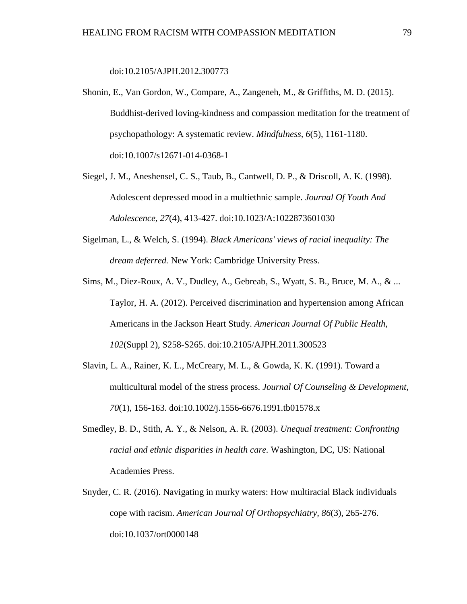doi:10.2105/AJPH.2012.300773

- Shonin, E., Van Gordon, W., Compare, A., Zangeneh, M., & Griffiths, M. D. (2015). Buddhist-derived loving-kindness and compassion meditation for the treatment of psychopathology: A systematic review. *Mindfulness, 6*(5), 1161-1180. doi:10.1007/s12671-014-0368-1
- Siegel, J. M., Aneshensel, C. S., Taub, B., Cantwell, D. P., & Driscoll, A. K. (1998). Adolescent depressed mood in a multiethnic sample. *Journal Of Youth And Adolescence, 27*(4), 413-427. doi:10.1023/A:1022873601030
- Sigelman, L., & Welch, S. (1994). *Black Americans' views of racial inequality: The dream deferred.* New York: Cambridge University Press.
- Sims, M., Diez-Roux, A. V., Dudley, A., Gebreab, S., Wyatt, S. B., Bruce, M. A., & ... Taylor, H. A. (2012). Perceived discrimination and hypertension among African Americans in the Jackson Heart Study. *American Journal Of Public Health, 102*(Suppl 2), S258-S265. doi:10.2105/AJPH.2011.300523
- Slavin, L. A., Rainer, K. L., McCreary, M. L., & Gowda, K. K. (1991). Toward a multicultural model of the stress process. *Journal Of Counseling & Development, 70*(1), 156-163. doi:10.1002/j.1556-6676.1991.tb01578.x
- Smedley, B. D., Stith, A. Y., & Nelson, A. R. (2003). *Unequal treatment: Confronting racial and ethnic disparities in health care.* Washington, DC, US: National Academies Press.
- Snyder, C. R. (2016). Navigating in murky waters: How multiracial Black individuals cope with racism. *American Journal Of Orthopsychiatry, 86*(3), 265-276. doi:10.1037/ort0000148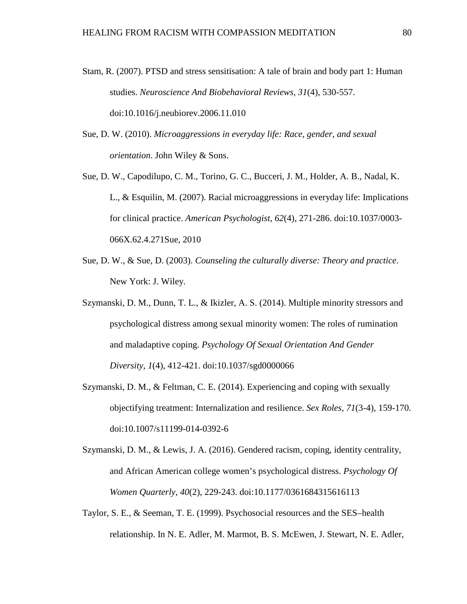- Stam, R. (2007). PTSD and stress sensitisation: A tale of brain and body part 1: Human studies. *Neuroscience And Biobehavioral Reviews, 31*(4), 530-557. doi:10.1016/j.neubiorev.2006.11.010
- Sue, D. W. (2010). *Microaggressions in everyday life: Race, gender, and sexual orientation*. John Wiley & Sons.
- Sue, D. W., Capodilupo, C. M., Torino, G. C., Bucceri, J. M., Holder, A. B., Nadal, K. L., & Esquilin, M. (2007). Racial microaggressions in everyday life: Implications for clinical practice. *American Psychologist, 62*(4), 271-286. doi:10.1037/0003- 066X.62.4.271Sue, 2010
- Sue, D. W., & Sue, D. (2003). *Counseling the culturally diverse: Theory and practice*. New York: J. Wiley.
- Szymanski, D. M., Dunn, T. L., & Ikizler, A. S. (2014). Multiple minority stressors and psychological distress among sexual minority women: The roles of rumination and maladaptive coping. *Psychology Of Sexual Orientation And Gender Diversity, 1*(4), 412-421. doi:10.1037/sgd0000066
- Szymanski, D. M., & Feltman, C. E. (2014). Experiencing and coping with sexually objectifying treatment: Internalization and resilience. *Sex Roles, 71*(3-4), 159-170. doi:10.1007/s11199-014-0392-6
- Szymanski, D. M., & Lewis, J. A. (2016). Gendered racism, coping, identity centrality, and African American college women's psychological distress. *Psychology Of Women Quarterly, 40*(2), 229-243. doi:10.1177/0361684315616113
- Taylor, S. E., & Seeman, T. E. (1999). Psychosocial resources and the SES–health relationship. In N. E. Adler, M. Marmot, B. S. McEwen, J. Stewart, N. E. Adler,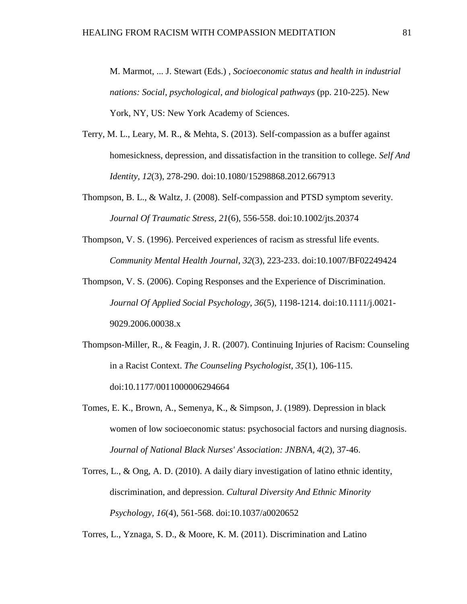M. Marmot, ... J. Stewart (Eds.) , *Socioeconomic status and health in industrial nations: Social, psychological, and biological pathways* (pp. 210-225). New York, NY, US: New York Academy of Sciences.

- Terry, M. L., Leary, M. R., & Mehta, S. (2013). Self-compassion as a buffer against homesickness, depression, and dissatisfaction in the transition to college. *Self And Identity, 12*(3), 278-290. doi:10.1080/15298868.2012.667913
- Thompson, B. L., & Waltz, J. (2008). Self-compassion and PTSD symptom severity. *Journal Of Traumatic Stress, 21*(6), 556-558. doi:10.1002/jts.20374
- Thompson, V. S. (1996). Perceived experiences of racism as stressful life events. *Community Mental Health Journal, 32*(3), 223-233. doi:10.1007/BF02249424
- Thompson, V. S. (2006). Coping Responses and the Experience of Discrimination. *Journal Of Applied Social Psychology, 36*(5), 1198-1214. doi:10.1111/j.0021- 9029.2006.00038.x
- Thompson-Miller, R., & Feagin, J. R. (2007). Continuing Injuries of Racism: Counseling in a Racist Context. *The Counseling Psychologist, 35*(1), 106-115. doi:10.1177/0011000006294664
- Tomes, E. K., Brown, A., Semenya, K., & Simpson, J. (1989). Depression in black women of low socioeconomic status: psychosocial factors and nursing diagnosis. *Journal of National Black Nurses' Association: JNBNA, 4*(2), 37-46.
- Torres, L., & Ong, A. D. (2010). A daily diary investigation of latino ethnic identity, discrimination, and depression. *Cultural Diversity And Ethnic Minority Psychology, 16*(4), 561-568. doi:10.1037/a0020652

Torres, L., Yznaga, S. D., & Moore, K. M. (2011). Discrimination and Latino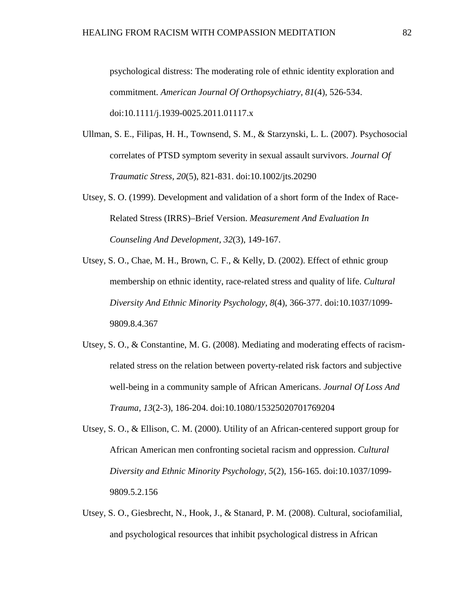psychological distress: The moderating role of ethnic identity exploration and commitment. *American Journal Of Orthopsychiatry, 81*(4), 526-534. doi:10.1111/j.1939-0025.2011.01117.x

- Ullman, S. E., Filipas, H. H., Townsend, S. M., & Starzynski, L. L. (2007). Psychosocial correlates of PTSD symptom severity in sexual assault survivors. *Journal Of Traumatic Stress, 20*(5), 821-831. doi:10.1002/jts.20290
- Utsey, S. O. (1999). Development and validation of a short form of the Index of Race-Related Stress (IRRS)–Brief Version. *Measurement And Evaluation In Counseling And Development, 32*(3), 149-167.
- Utsey, S. O., Chae, M. H., Brown, C. F., & Kelly, D. (2002). Effect of ethnic group membership on ethnic identity, race-related stress and quality of life. *Cultural Diversity And Ethnic Minority Psychology, 8*(4), 366-377. doi:10.1037/1099- 9809.8.4.367
- Utsey, S. O., & Constantine, M. G. (2008). Mediating and moderating effects of racismrelated stress on the relation between poverty-related risk factors and subjective well-being in a community sample of African Americans. *Journal Of Loss And Trauma, 13*(2-3), 186-204. doi:10.1080/15325020701769204
- Utsey, S. O., & Ellison, C. M. (2000). Utility of an African-centered support group for African American men confronting societal racism and oppression. *Cultural Diversity and Ethnic Minority Psychology, 5*(2), 156-165. doi:10.1037/1099- 9809.5.2.156
- Utsey, S. O., Giesbrecht, N., Hook, J., & Stanard, P. M. (2008). Cultural, sociofamilial, and psychological resources that inhibit psychological distress in African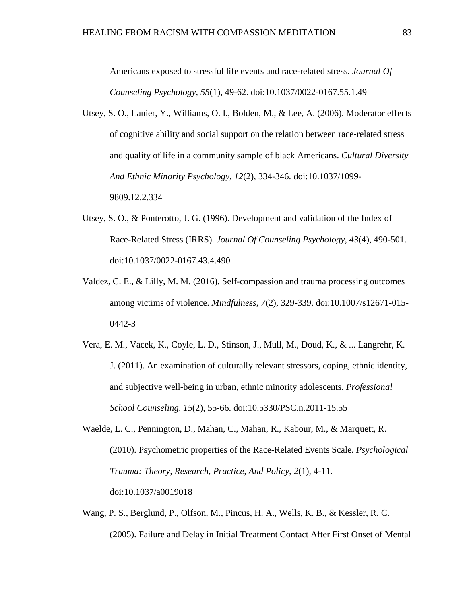Americans exposed to stressful life events and race-related stress. *Journal Of Counseling Psychology, 55*(1), 49-62. doi:10.1037/0022-0167.55.1.49

- Utsey, S. O., Lanier, Y., Williams, O. I., Bolden, M., & Lee, A. (2006). Moderator effects of cognitive ability and social support on the relation between race-related stress and quality of life in a community sample of black Americans. *Cultural Diversity And Ethnic Minority Psychology, 12*(2), 334-346. doi:10.1037/1099- 9809.12.2.334
- Utsey, S. O., & Ponterotto, J. G. (1996). Development and validation of the Index of Race-Related Stress (IRRS). *Journal Of Counseling Psychology, 43*(4), 490-501. doi:10.1037/0022-0167.43.4.490
- Valdez, C. E., & Lilly, M. M. (2016). Self-compassion and trauma processing outcomes among victims of violence. *Mindfulness, 7*(2), 329-339. doi:10.1007/s12671-015- 0442-3
- Vera, E. M., Vacek, K., Coyle, L. D., Stinson, J., Mull, M., Doud, K., & ... Langrehr, K. J. (2011). An examination of culturally relevant stressors, coping, ethnic identity, and subjective well-being in urban, ethnic minority adolescents. *Professional School Counseling, 15*(2), 55-66. doi:10.5330/PSC.n.2011-15.55
- Waelde, L. C., Pennington, D., Mahan, C., Mahan, R., Kabour, M., & Marquett, R. (2010). Psychometric properties of the Race-Related Events Scale. *Psychological Trauma: Theory, Research, Practice, And Policy, 2*(1), 4-11. doi:10.1037/a0019018
- Wang, P. S., Berglund, P., Olfson, M., Pincus, H. A., Wells, K. B., & Kessler, R. C. (2005). Failure and Delay in Initial Treatment Contact After First Onset of Mental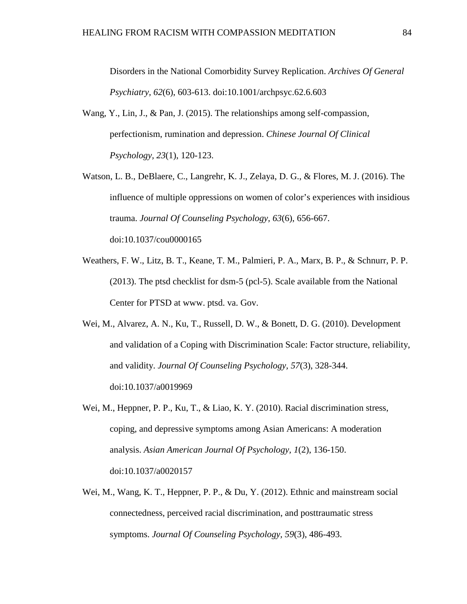Disorders in the National Comorbidity Survey Replication. *Archives Of General Psychiatry, 62*(6), 603-613. doi:10.1001/archpsyc.62.6.603

- Wang, Y., Lin, J., & Pan, J. (2015). The relationships among self-compassion, perfectionism, rumination and depression. *Chinese Journal Of Clinical Psychology, 23*(1), 120-123.
- Watson, L. B., DeBlaere, C., Langrehr, K. J., Zelaya, D. G., & Flores, M. J. (2016). The influence of multiple oppressions on women of color's experiences with insidious trauma. *Journal Of Counseling Psychology, 63*(6), 656-667. doi:10.1037/cou0000165
- Weathers, F. W., Litz, B. T., Keane, T. M., Palmieri, P. A., Marx, B. P., & Schnurr, P. P. (2013). The ptsd checklist for dsm-5 (pcl-5). Scale available from the National Center for PTSD at www. ptsd. va. Gov.
- Wei, M., Alvarez, A. N., Ku, T., Russell, D. W., & Bonett, D. G. (2010). Development and validation of a Coping with Discrimination Scale: Factor structure, reliability, and validity. *Journal Of Counseling Psychology, 57*(3), 328-344. doi:10.1037/a0019969
- Wei, M., Heppner, P. P., Ku, T., & Liao, K. Y. (2010). Racial discrimination stress, coping, and depressive symptoms among Asian Americans: A moderation analysis. *Asian American Journal Of Psychology, 1*(2), 136-150. doi:10.1037/a0020157
- Wei, M., Wang, K. T., Heppner, P. P., & Du, Y. (2012). Ethnic and mainstream social connectedness, perceived racial discrimination, and posttraumatic stress symptoms. *Journal Of Counseling Psychology, 59*(3), 486-493.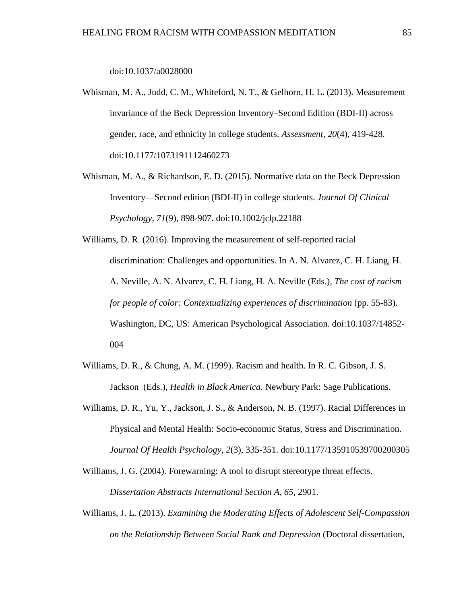doi:10.1037/a0028000

- Whisman, M. A., Judd, C. M., Whiteford, N. T., & Gelhorn, H. L. (2013). Measurement invariance of the Beck Depression Inventory–Second Edition (BDI-II) across gender, race, and ethnicity in college students. *Assessment, 20*(4), 419-428. doi:10.1177/1073191112460273
- Whisman, M. A., & Richardson, E. D. (2015). Normative data on the Beck Depression Inventory—Second edition (BDI-II) in college students. *Journal Of Clinical Psychology, 71*(9), 898-907. doi:10.1002/jclp.22188

Williams, D. R. (2016). Improving the measurement of self-reported racial discrimination: Challenges and opportunities. In A. N. Alvarez, C. H. Liang, H. A. Neville, A. N. Alvarez, C. H. Liang, H. A. Neville (Eds.), *The cost of racism for people of color: Contextualizing experiences of discrimination* (pp. 55-83). Washington, DC, US: American Psychological Association. doi:10.1037/14852- 004

- Williams, D. R., & Chung, A. M. (1999). Racism and health. In R. C. Gibson, J. S. Jackson (Eds.), *Health in Black America.* Newbury Park: Sage Publications.
- Williams, D. R., Yu, Y., Jackson, J. S., & Anderson, N. B. (1997). Racial Differences in Physical and Mental Health: Socio-economic Status, Stress and Discrimination. *Journal Of Health Psychology, 2*(3), 335-351. doi:10.1177/135910539700200305
- Williams, J. G. (2004). Forewarning: A tool to disrupt stereotype threat effects. *Dissertation Abstracts International Section A, 65*, 2901.
- Williams, J. L. (2013). *Examining the Moderating Effects of Adolescent Self-Compassion on the Relationship Between Social Rank and Depression* (Doctoral dissertation,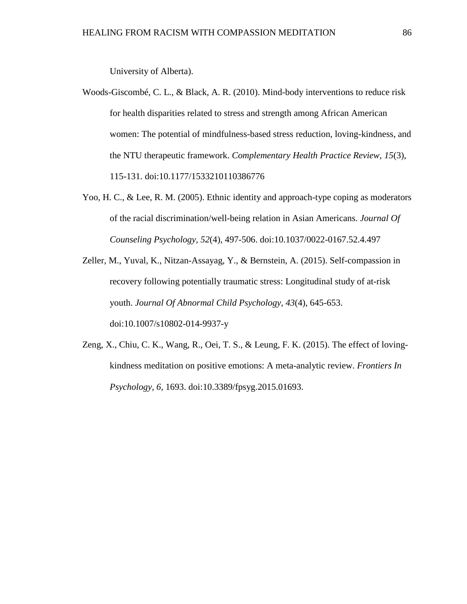University of Alberta).

- Woods-Giscombé, C. L., & Black, A. R. (2010). Mind-body interventions to reduce risk for health disparities related to stress and strength among African American women: The potential of mindfulness-based stress reduction, loving-kindness, and the NTU therapeutic framework. *Complementary Health Practice Review, 15*(3), 115-131. doi:10.1177/1533210110386776
- Yoo, H. C., & Lee, R. M. (2005). Ethnic identity and approach-type coping as moderators of the racial discrimination/well-being relation in Asian Americans. *Journal Of Counseling Psychology, 52*(4), 497-506. doi:10.1037/0022-0167.52.4.497
- Zeller, M., Yuval, K., Nitzan-Assayag, Y., & Bernstein, A. (2015). Self-compassion in recovery following potentially traumatic stress: Longitudinal study of at-risk youth. *Journal Of Abnormal Child Psychology, 43*(4), 645-653. doi:10.1007/s10802-014-9937-y
- Zeng, X., Chiu, C. K., Wang, R., Oei, T. S., & Leung, F. K. (2015). The effect of lovingkindness meditation on positive emotions: A meta-analytic review. *Frontiers In Psychology, 6*, 1693. doi:10.3389/fpsyg.2015.01693.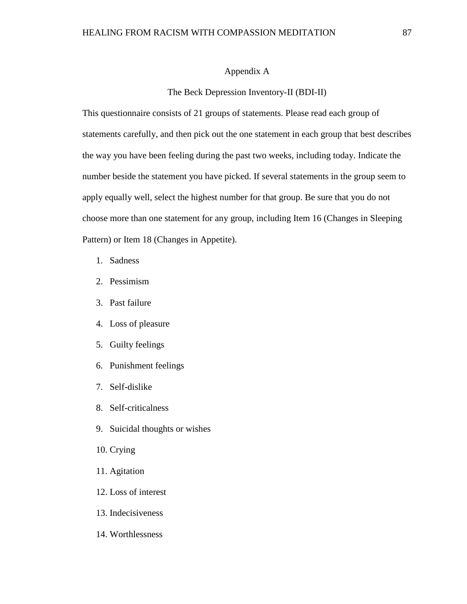#### Appendix A

#### The Beck Depression Inventory-II (BDI-II)

This questionnaire consists of 21 groups of statements. Please read each group of statements carefully, and then pick out the one statement in each group that best describes the way you have been feeling during the past two weeks, including today. Indicate the number beside the statement you have picked. If several statements in the group seem to apply equally well, select the highest number for that group. Be sure that you do not choose more than one statement for any group, including Item 16 (Changes in Sleeping Pattern) or Item 18 (Changes in Appetite).

- 1. Sadness
- 2. Pessimism
- 3. Past failure
- 4. Loss of pleasure
- 5. Guilty feelings
- 6. Punishment feelings
- 7. Self-dislike
- 8. Self-criticalness
- 9. Suicidal thoughts or wishes
- 10. Crying
- 11. Agitation
- 12. Loss of interest
- 13. Indecisiveness
- 14. Worthlessness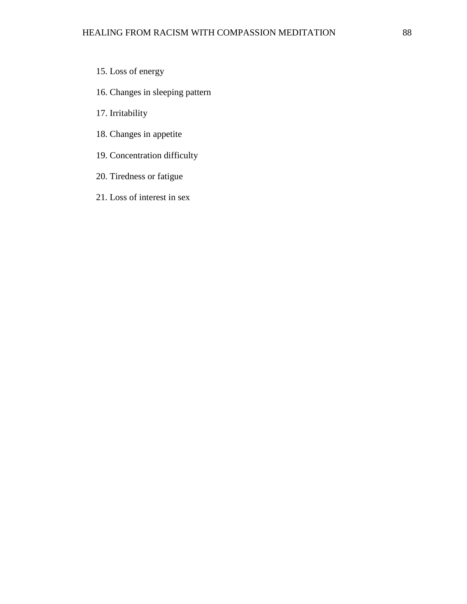- 15. Loss of energy
- 16. Changes in sleeping pattern
- 17. Irritability
- 18. Changes in appetite
- 19. Concentration difficulty
- 20. Tiredness or fatigue
- 21. Loss of interest in sex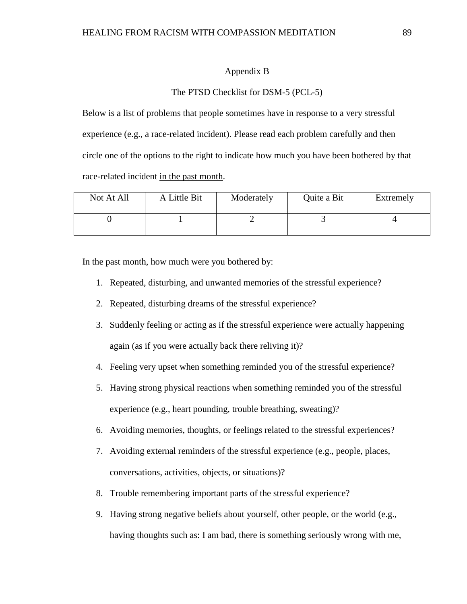### Appendix B

## The PTSD Checklist for DSM-5 (PCL-5)

Below is a list of problems that people sometimes have in response to a very stressful experience (e.g., a race-related incident). Please read each problem carefully and then circle one of the options to the right to indicate how much you have been bothered by that race-related incident in the past month.

| Not At All | A Little Bit | Moderately | Quite a Bit | Extremely |
|------------|--------------|------------|-------------|-----------|
|            |              |            |             |           |

In the past month, how much were you bothered by:

- 1. Repeated, disturbing, and unwanted memories of the stressful experience?
- 2. Repeated, disturbing dreams of the stressful experience?
- 3. Suddenly feeling or acting as if the stressful experience were actually happening again (as if you were actually back there reliving it)?
- 4. Feeling very upset when something reminded you of the stressful experience?
- 5. Having strong physical reactions when something reminded you of the stressful experience (e.g., heart pounding, trouble breathing, sweating)?
- 6. Avoiding memories, thoughts, or feelings related to the stressful experiences?
- 7. Avoiding external reminders of the stressful experience (e.g., people, places, conversations, activities, objects, or situations)?
- 8. Trouble remembering important parts of the stressful experience?
- 9. Having strong negative beliefs about yourself, other people, or the world (e.g., having thoughts such as: I am bad, there is something seriously wrong with me,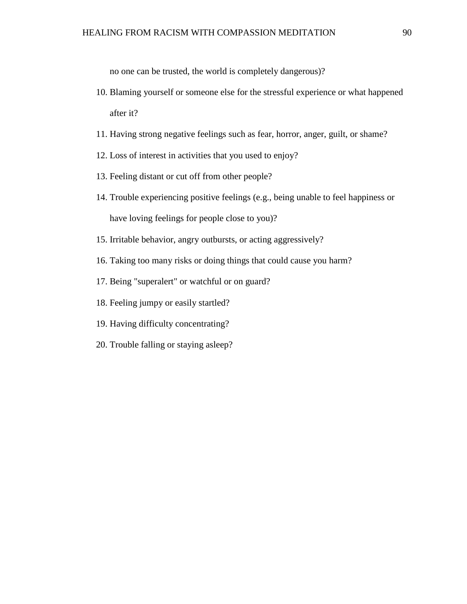no one can be trusted, the world is completely dangerous)?

- 10. Blaming yourself or someone else for the stressful experience or what happened after it?
- 11. Having strong negative feelings such as fear, horror, anger, guilt, or shame?
- 12. Loss of interest in activities that you used to enjoy?
- 13. Feeling distant or cut off from other people?
- 14. Trouble experiencing positive feelings (e.g., being unable to feel happiness or have loving feelings for people close to you)?
- 15. Irritable behavior, angry outbursts, or acting aggressively?
- 16. Taking too many risks or doing things that could cause you harm?
- 17. Being "superalert" or watchful or on guard?
- 18. Feeling jumpy or easily startled?
- 19. Having difficulty concentrating?
- 20. Trouble falling or staying asleep?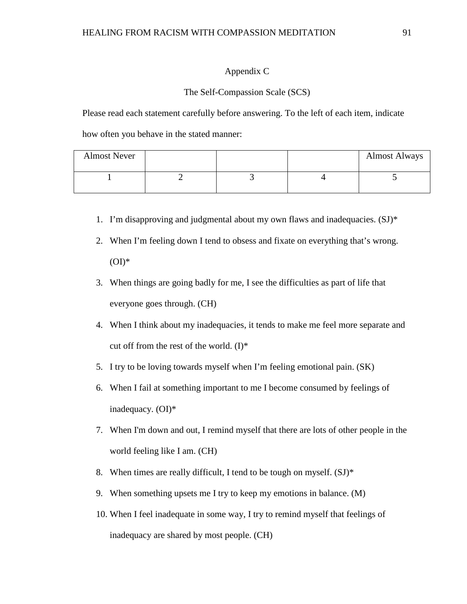## Appendix C

#### The Self-Compassion Scale (SCS)

Please read each statement carefully before answering. To the left of each item, indicate

how often you behave in the stated manner:

| <b>Almost Never</b> |  | <b>Almost Always</b> |
|---------------------|--|----------------------|
|                     |  |                      |

- 1. I'm disapproving and judgmental about my own flaws and inadequacies. (SJ)\*
- 2. When I'm feeling down I tend to obsess and fixate on everything that's wrong.  $(OI)^*$
- 3. When things are going badly for me, I see the difficulties as part of life that everyone goes through. (CH)
- 4. When I think about my inadequacies, it tends to make me feel more separate and cut off from the rest of the world.  $(I)^*$
- 5. I try to be loving towards myself when I'm feeling emotional pain. (SK)
- 6. When I fail at something important to me I become consumed by feelings of inadequacy. (OI)\*
- 7. When I'm down and out, I remind myself that there are lots of other people in the world feeling like I am. (CH)
- 8. When times are really difficult, I tend to be tough on myself. (SJ)\*
- 9. When something upsets me I try to keep my emotions in balance. (M)
- 10. When I feel inadequate in some way, I try to remind myself that feelings of inadequacy are shared by most people. (CH)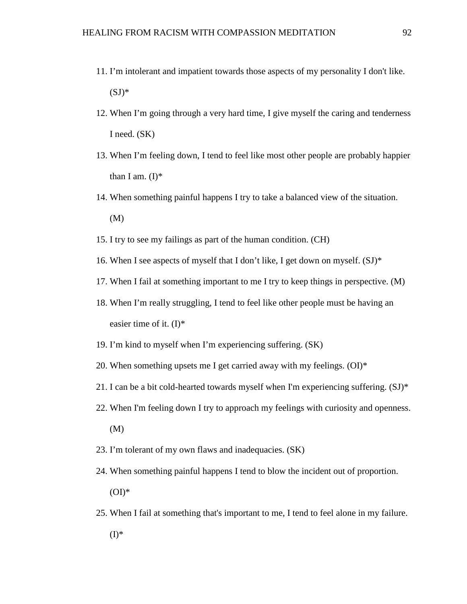- 11. I'm intolerant and impatient towards those aspects of my personality I don't like.  $(SJ)^*$
- 12. When I'm going through a very hard time, I give myself the caring and tenderness I need. (SK)
- 13. When I'm feeling down, I tend to feel like most other people are probably happier than I am.  $(I)^*$
- 14. When something painful happens I try to take a balanced view of the situation. (M)
- 15. I try to see my failings as part of the human condition. (CH)
- 16. When I see aspects of myself that I don't like, I get down on myself.  $(SJ)^*$
- 17. When I fail at something important to me I try to keep things in perspective. (M)
- 18. When I'm really struggling, I tend to feel like other people must be having an easier time of it.  $(I)^*$
- 19. I'm kind to myself when I'm experiencing suffering. (SK)
- 20. When something upsets me I get carried away with my feelings.  $(OI)^*$
- 21. I can be a bit cold-hearted towards myself when I'm experiencing suffering.  $(SJ)^*$
- 22. When I'm feeling down I try to approach my feelings with curiosity and openness. (M)
- 23. I'm tolerant of my own flaws and inadequacies. (SK)
- 24. When something painful happens I tend to blow the incident out of proportion.  $(OI)*$
- 25. When I fail at something that's important to me, I tend to feel alone in my failure.  $(I)^*$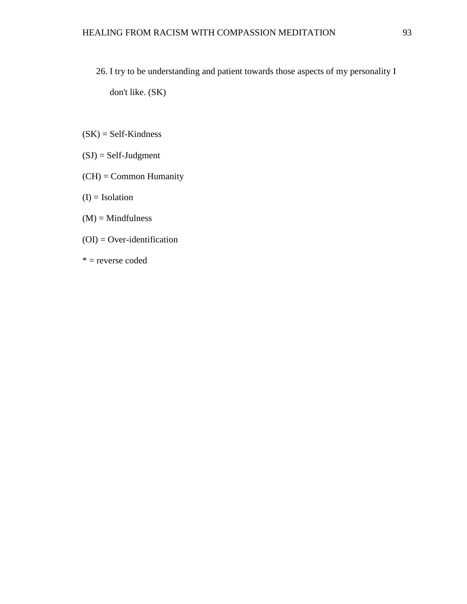- 26. I try to be understanding and patient towards those aspects of my personality I don't like. (SK)
- $(SK) = Self-Kindness$
- (SJ) = Self-Judgment
- (CH) = Common Humanity
- $(I)$  = Isolation
- $(M)$  = Mindfulness
- $(OI) = Over-identification$
- \* = reverse coded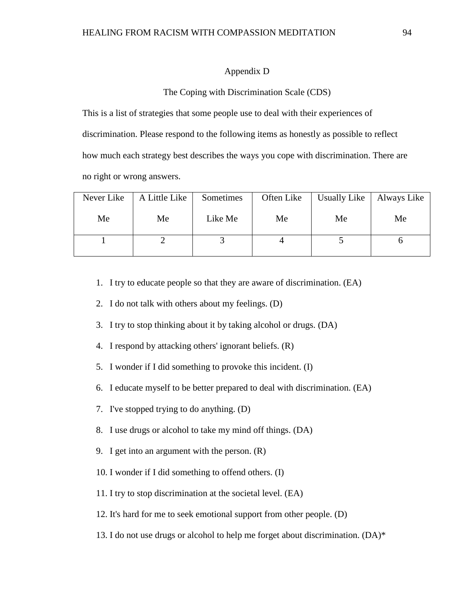### Appendix D

#### The Coping with Discrimination Scale (CDS)

This is a list of strategies that some people use to deal with their experiences of discrimination. Please respond to the following items as honestly as possible to reflect how much each strategy best describes the ways you cope with discrimination. There are no right or wrong answers.

| Never Like | A Little Like | Sometimes | Often Like | Usually Like | Always Like |
|------------|---------------|-----------|------------|--------------|-------------|
| Me         | Me            | Like Me   | Me         | Me           | Me          |
|            |               |           |            |              |             |

- 1. I try to educate people so that they are aware of discrimination. (EA)
- 2. I do not talk with others about my feelings. (D)
- 3. I try to stop thinking about it by taking alcohol or drugs. (DA)
- 4. I respond by attacking others' ignorant beliefs. (R)
- 5. I wonder if I did something to provoke this incident. (I)
- 6. I educate myself to be better prepared to deal with discrimination. (EA)
- 7. I've stopped trying to do anything. (D)
- 8. I use drugs or alcohol to take my mind off things. (DA)
- 9. I get into an argument with the person. (R)
- 10. I wonder if I did something to offend others. (I)
- 11. I try to stop discrimination at the societal level. (EA)
- 12. It's hard for me to seek emotional support from other people. (D)
- 13. I do not use drugs or alcohol to help me forget about discrimination. (DA)\*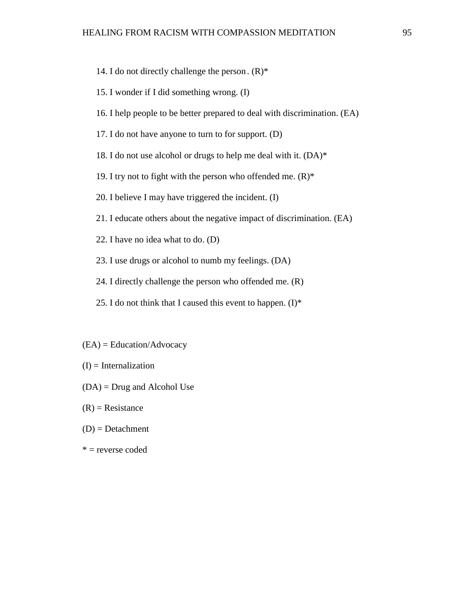- 14. I do not directly challenge the person.  $(R)^*$
- 15. I wonder if I did something wrong. (I)
- 16. I help people to be better prepared to deal with discrimination. (EA)
- 17. I do not have anyone to turn to for support. (D)
- 18. I do not use alcohol or drugs to help me deal with it.  $(DA)^*$
- 19. I try not to fight with the person who offended me.  $(R)^*$
- 20. I believe I may have triggered the incident. (I)
- 21. I educate others about the negative impact of discrimination. (EA)
- 22. I have no idea what to do. (D)
- 23. I use drugs or alcohol to numb my feelings. (DA)
- 24. I directly challenge the person who offended me. (R)
- 25. I do not think that I caused this event to happen.  $(I)^*$
- (EA) = Education/Advocacy
- $(I)$  = Internalization
- (DA) = Drug and Alcohol Use
- $(R)$  = Resistance
- $(D) = Detachment$
- $*$  = reverse coded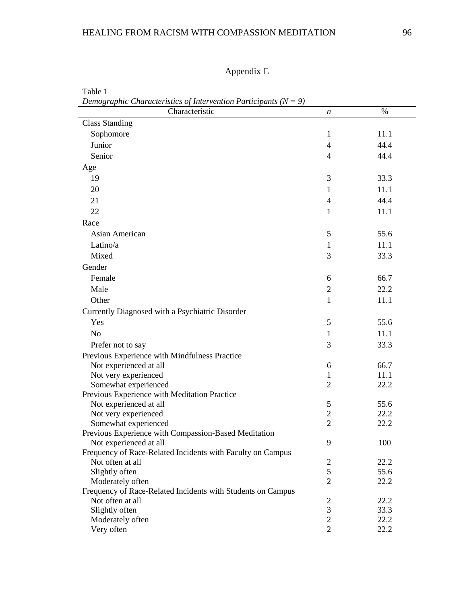# HEALING FROM RACISM WITH COMPASSION MEDITATION 96

Appendix E

| Demographic Characteristics of Intervention Participants (N $= 9$ )            |                |              |
|--------------------------------------------------------------------------------|----------------|--------------|
| Characteristic                                                                 | n              | %            |
| <b>Class Standing</b>                                                          |                |              |
| Sophomore                                                                      | $\mathbf{1}$   | 11.1         |
| Junior                                                                         | $\overline{4}$ | 44.4         |
| Senior                                                                         | $\overline{4}$ | 44.4         |
| Age                                                                            |                |              |
| 19                                                                             | 3              | 33.3         |
| 20                                                                             | $\mathbf{1}$   | 11.1         |
| 21                                                                             | $\overline{4}$ | 44.4         |
| 22                                                                             | $\mathbf{1}$   | 11.1         |
| Race                                                                           |                |              |
|                                                                                |                |              |
| Asian American                                                                 | 5              | 55.6         |
| Latino/a                                                                       | $\mathbf{1}$   | 11.1         |
| Mixed                                                                          | 3              | 33.3         |
| Gender                                                                         |                |              |
| Female                                                                         | 6              | 66.7         |
| Male                                                                           | $\overline{2}$ | 22.2         |
| Other                                                                          | $\mathbf{1}$   | 11.1         |
| Currently Diagnosed with a Psychiatric Disorder                                |                |              |
| Yes                                                                            | 5              | 55.6         |
| N <sub>o</sub>                                                                 | 1              | 11.1         |
| Prefer not to say                                                              | 3              | 33.3         |
| Previous Experience with Mindfulness Practice                                  |                |              |
| Not experienced at all                                                         | 6              | 66.7         |
| Not very experienced                                                           | 1              | 11.1         |
| Somewhat experienced                                                           | $\overline{2}$ | 22.2         |
| Previous Experience with Meditation Practice                                   |                |              |
| Not experienced at all                                                         | $\mathfrak{S}$ | 55.6         |
| Not very experienced                                                           | $\overline{2}$ | 22.2         |
| Somewhat experienced                                                           | $\overline{2}$ | 22.2         |
| Previous Experience with Compassion-Based Meditation                           |                |              |
| Not experienced at all                                                         | 9              | 100          |
| Frequency of Race-Related Incidents with Faculty on Campus<br>Not often at all |                |              |
| Slightly often                                                                 | 2<br>5         | 22.2<br>55.6 |
| Moderately often                                                               | $\overline{2}$ | 22.2         |
| Frequency of Race-Related Incidents with Students on Campus                    |                |              |
| Not often at all                                                               | $\overline{c}$ | 22.2         |
| Slightly often                                                                 | $\mathfrak{Z}$ | 33.3         |
| Moderately often                                                               | $\overline{2}$ | 22.2         |
| Very often                                                                     | $\overline{2}$ | 22.2         |

Table 1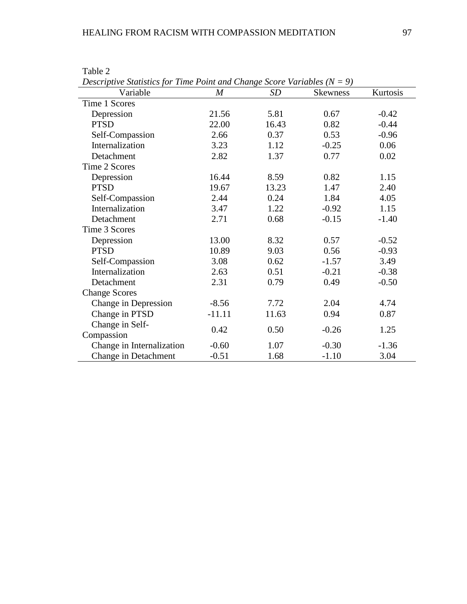| Descriptive Statistics for Time Point and Change Score Variables ( $N = 9$ ) |                  |       |          |          |  |  |  |  |
|------------------------------------------------------------------------------|------------------|-------|----------|----------|--|--|--|--|
| Variable                                                                     | $\boldsymbol{M}$ | SD    | Skewness | Kurtosis |  |  |  |  |
| Time 1 Scores                                                                |                  |       |          |          |  |  |  |  |
| Depression                                                                   | 21.56            | 5.81  | 0.67     | $-0.42$  |  |  |  |  |
| <b>PTSD</b>                                                                  | 22.00            | 16.43 | 0.82     | $-0.44$  |  |  |  |  |
| Self-Compassion                                                              | 2.66             | 0.37  | 0.53     | $-0.96$  |  |  |  |  |
| Internalization                                                              | 3.23             | 1.12  | $-0.25$  | 0.06     |  |  |  |  |
| Detachment                                                                   | 2.82             | 1.37  | 0.77     | 0.02     |  |  |  |  |
| Time 2 Scores                                                                |                  |       |          |          |  |  |  |  |
| Depression                                                                   | 16.44            | 8.59  | 0.82     | 1.15     |  |  |  |  |
| <b>PTSD</b>                                                                  | 19.67            | 13.23 | 1.47     | 2.40     |  |  |  |  |
| Self-Compassion                                                              | 2.44             | 0.24  | 1.84     | 4.05     |  |  |  |  |
| Internalization                                                              | 3.47             | 1.22  | $-0.92$  | 1.15     |  |  |  |  |
| Detachment                                                                   | 2.71             | 0.68  | $-0.15$  | $-1.40$  |  |  |  |  |
| Time 3 Scores                                                                |                  |       |          |          |  |  |  |  |
| Depression                                                                   | 13.00            | 8.32  | 0.57     | $-0.52$  |  |  |  |  |
| <b>PTSD</b>                                                                  | 10.89            | 9.03  | 0.56     | $-0.93$  |  |  |  |  |
| Self-Compassion                                                              | 3.08             | 0.62  | $-1.57$  | 3.49     |  |  |  |  |
| Internalization                                                              | 2.63             | 0.51  | $-0.21$  | $-0.38$  |  |  |  |  |
| Detachment                                                                   | 2.31             | 0.79  | 0.49     | $-0.50$  |  |  |  |  |
| <b>Change Scores</b>                                                         |                  |       |          |          |  |  |  |  |
| Change in Depression                                                         | $-8.56$          | 7.72  | 2.04     | 4.74     |  |  |  |  |
| Change in PTSD                                                               | $-11.11$         | 11.63 | 0.94     | 0.87     |  |  |  |  |
| Change in Self-                                                              | 0.42             | 0.50  | $-0.26$  | 1.25     |  |  |  |  |
| Compassion                                                                   |                  |       |          |          |  |  |  |  |
| Change in Internalization                                                    | $-0.60$          | 1.07  | $-0.30$  | $-1.36$  |  |  |  |  |
| Change in Detachment                                                         | $-0.51$          | 1.68  | $-1.10$  | 3.04     |  |  |  |  |

Table 2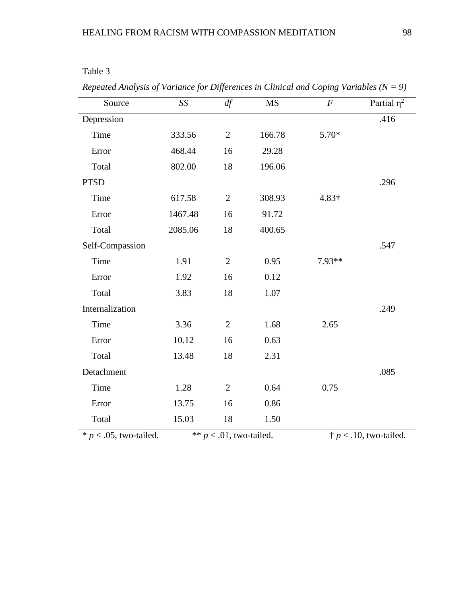| Source          | SS      | df             | <b>MS</b> | $\cal F$ | Partial $\eta^2$ |
|-----------------|---------|----------------|-----------|----------|------------------|
| Depression      |         |                |           |          | .416             |
| Time            | 333.56  | $\overline{2}$ | 166.78    | 5.70*    |                  |
| Error           | 468.44  | 16             | 29.28     |          |                  |
| Total           | 802.00  | 18             | 196.06    |          |                  |
| <b>PTSD</b>     |         |                |           |          | .296             |
| Time            | 617.58  | $\overline{2}$ | 308.93    | 4.83†    |                  |
| Error           | 1467.48 | 16             | 91.72     |          |                  |
| Total           | 2085.06 | 18             | 400.65    |          |                  |
| Self-Compassion |         |                |           |          | .547             |
| Time            | 1.91    | $\overline{2}$ | 0.95      | 7.93**   |                  |
| Error           | 1.92    | 16             | 0.12      |          |                  |
| Total           | 3.83    | 18             | 1.07      |          |                  |
| Internalization |         |                |           |          | .249             |
| Time            | 3.36    | $\overline{2}$ | 1.68      | 2.65     |                  |
| Error           | 10.12   | 16             | 0.63      |          |                  |
| Total           | 13.48   | 18             | 2.31      |          |                  |
| Detachment      |         |                |           |          | .085             |
| Time            | 1.28    | $\mathbf{2}$   | 0.64      | 0.75     |                  |
| Error           | 13.75   | 16             | 0.86      |          |                  |
| Total           | 15.03   | 18             | 1.50      |          |                  |

*Repeated Analysis of Variance for Differences in Clinical and Coping Variables (N = 9)*

 $* p < .05$ , two-tailed.  $* p < .01$ , two-tailed.  $\dagger p < .10$ , two-tailed.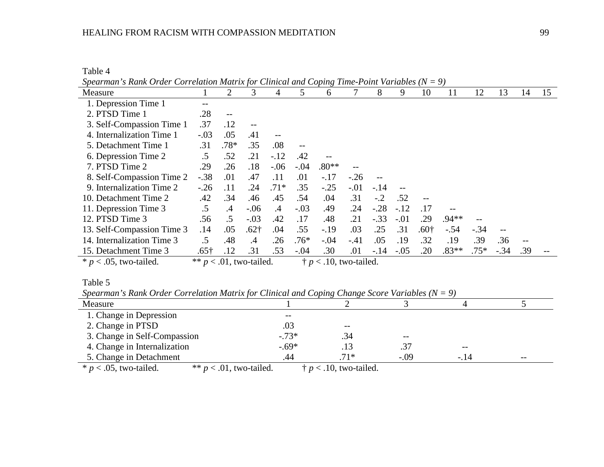## HEALING FROM RACISM WITH COMPASSION MEDITATION 99

Table 4

| Spearman's Rank Order Correlation Matrix for Clinical and Coping Time-Point Variables ( $N = 9$ ) |              |                            |           |               |        |                                 |        |        |        |        |         |        |        |                          |    |
|---------------------------------------------------------------------------------------------------|--------------|----------------------------|-----------|---------------|--------|---------------------------------|--------|--------|--------|--------|---------|--------|--------|--------------------------|----|
| Measure                                                                                           |              | 2                          | 3         | 4             | 5      | 6                               |        | 8      | 9      | 10     | 11      | 12     | 13     | 14                       | 15 |
| 1. Depression Time 1                                                                              |              |                            |           |               |        |                                 |        |        |        |        |         |        |        |                          |    |
| 2. PTSD Time 1                                                                                    | .28          | $\qquad \qquad -$          |           |               |        |                                 |        |        |        |        |         |        |        |                          |    |
| 3. Self-Compassion Time 1                                                                         | .37          | .12                        |           |               |        |                                 |        |        |        |        |         |        |        |                          |    |
| 4. Internalization Time 1                                                                         | $-.03$       | .05                        | .41       |               |        |                                 |        |        |        |        |         |        |        |                          |    |
| 5. Detachment Time 1                                                                              | .31          | .78*                       | .35       | .08           |        |                                 |        |        |        |        |         |        |        |                          |    |
| 6. Depression Time 2                                                                              | $.5\,$       | .52                        | .21       | $-.12$        | .42    |                                 |        |        |        |        |         |        |        |                          |    |
| 7. PTSD Time 2                                                                                    | .29          | .26                        | .18       | $-.06$        | $-.04$ | $.80**$                         |        |        |        |        |         |        |        |                          |    |
| 8. Self-Compassion Time 2                                                                         | $-.38$       | .01                        | .47       | .11           | .01    | $-.17$                          | $-.26$ |        |        |        |         |        |        |                          |    |
| 9. Internalization Time 2                                                                         | $-.26$       | .11                        | .24       | $.71*$        | .35    | $-.25$                          | $-.01$ | $-.14$ |        |        |         |        |        |                          |    |
| 10. Detachment Time 2                                                                             | .42          | .34                        | .46       | .45           | .54    | .04                             | .31    | $-.2$  | .52    |        |         |        |        |                          |    |
| 11. Depression Time 3                                                                             | $.5\,$       | $\mathcal{A}$              | $-.06$    | $\mathcal{A}$ | $-.03$ | .49                             | .24    | $-.28$ | $-.12$ | .17    |         |        |        |                          |    |
| 12. PTSD Time 3                                                                                   | .56          | $\cdot$ .5                 | $-.03$    | .42           | .17    | .48                             | .21    | $-.33$ | $-.01$ | .29    | $.94**$ |        |        |                          |    |
| 13. Self-Compassion Time 3                                                                        | .14          | .05                        | $.62+$    | .04           | .55    | $-.19$                          | .03    | .25    | .31    | $.60+$ | $-.54$  | $-.34$ | $-\,-$ |                          |    |
| 14. Internalization Time 3                                                                        | .5           | .48                        | $\cdot$ 4 | .26           | $.76*$ | $-.04$                          | $-41$  | .05    | .19    | .32    | .19     | .39    | .36    | $\overline{\phantom{m}}$ |    |
| 15. Detachment Time 3                                                                             | $.65\dagger$ | .12                        | .31       | .53           | $-.04$ | .30                             | .01    | $-.14$ | $-.05$ | .20    | $.83**$ | $.75*$ | $-.34$ | .39                      |    |
| $* p < .05$ , two-tailed.                                                                         |              | ** $p < .01$ , two-tailed. |           |               |        | $\dagger p < .10$ , two-tailed. |        |        |        |        |         |        |        |                          |    |

Table 5

*Spearman's Rank Order Correlation Matrix for Clinical and Coping Change Score Variables (N = 9)*

| Measure                      |                            |                                 |        |       |    |
|------------------------------|----------------------------|---------------------------------|--------|-------|----|
| 1. Change in Depression      |                            |                                 |        |       |    |
| 2. Change in PTSD            | .03                        | $- -$                           |        |       |    |
| 3. Change in Self-Compassion | $-.73*$                    | .34                             | $- -$  |       |    |
| 4. Change in Internalization | $-.69*$                    | .13                             | .37    | $- -$ |    |
| 5. Change in Detachment      | .44                        | $.71*$                          | $-.09$ | - 14  | -- |
| $* p < .05$ , two-tailed.    | ** $p < .01$ , two-tailed. | $\dagger p < .10$ , two-tailed. |        |       |    |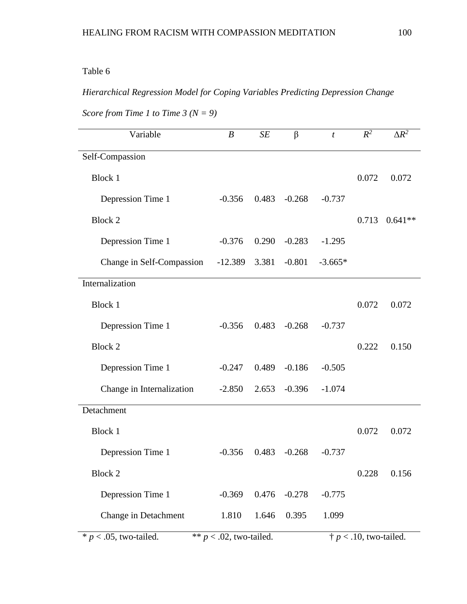# Table 6

# *Hierarchical Regression Model for Coping Variables Predicting Depression Change*

| Variable                  | $\boldsymbol{B}$           | SE    | β        | $\boldsymbol{t}$               | $R^2$ | $\Delta R^2$ |  |  |
|---------------------------|----------------------------|-------|----------|--------------------------------|-------|--------------|--|--|
| Self-Compassion           |                            |       |          |                                |       |              |  |  |
| <b>Block 1</b>            |                            |       |          |                                | 0.072 | 0.072        |  |  |
| Depression Time 1         | $-0.356$                   | 0.483 | $-0.268$ | $-0.737$                       |       |              |  |  |
| Block 2                   |                            |       |          |                                | 0.713 | $0.641**$    |  |  |
| Depression Time 1         | $-0.376$                   | 0.290 | $-0.283$ | $-1.295$                       |       |              |  |  |
| Change in Self-Compassion | $-12.389$                  | 3.381 | $-0.801$ | $-3.665*$                      |       |              |  |  |
| Internalization           |                            |       |          |                                |       |              |  |  |
| <b>Block 1</b>            |                            |       |          |                                | 0.072 | 0.072        |  |  |
| Depression Time 1         | $-0.356$                   | 0.483 | $-0.268$ | $-0.737$                       |       |              |  |  |
| <b>Block 2</b>            |                            |       |          |                                | 0.222 | 0.150        |  |  |
| Depression Time 1         | $-0.247$                   | 0.489 | $-0.186$ | $-0.505$                       |       |              |  |  |
| Change in Internalization | $-2.850$                   | 2.653 | $-0.396$ | $-1.074$                       |       |              |  |  |
| Detachment                |                            |       |          |                                |       |              |  |  |
| <b>Block 1</b>            |                            |       |          |                                | 0.072 | 0.072        |  |  |
| Depression Time 1         | $-0.356$                   | 0.483 | $-0.268$ | $-0.737$                       |       |              |  |  |
| Block 2                   |                            |       |          |                                | 0.228 | 0.156        |  |  |
| Depression Time 1         | $-0.369$                   | 0.476 | $-0.278$ | $-0.775$                       |       |              |  |  |
| Change in Detachment      | 1.810                      | 1.646 | 0.395    | 1.099                          |       |              |  |  |
| $* p < .05$ , two-tailed. | ** $p < .02$ , two-tailed. |       |          | $\dagger p$ < .10, two-tailed. |       |              |  |  |

*Score from Time 1 to Time 3 (N = 9)*